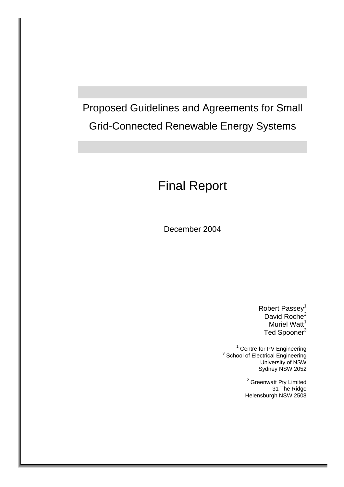Proposed Guidelines and Agreements for Small Grid-Connected Renewable Energy Systems

# [Final Report](#page-6-0)

December 2004

Robert Passey<sup>1</sup> David Roche<sup>2</sup> Muriel Watt<sup>1</sup> Ted Spooner<sup>3</sup>

<sup>1</sup> Centre for PV Engineering<br><sup>3</sup> School of Electrical Engineering University of NSW Sydney NSW 2052

> <sup>2</sup> Greenwatt Pty Limited 31 The Ridge Helensburgh NSW 2508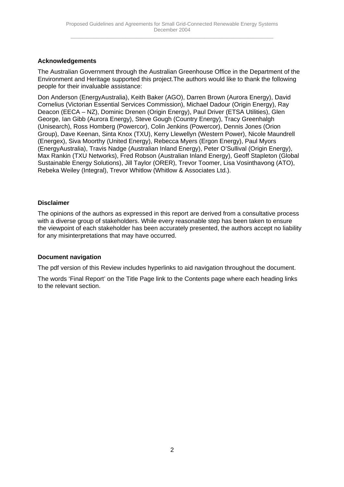## **Acknowledgements**

The Australian Government through the Australian Greenhouse Office in the Department of the Environment and Heritage supported this project.The authors would like to thank the following people for their invaluable assistance:

Don Anderson (EnergyAustralia), Keith Baker (AGO), Darren Brown (Aurora Energy), David Cornelius (Victorian Essential Services Commission), Michael Dadour (Origin Energy), Ray Deacon (EECA – NZ), Dominic Drenen (Origin Energy), Paul Driver (ETSA Utilities), Glen George, Ian Gibb (Aurora Energy), Steve Gough (Country Energy), Tracy Greenhalgh (Unisearch), Ross Homberg (Powercor), Colin Jenkins (Powercor), Dennis Jones (Orion Group), Dave Keenan, Sinta Knox (TXU), Kerry Llewellyn (Western Power), Nicole Maundrell (Energex), Siva Moorthy (United Energy), Rebecca Myers (Ergon Energy), Paul Myors (EnergyAustralia), Travis Nadge (Australian Inland Energy), Peter O'Sullival (Origin Energy), Max Rankin (TXU Networks), Fred Robson (Australian Inland Energy), Geoff Stapleton (Global Sustainable Energy Solutions), Jill Taylor (ORER), Trevor Toomer, Lisa Vosinthavong (ATO), Rebeka Weiley (Integral), Trevor Whitlow (Whitlow & Associates Ltd.).

## **Disclaimer**

The opinions of the authors as expressed in this report are derived from a consultative process with a diverse group of stakeholders. While every reasonable step has been taken to ensure the viewpoint of each stakeholder has been accurately presented, the authors accept no liability for any misinterpretations that may have occurred.

## **Document navigation**

The pdf version of this Review includes hyperlinks to aid navigation throughout the document.

The words 'Final Report' on the Title Page link to the Contents page where each heading links to the relevant section.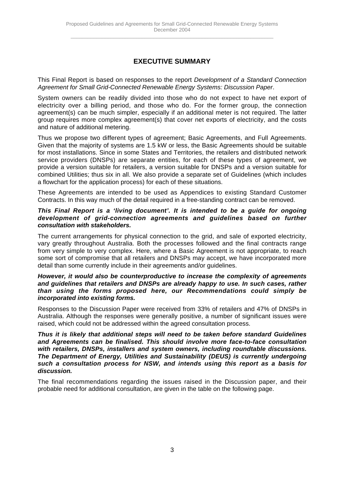# **EXECUTIVE SUMMARY**

This Final Report is based on responses to the report *Development of a Standard Connection Agreement for Small Grid-Connected Renewable Energy Systems: Discussion Paper*.

System owners can be readily divided into those who do not expect to have net export of electricity over a billing period, and those who do. For the former group, the connection agreement(s) can be much simpler, especially if an additional meter is not required. The latter group requires more complex agreement(s) that cover net exports of electricity, and the costs and nature of additional metering.

Thus we propose two different types of agreement; Basic Agreements, and Full Agreements. Given that the majority of systems are 1.5 kW or less, the Basic Agreements should be suitable for most installations. Since in some States and Territories, the retailers and distributed network service providers (DNSPs) are separate entities, for each of these types of agreement, we provide a version suitable for retailers, a version suitable for DNSPs and a version suitable for combined Utilities; thus six in all. We also provide a separate set of Guidelines (which includes a flowchart for the application process) for each of these situations.

These Agreements are intended to be used as Appendices to existing Standard Customer Contracts. In this way much of the detail required in a free-standing contract can be removed.

#### *This Final Report is a 'living document'. It is intended to be a guide for ongoing development of grid-connection agreements and guidelines based on further consultation with stakeholders.*

The current arrangements for physical connection to the grid, and sale of exported electricity, vary greatly throughout Australia. Both the processes followed and the final contracts range from very simple to very complex. Here, where a Basic Agreement is not appropriate, to reach some sort of compromise that all retailers and DNSPs may accept, we have incorporated more detail than some currently include in their agreements and/or guidelines.

#### *However, it would also be counterproductive to increase the complexity of agreements and guidelines that retailers and DNSPs are already happy to use. In such cases, rather than using the forms proposed here, our Recommendations could simply be incorporated into existing forms.*

Responses to the Discussion Paper were received from 33% of retailers and 47% of DNSPs in Australia. Although the responses were generally positive, a number of significant issues were raised, which could not be addressed within the agreed consultation process.

*Thus it is likely that additional steps will need to be taken before standard Guidelines and Agreements can be finalised. This should involve more face-to-face consultation with retailers, DNSPs, installers and system owners, including roundtable discussions. The Department of Energy, Utilities and Sustainability (DEUS) is currently undergoing such a consultation process for NSW, and intends using this report as a basis for discussion.*

The final recommendations regarding the issues raised in the Discussion paper, and their probable need for additional consultation, are given in the table on the following page.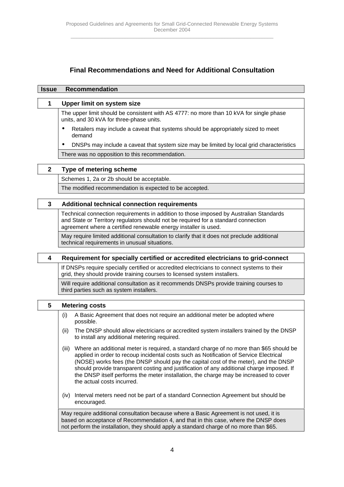# **Final Recommendations and Need for Additional Consultation**

| <b>Issue</b> | <b>Recommendation</b>                                                                                                                                                                                                                                                                                                                                                                                                                                                                                 |  |  |  |  |  |  |
|--------------|-------------------------------------------------------------------------------------------------------------------------------------------------------------------------------------------------------------------------------------------------------------------------------------------------------------------------------------------------------------------------------------------------------------------------------------------------------------------------------------------------------|--|--|--|--|--|--|
| 1            | <b>Upper limit on system size</b>                                                                                                                                                                                                                                                                                                                                                                                                                                                                     |  |  |  |  |  |  |
|              | The upper limit should be consistent with AS 4777: no more than 10 kVA for single phase<br>units, and 30 kVA for three-phase units.                                                                                                                                                                                                                                                                                                                                                                   |  |  |  |  |  |  |
|              | Retailers may include a caveat that systems should be appropriately sized to meet<br>٠<br>demand                                                                                                                                                                                                                                                                                                                                                                                                      |  |  |  |  |  |  |
|              | DNSPs may include a caveat that system size may be limited by local grid characteristics<br>٠                                                                                                                                                                                                                                                                                                                                                                                                         |  |  |  |  |  |  |
|              | There was no opposition to this recommendation.                                                                                                                                                                                                                                                                                                                                                                                                                                                       |  |  |  |  |  |  |
| $\mathbf{2}$ | Type of metering scheme                                                                                                                                                                                                                                                                                                                                                                                                                                                                               |  |  |  |  |  |  |
|              | Schemes 1, 2a or 2b should be acceptable.                                                                                                                                                                                                                                                                                                                                                                                                                                                             |  |  |  |  |  |  |
|              | The modified recommendation is expected to be accepted.                                                                                                                                                                                                                                                                                                                                                                                                                                               |  |  |  |  |  |  |
| 3            | <b>Additional technical connection requirements</b>                                                                                                                                                                                                                                                                                                                                                                                                                                                   |  |  |  |  |  |  |
|              | Technical connection requirements in addition to those imposed by Australian Standards<br>and State or Territory regulators should not be required for a standard connection<br>agreement where a certified renewable energy installer is used.                                                                                                                                                                                                                                                       |  |  |  |  |  |  |
|              | May require limited additional consultation to clarify that it does not preclude additional<br>technical requirements in unusual situations.                                                                                                                                                                                                                                                                                                                                                          |  |  |  |  |  |  |
| 4            | Requirement for specially certified or accredited electricians to grid-connect                                                                                                                                                                                                                                                                                                                                                                                                                        |  |  |  |  |  |  |
|              | If DNSPs require specially certified or accredited electricians to connect systems to their<br>grid, they should provide training courses to licensed system installers.                                                                                                                                                                                                                                                                                                                              |  |  |  |  |  |  |
|              | Will require additional consultation as it recommends DNSPs provide training courses to<br>third parties such as system installers.                                                                                                                                                                                                                                                                                                                                                                   |  |  |  |  |  |  |
| 5            | <b>Metering costs</b>                                                                                                                                                                                                                                                                                                                                                                                                                                                                                 |  |  |  |  |  |  |
|              | A Basic Agreement that does not require an additional meter be adopted where<br>(i)<br>possible.                                                                                                                                                                                                                                                                                                                                                                                                      |  |  |  |  |  |  |
|              | The DNSP should allow electricians or accredited system installers trained by the DNSP<br>(ii)<br>to install any additional metering required.                                                                                                                                                                                                                                                                                                                                                        |  |  |  |  |  |  |
|              | Where an additional meter is required, a standard charge of no more than \$65 should be<br>(iii)<br>applied in order to recoup incidental costs such as Notification of Service Electrical<br>(NOSE) works fees (the DNSP should pay the capital cost of the meter), and the DNSP<br>should provide transparent costing and justification of any additional charge imposed. If<br>the DNSP itself performs the meter installation, the charge may be increased to cover<br>the actual costs incurred. |  |  |  |  |  |  |
|              | Interval meters need not be part of a standard Connection Agreement but should be<br>(iv)<br>encouraged.                                                                                                                                                                                                                                                                                                                                                                                              |  |  |  |  |  |  |
|              | May require additional consultation because where a Basic Agreement is not used, it is<br>based on acceptance of Recommendation 4, and that in this case, where the DNSP does<br>not perform the installation, they should apply a standard charge of no more than \$65.                                                                                                                                                                                                                              |  |  |  |  |  |  |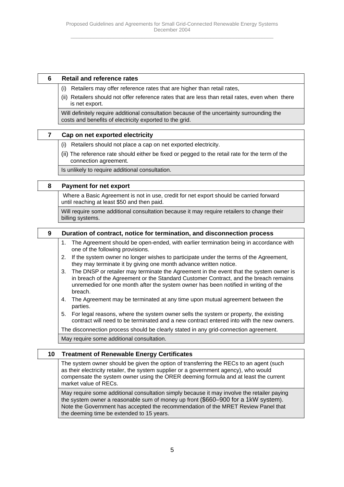#### **6 Retail and reference rates**

- (i) Retailers may offer reference rates that are higher than retail rates,
- (ii) Retailers should not offer reference rates that are less than retail rates, even when there is net export.

Will definitely require additional consultation because of the uncertainty surrounding the costs and benefits of electricity exported to the grid.

#### **7 Cap on net exported electricity**

- (i) Retailers should not place a cap on net exported electricity.
- (ii) The reference rate should either be fixed or pegged to the retail rate for the term of the connection agreement.

Is unlikely to require additional consultation.

#### **8 Payment for net export**

 Where a Basic Agreement is not in use, credit for net export should be carried forward until reaching at least \$50 and then paid.

Will require some additional consultation because it may require retailers to change their billing systems.

 **9 Duration of contract, notice for termination, and disconnection process**

- 1. The Agreement should be open-ended, with earlier termination being in accordance with one of the following provisions.
- 2. If the system owner no longer wishes to participate under the terms of the Agreement, they may terminate it by giving one month advance written notice.
- 3. The DNSP or retailer may terminate the Agreement in the event that the system owner is in breach of the Agreement or the Standard Customer Contract, and the breach remains unremedied for one month after the system owner has been notified in writing of the breach.
- 4. The Agreement may be terminated at any time upon mutual agreement between the parties.
- 5. For legal reasons, where the system owner sells the system or property, the existing contract will need to be terminated and a new contract entered into with the new owners.

The disconnection process should be clearly stated in any grid-connection agreement.

May require some additional consultation.

## **10 Treatment of Renewable Energy Certificates**

The system owner should be given the option of transferring the RECs to an agent (such as their electricity retailer, the system supplier or a government agency), who would compensate the system owner using the ORER deeming formula and at least the current market value of RECs.

May require some additional consultation simply because it may involve the retailer paying the system owner a reasonable sum of money up front (\$660–900 for a 1kW system). Note the Government has accepted the recommendation of the MRET Review Panel that the deeming time be extended to 15 years.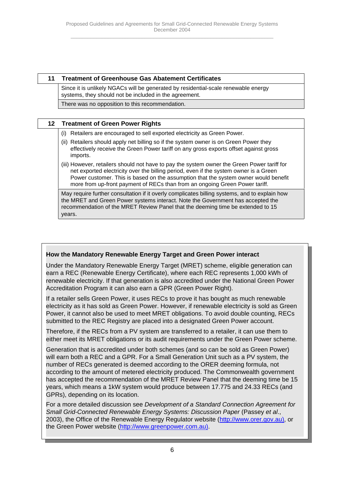## **11 Treatment of Greenhouse Gas Abatement Certificates**

Since it is unlikely NGACs will be generated by residential-scale renewable energy systems, they should not be included in the agreement.

There was no opposition to this recommendation.

#### **12 Treatment of Green Power Rights**

- (i) Retailers are encouraged to sell exported electricity as Green Power.
- (ii) Retailers should apply net billing so if the system owner is on Green Power they effectively receive the Green Power tariff on any gross exports offset against gross imports.
- (iii) However, retailers should not have to pay the system owner the Green Power tariff for net exported electricity over the billing period, even if the system owner is a Green Power customer. This is based on the assumption that the system owner would benefit more from up-front payment of RECs than from an ongoing Green Power tariff.

May require further consultation if it overly complicates billing systems, and to explain how the MRET and Green Power systems interact. Note the Government has accepted the recommendation of the MRET Review Panel that the deeming time be extended to 15 years.

## **How the Mandatory Renewable Energy Target and Green Power interact**

Under the Mandatory Renewable Energy Target (MRET) scheme, eligible generation can earn a REC (Renewable Energy Certificate), where each REC represents 1,000 kWh of renewable electricity. If that generation is also accredited under the National Green Power Accreditation Program it can also earn a GPR (Green Power Right).

If a retailer sells Green Power, it uses RECs to prove it has bought as much renewable electricity as it has sold as Green Power. However, if renewable electricity is sold as Green Power, it cannot also be used to meet MRET obligations. To avoid double counting, RECs submitted to the REC Registry are placed into a designated Green Power account.

Therefore, if the RECs from a PV system are transferred to a retailer, it can use them to either meet its MRET obligations or its audit requirements under the Green Power scheme.

Generation that is accredited under both schemes (and so can be sold as Green Power) will earn both a REC and a GPR. For a Small Generation Unit such as a PV system, the number of RECs generated is deemed according to the ORER deeming formula, not according to the amount of metered electricity produced. The Commonwealth government has accepted the recommendation of the MRET Review Panel that the deeming time be 15 years, which means a 1kW system would produce between 17.775 and 24.33 RECs (and GPRs), depending on its location.

For a more detailed discussion see *Development of a Standard Connection Agreement for Small Grid-Connected Renewable Energy Systems: Discussion Paper* (Passey *et al*., 2003), the Office of the Renewable Energy Regulator website (http://www.orer.gov.au), or the Green Power website (http://www.greenpower.com.au).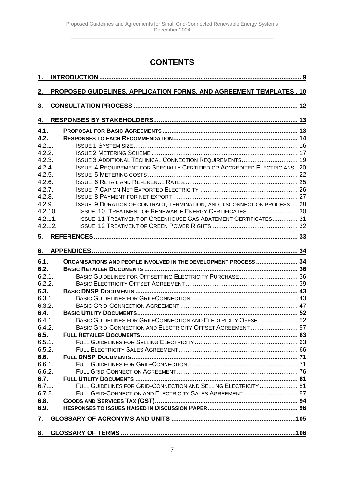# **CONTENTS**

<span id="page-6-0"></span>

| 1.        |                                                                                   |  |
|-----------|-----------------------------------------------------------------------------------|--|
|           |                                                                                   |  |
| 2.        | PROPOSED GUIDELINES, APPLICATION FORMS, AND AGREEMENT TEMPLATES . 10              |  |
|           |                                                                                   |  |
| 3.        |                                                                                   |  |
| <u>4.</u> |                                                                                   |  |
|           |                                                                                   |  |
| 4.1.      |                                                                                   |  |
| 4.2.      |                                                                                   |  |
| 4.2.1     |                                                                                   |  |
| 4.2.2.    |                                                                                   |  |
| 4.2.3.    | <b>ISSUE 3 ADDITIONAL TECHNICAL CONNECTION REQUIREMENTS 19</b>                    |  |
| 4.2.4.    | <b>ISSUE 4 REQUIREMENT FOR SPECIALLY CERTIFIED OR ACCREDITED ELECTRICIANS. 20</b> |  |
| 4.2.5.    |                                                                                   |  |
| 4.2.6.    |                                                                                   |  |
| 4.2.7.    |                                                                                   |  |
| 4.2.8.    |                                                                                   |  |
| 4.2.9.    | ISSUE 9 DURATION OF CONTRACT, TERMINATION, AND DISCONNECTION PROCESS 28           |  |
| 4.2.10.   | ISSUE 10 TREATMENT OF RENEWABLE ENERGY CERTIFICATES 30                            |  |
| 4.2.11.   | <b>ISSUE 11 TREATMENT OF GREENHOUSE GAS ABATEMENT CERTIFICATES 31</b>             |  |
| 4.2.12.   |                                                                                   |  |
| 5.        |                                                                                   |  |
|           |                                                                                   |  |
| 6.        |                                                                                   |  |
| 6.1.      | ORGANISATIONS AND PEOPLE INVOLVED IN THE DEVELOPMENT PROCESS  34                  |  |
| 6.2.      |                                                                                   |  |
| 6.2.1.    | BASIC GUIDELINES FOR OFFSETTING ELECTRICITY PURCHASE  36                          |  |
| 6.2.2.    |                                                                                   |  |
| 6.3.      |                                                                                   |  |
| 6.3.1.    |                                                                                   |  |
| 6.3.2.    |                                                                                   |  |
| 6.4.      |                                                                                   |  |
| 6.4.1.    | BASIC GUIDELINES FOR GRID-CONNECTION AND ELECTRICITY OFFSET  52                   |  |
| 6.4.2.    | BASIC GRID-CONNECTION AND ELECTRICITY OFFSET AGREEMENT  57                        |  |
| 6.5.      |                                                                                   |  |
| 6.5.1.    |                                                                                   |  |
| 6.5.2.    |                                                                                   |  |
| 6.6.      |                                                                                   |  |
| 6.6.1.    |                                                                                   |  |
|           |                                                                                   |  |
| 6.6.2.    |                                                                                   |  |
| 6.7.      |                                                                                   |  |
| 6.7.1.    | FULL GUIDELINES FOR GRID-CONNECTION AND SELLING ELECTRICITY  81                   |  |
| 6.7.2.    | FULL GRID-CONNECTION AND ELECTRICITY SALES AGREEMENT 87                           |  |
| 6.8.      |                                                                                   |  |
| 6.9.      |                                                                                   |  |
| 7.        |                                                                                   |  |
|           |                                                                                   |  |
| <u>8.</u> |                                                                                   |  |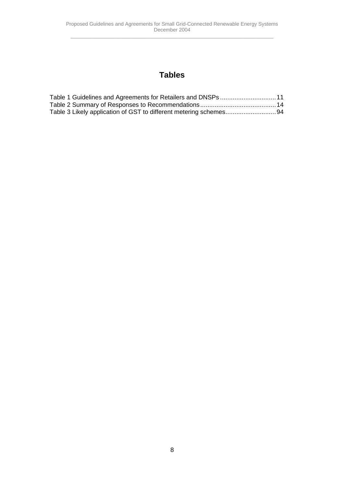# **Tables**

| Table 1 Guidelines and Agreements for Retailers and DNSPs 11 |  |
|--------------------------------------------------------------|--|
|                                                              |  |
|                                                              |  |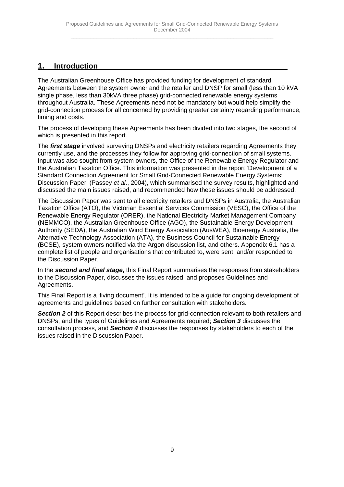# <span id="page-8-0"></span>**1. Introduction**

The Australian Greenhouse Office has provided funding for development of standard Agreements between the system owner and the retailer and DNSP for small (less than 10 kVA single phase, less than 30kVA three phase) grid-connected renewable energy systems throughout Australia. These Agreements need not be mandatory but would help simplify the grid-connection process for all concerned by providing greater certainty regarding performance, timing and costs.

The process of developing these Agreements has been divided into two stages, the second of which is presented in this report.

The *first stage* involved surveying DNSPs and electricity retailers regarding Agreements they currently use, and the processes they follow for approving grid-connection of small systems. Input was also sought from system owners, the Office of the Renewable Energy Regulator and the Australian Taxation Office. This information was presented in the report 'Development of a Standard Connection Agreement for Small Grid-Connected Renewable Energy Systems: Discussion Paper' (Passey *et al*., 2004), which summarised the survey results, highlighted and discussed the main issues raised, and recommended how these issues should be addressed.

The Discussion Paper was sent to all electricity retailers and DNSPs in Australia, the Australian Taxation Office (ATO), the Victorian Essential Services Commission (VESC), the Office of the Renewable Energy Regulator (ORER), the National Electricity Market Management Company (NEMMCO), the Australian Greenhouse Office (AGO), the Sustainable Energy Development Authority (SEDA), the Australian Wind Energy Association (AusWEA), Bioenergy Australia, the Alternative Technology Association (ATA), the Business Council for Sustainable Energy (BCSE), system owners notified via the Argon discussion list, and others. Appendix 6.1 has a complete list of people and organisations that contributed to, were sent, and/or responded to the Discussion Paper.

In the *second and final stage***,** this Final Report summarises the responses from stakeholders to the Discussion Paper, discusses the issues raised, and proposes Guidelines and Agreements.

This Final Report is a 'living document'. It is intended to be a guide for ongoing development of agreements and guidelines based on further consultation with stakeholders.

**Section 2** of this Report describes the process for grid-connection relevant to both retailers and DNSPs, and the types of Guidelines and Agreements required; *Section 3* discusses the consultation process, and *Section 4* discusses the responses by stakeholders to each of the issues raised in the Discussion Paper.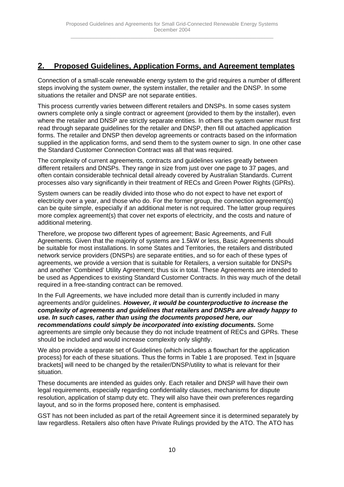# <span id="page-9-0"></span>**2. Proposed Guidelines, Application Forms, and Agreement templates**

Connection of a small-scale renewable energy system to the grid requires a number of different steps involving the system owner, the system installer, the retailer and the DNSP. In some situations the retailer and DNSP are not separate entities.

This process currently varies between different retailers and DNSPs. In some cases system owners complete only a single contract or agreement (provided to them by the installer), even where the retailer and DNSP are strictly separate entities. In others the system owner must first read through separate guidelines for the retailer and DNSP, then fill out attached application forms. The retailer and DNSP then develop agreements or contracts based on the information supplied in the application forms, and send them to the system owner to sign. In one other case the Standard Customer Connection Contract was all that was required.

The complexity of current agreements, contracts and guidelines varies greatly between different retailers and DNSPs. They range in size from just over one page to 37 pages, and often contain considerable technical detail already covered by Australian Standards. Current processes also vary significantly in their treatment of RECs and Green Power Rights (GPRs).

System owners can be readily divided into those who do not expect to have net export of electricity over a year, and those who do. For the former group, the connection agreement(s) can be quite simple, especially if an additional meter is not required. The latter group requires more complex agreement(s) that cover net exports of electricity, and the costs and nature of additional metering.

Therefore, we propose two different types of agreement; Basic Agreements, and Full Agreements. Given that the majority of systems are 1.5kW or less, Basic Agreements should be suitable for most installations. In some States and Territories, the retailers and distributed network service providers (DNSPs) are separate entities, and so for each of these types of agreements, we provide a version that is suitable for Retailers, a version suitable for DNSPs and another 'Combined' Utility Agreement; thus six in total. These Agreements are intended to be used as Appendices to existing Standard Customer Contracts. In this way much of the detail required in a free-standing contract can be removed.

In the Full Agreements, we have included more detail than is currently included in many agreements and/or guidelines. *However, it would be counterproductive to increase the complexity of agreements and guidelines that retailers and DNSPs are already happy to use. In such cases, rather than using the documents proposed here, our recommendations could simply be incorporated into existing documents.* Some agreements are simple only because they do not include treatment of RECs and GPRs. These should be included and would increase complexity only slightly.

We also provide a separate set of Guidelines (which includes a flowchart for the application process) for each of these situations. Thus the forms in Table 1 are proposed. Text in [square brackets] will need to be changed by the retailer/DNSP/utility to what is relevant for their situation.

These documents are intended as guides only. Each retailer and DNSP will have their own legal requirements, especially regarding confidentiality clauses, mechanisms for dispute resolution, application of stamp duty etc. They will also have their own preferences regarding layout, and so in the forms proposed here, content is emphasised.

GST has not been included as part of the retail Agreement since it is determined separately by law regardless. Retailers also often have Private Rulings provided by the ATO. The ATO has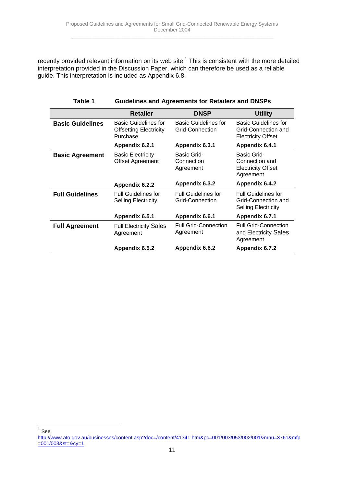<span id="page-10-0"></span>recently provided relevant information on its web site.<sup>1</sup> This is consistent with the more detailed interpretation provided in the Discussion Paper, which can therefore be used as a reliable guide. This interpretation is included as Appendix 6.8.

|                         | <b>Retailer</b>                                                          | <b>DNSP</b>                                    | <b>Utility</b>                                                                  |
|-------------------------|--------------------------------------------------------------------------|------------------------------------------------|---------------------------------------------------------------------------------|
| <b>Basic Guidelines</b> | <b>Basic Guidelines for</b><br><b>Offsetting Electricity</b><br>Purchase | <b>Basic Guidelines for</b><br>Grid-Connection | Basic Guidelines for<br>Grid-Connection and<br><b>Electricity Offset</b>        |
|                         | Appendix 6.2.1                                                           | Appendix 6.3.1                                 | Appendix 6.4.1                                                                  |
| <b>Basic Agreement</b>  | <b>Basic Electricity</b><br><b>Offset Agreement</b>                      | Basic Grid-<br>Connection<br>Agreement         | Basic Grid-<br>Connection and<br><b>Electricity Offset</b><br>Agreement         |
|                         | Appendix 6.2.2                                                           | Appendix 6.3.2                                 | Appendix 6.4.2                                                                  |
| <b>Full Guidelines</b>  | <b>Full Guidelines for</b><br><b>Selling Electricity</b>                 | <b>Full Guidelines for</b><br>Grid-Connection  | <b>Full Guidelines for</b><br>Grid-Connection and<br><b>Selling Electricity</b> |
|                         | Appendix 6.5.1                                                           | Appendix 6.6.1                                 | Appendix 6.7.1                                                                  |
| <b>Full Agreement</b>   | <b>Full Electricity Sales</b><br>Agreement                               | <b>Full Grid-Connection</b><br>Agreement       | <b>Full Grid-Connection</b><br>and Electricity Sales<br>Agreement               |
|                         | Appendix 6.5.2                                                           | Appendix 6.6.2                                 | Appendix 6.7.2                                                                  |

**Table 1 Guidelines and Agreements for Retailers and DNSPs**

 $1$  See

http://www.ato.gov.au/businesses/content.asp?doc=/content/41341.htm&pc=001/003/053/002/001&mnu=3761&mfp  $=001/003$ &st=&cy=1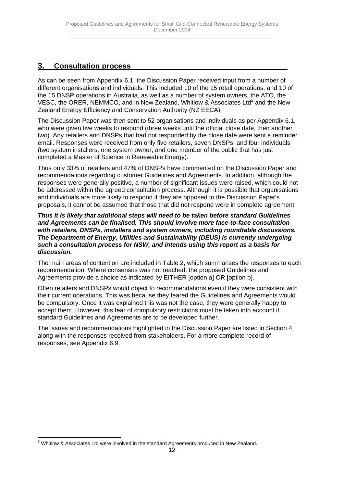# <span id="page-11-0"></span>**3. Consultation process**

As can be seen from Appendix 6.1, the Discussion Paper received input from a number of different organisations and individuals. This included 10 of the 15 retail operations, and 10 of the 15 DNSP operations in Australia, as well as a number of system owners, the ATO, the VESC, the ORER, NEMMCO, and in New Zealand, Whitlow & Associates Ltd<sup>2</sup> and the New Zealand Energy Efficiency and Conservation Authority (NZ EECA).

The Discussion Paper was then sent to 52 organisations and individuals as per Appendix 6.1, who were given five weeks to respond (three weeks until the official close date, then another two). Any retailers and DNSPs that had not responded by the close date were sent a reminder email. Responses were received from only five retailers, seven DNSPs, and four individuals (two system installers, one system owner, and one member of the public that has just completed a Master of Science in Renewable Energy).

Thus only 33% of retailers and 47% of DNSPs have commented on the Discussion Paper and recommendations regarding customer Guidelines and Agreements. In addition, although the responses were generally positive, a number of significant issues were raised, which could not be addressed within the agreed consultation process. Although it is possible that organisations and individuals are more likely to respond if they are opposed to the Discussion Paper's proposals, it cannot be assumed that those that did not respond were in complete agreement.

#### *Thus it is likely that additional steps will need to be taken before standard Guidelines and Agreements can be finalised. This should involve more face-to-face consultation with retailers, DNSPs, installers and system owners, including roundtable discussions. The Department of Energy, Utilities and Sustainability (DEUS) is currently undergoing such a consultation process for NSW, and intends using this report as a basis for discussion.*

The main areas of contention are included in Table 2, which summarises the responses to each recommendation. Where consensus was not reached, the proposed Guidelines and Agreements provide a choice as indicated by EITHER [option a] OR [option b].

Often retailers and DNSPs would object to recommendations even if they were consistent with their current operations. This was because they feared the Guidelines and Agreements would be compulsory. Once it was explained this was not the case, they were generally happy to accept them. However, this fear of compulsory restrictions must be taken into account if standard Guidelines and Agreements are to be developed further.

The issues and recommendations highlighted in the Discussion Paper are listed in Section 4, along with the responses received from stakeholders. For a more complete record of responses, see Appendix 6.9.

 <sup>2</sup> Whitlow & Associates Ltd were involved in the standard Agreements produced in New Zealand.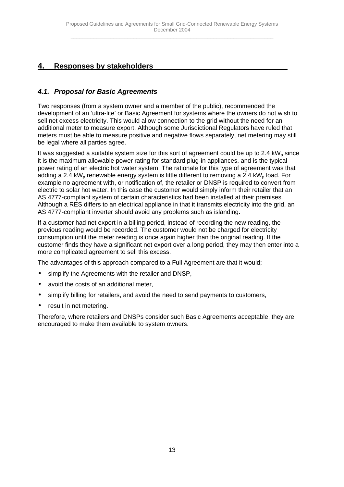# <span id="page-12-0"></span>**4. Responses by stakeholders**

# *4.1. Proposal for Basic Agreements*

Two responses (from a system owner and a member of the public), recommended the development of an 'ultra-lite' or Basic Agreement for systems where the owners do not wish to sell net excess electricity. This would allow connection to the grid without the need for an additional meter to measure export. Although some Jurisdictional Regulators have ruled that meters must be able to measure positive and negative flows separately, net metering may still be legal where all parties agree.

It was suggested a suitable system size for this sort of agreement could be up to 2.4  $kW<sub>p</sub>$  since it is the maximum allowable power rating for standard plug-in appliances, and is the typical power rating of an electric hot water system. The rationale for this type of agreement was that adding a 2.4 kW<sub>p</sub> renewable energy system is little different to removing a 2.4 kW<sub>p</sub> load. For example no agreement with, or notification of, the retailer or DNSP is required to convert from electric to solar hot water. In this case the customer would simply inform their retailer that an AS 4777-compliant system of certain characteristics had been installed at their premises. Although a RES differs to an electrical appliance in that it transmits electricity into the grid, an AS 4777-compliant inverter should avoid any problems such as islanding.

If a customer had net export in a billing period, instead of recording the new reading, the previous reading would be recorded. The customer would not be charged for electricity consumption until the meter reading is once again higher than the original reading. If the customer finds they have a significant net export over a long period, they may then enter into a more complicated agreement to sell this excess.

The advantages of this approach compared to a Full Agreement are that it would;

- simplify the Agreements with the retailer and DNSP,
- avoid the costs of an additional meter,
- simplify billing for retailers, and avoid the need to send payments to customers,
- result in net metering.

Therefore, where retailers and DNSPs consider such Basic Agreements acceptable, they are encouraged to make them available to system owners.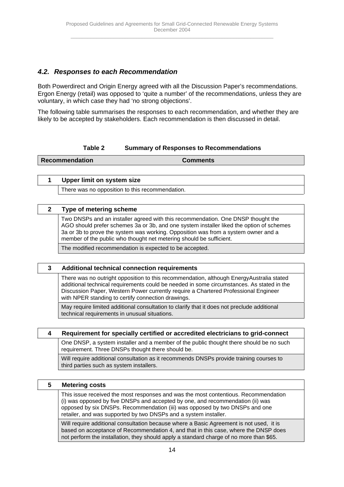# <span id="page-13-0"></span>*4.2. Responses to each Recommendation*

Both Powerdirect and Origin Energy agreed with all the Discussion Paper's recommendations. Ergon Energy (retail) was opposed to 'quite a number' of the recommendations, unless they are voluntary, in which case they had 'no strong objections'.

The following table summarises the responses to each recommendation, and whether they are likely to be accepted by stakeholders. Each recommendation is then discussed in detail.

## **Table 2 Summary of Responses to Recommendations**

**Recommendation Comments**

| Upper limit on system size                      |
|-------------------------------------------------|
| There was no opposition to this recommendation. |

#### **2 Type of metering scheme**

Two DNSPs and an installer agreed with this recommendation. One DNSP thought the AGO should prefer schemes 3a or 3b, and one system installer liked the option of schemes 3a or 3b to prove the system was working. Opposition was from a system owner and a member of the public who thought net metering should be sufficient.

The modified recommendation is expected to be accepted.

#### **3 Additional technical connection requirements**

There was no outright opposition to this recommendation, although EnergyAustralia stated additional technical requirements could be needed in some circumstances. As stated in the Discussion Paper, Western Power currently require a Chartered Professional Engineer with NPER standing to certify connection drawings.

May require limited additional consultation to clarify that it does not preclude additional technical requirements in unusual situations.

#### **4 Requirement for specially certified or accredited electricians to grid-connect**

One DNSP, a system installer and a member of the public thought there should be no such requirement. Three DNSPs thought there should be.

Will require additional consultation as it recommends DNSPs provide training courses to third parties such as system installers.

| 5 | <b>Metering costs</b>                                                                                                                                                                                                                                                                                                    |
|---|--------------------------------------------------------------------------------------------------------------------------------------------------------------------------------------------------------------------------------------------------------------------------------------------------------------------------|
|   | This issue received the most responses and was the most contentious. Recommendation<br>(i) was opposed by five DNSPs and accepted by one, and recommendation (ii) was<br>opposed by six DNSPs. Recommendation (iii) was opposed by two DNSPs and one<br>retailer, and was supported by two DNSPs and a system installer. |
|   | Will require additional consultation because where a Basic Agreement is not used, it is<br>based on acceptance of Recommendation 4, and that in this case, where the DNSP does                                                                                                                                           |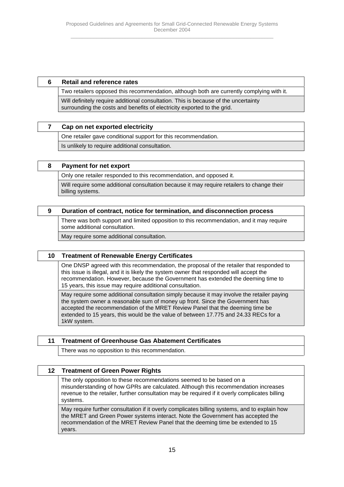#### **6 Retail and reference rates**

Two retailers opposed this recommendation, although both are currently complying with it. Will definitely require additional consultation. This is because of the uncertainty surrounding the costs and benefits of electricity exported to the grid.

#### **7 Cap on net exported electricity**

One retailer gave conditional support for this recommendation.

Is unlikely to require additional consultation.

#### **8 Payment for net export**

Only one retailer responded to this recommendation, and opposed it.

Will require some additional consultation because it may require retailers to change their billing systems.

#### **9 Duration of contract, notice for termination, and disconnection process**

There was both support and limited opposition to this recommendation, and it may require some additional consultation.

May require some additional consultation.

## **10 Treatment of Renewable Energy Certificates**

One DNSP agreed with this recommendation, the proposal of the retailer that responded to this issue is illegal, and it is likely the system owner that responded will accept the recommendation. However, because the Government has extended the deeming time to 15 years, this issue may require additional consultation.

May require some additional consultation simply because it may involve the retailer paying the system owner a reasonable sum of money up front. Since the Government has accepted the recommendation of the MRET Review Panel that the deeming time be extended to 15 years, this would be the value of between 17.775 and 24.33 RECs for a 1kW system.

#### **11 Treatment of Greenhouse Gas Abatement Certificates**

There was no opposition to this recommendation.

#### **12 Treatment of Green Power Rights**

The only opposition to these recommendations seemed to be based on a misunderstanding of how GPRs are calculated. Although this recommendation increases revenue to the retailer, further consultation may be required if it overly complicates billing systems.

May require further consultation if it overly complicates billing systems, and to explain how the MRET and Green Power systems interact. Note the Government has accepted the recommendation of the MRET Review Panel that the deeming time be extended to 15 years.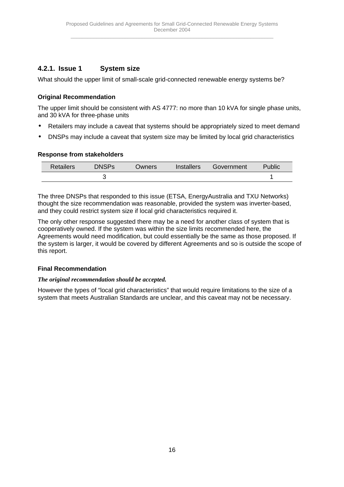# <span id="page-15-0"></span>**4.2.1. Issue 1 System size**

What should the upper limit of small-scale grid-connected renewable energy systems be?

## **Original Recommendation**

The upper limit should be consistent with AS 4777: no more than 10 kVA for single phase units, and 30 kVA for three-phase units

- Retailers may include a caveat that systems should be appropriately sized to meet demand
- DNSPs may include a caveat that system size may be limited by local grid characteristics

## **Response from stakeholders**

| <b>Retailers</b> | <b>DNSPs</b> | <b>Owners</b> | Installers | Government | Public |
|------------------|--------------|---------------|------------|------------|--------|
|                  |              |               |            |            |        |

The three DNSPs that responded to this issue (ETSA, EnergyAustralia and TXU Networks) thought the size recommendation was reasonable, provided the system was inverter-based, and they could restrict system size if local grid characteristics required it.

The only other response suggested there may be a need for another class of system that is cooperatively owned. If the system was within the size limits recommended here, the Agreements would need modification, but could essentially be the same as those proposed. If the system is larger, it would be covered by different Agreements and so is outside the scope of this report.

## **Final Recommendation**

## *The original recommendation should be accepted.*

However the types of "local grid characteristics" that would require limitations to the size of a system that meets Australian Standards are unclear, and this caveat may not be necessary.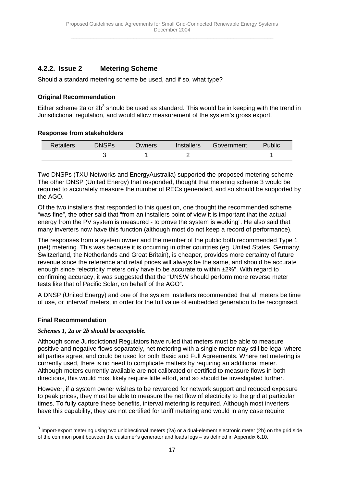# <span id="page-16-0"></span>**4.2.2. Issue 2 Metering Scheme**

Should a standard metering scheme be used, and if so, what type?

## **Original Recommendation**

Either scheme 2a or 2b<sup>3</sup> should be used as standard. This would be in keeping with the trend in Jurisdictional regulation, and would allow measurement of the system's gross export.

## **Response from stakeholders**

| <b>Retailers</b> | <b>DNSPs</b> | <b>Owners</b> | Installers | Government | Public |
|------------------|--------------|---------------|------------|------------|--------|
|                  |              |               |            |            |        |

Two DNSPs (TXU Networks and EnergyAustralia) supported the proposed metering scheme. The other DNSP (United Energy) that responded, thought that metering scheme 3 would be required to accurately measure the number of RECs generated, and so should be supported by the AGO.

Of the two installers that responded to this question, one thought the recommended scheme "was fine", the other said that "from an installers point of view it is important that the actual energy from the PV system is measured - to prove the system is working". He also said that many inverters now have this function (although most do not keep a record of performance).

The responses from a system owner and the member of the public both recommended Type 1 (net) metering. This was because it is occurring in other countries (eg. United States, Germany, Switzerland, the Netherlands and Great Britain), is cheaper, provides more certainty of future revenue since the reference and retail prices will always be the same, and should be accurate enough since "electricity meters only have to be accurate to within  $\pm 2\%$ ". With regard to confirming accuracy, it was suggested that the "UNSW should perform more reverse meter tests like that of Pacific Solar, on behalf of the AGO".

A DNSP (United Energy) and one of the system installers recommended that all meters be time of use, or 'interval' meters, in order for the full value of embedded generation to be recognised.

## **Final Recommendation**

#### *Schemes 1, 2a or 2b should be acceptable.*

Although some Jurisdictional Regulators have ruled that meters must be able to measure positive and negative flows separately, net metering with a single meter may still be legal where all parties agree, and could be used for both Basic and Full Agreements. Where net metering is currently used, there is no need to complicate matters by requiring an additional meter. Although meters currently available are not calibrated or certified to measure flows in both directions, this would most likely require little effort, and so should be investigated further.

However, if a system owner wishes to be rewarded for network support and reduced exposure to peak prices, they must be able to measure the net flow of electricity to the grid at particular times. To fully capture these benefits, interval metering is required. Although most inverters have this capability, they are not certified for tariff metering and would in any case require

 $3$  Import-export metering using two unidirectional meters (2a) or a dual-element electronic meter (2b) on the grid side of the common point between the customer's generator and loads legs – as defined in Appendix 6.10.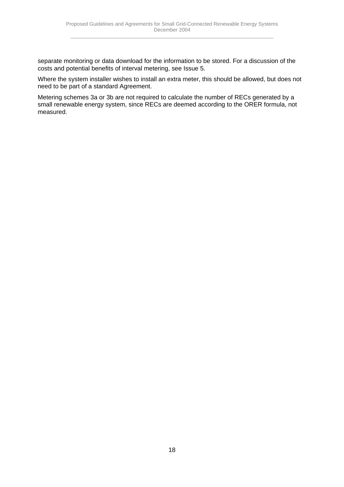separate monitoring or data download for the information to be stored. For a discussion of the costs and potential benefits of interval metering, see Issue 5.

Where the system installer wishes to install an extra meter, this should be allowed, but does not need to be part of a standard Agreement.

Metering schemes 3a or 3b are not required to calculate the number of RECs generated by a small renewable energy system, since RECs are deemed according to the ORER formula, not measured.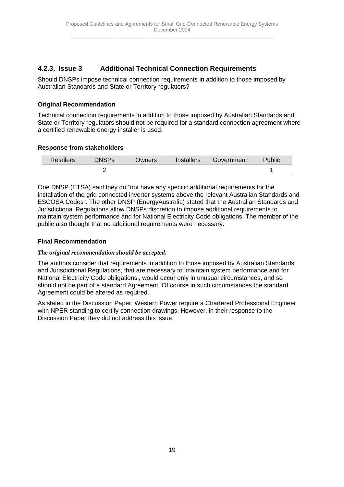# <span id="page-18-0"></span>**4.2.3. Issue 3 Additional Technical Connection Requirements**

Should DNSPs impose technical connection requirements in addition to those imposed by Australian Standards and State or Territory regulators?

## **Original Recommendation**

Technical connection requirements in addition to those imposed by Australian Standards and State or Territory regulators should not be required for a standard connection agreement where a certified renewable energy installer is used.

## **Response from stakeholders**

| <b>Retailers</b> | <b>DNSPs</b> | Owners | Installers | Government | Public |
|------------------|--------------|--------|------------|------------|--------|
|                  |              |        |            |            |        |

One DNSP (ETSA) said they do "not have any specific additional requirements for the installation of the grid connected inverter systems above the relevant Australian Standards and ESCOSA Codes". The other DNSP (EnergyAustralia) stated that the Australian Standards and Jurisdictional Regulations allow DNSPs discretion to impose additional requirements to maintain system performance and for National Electricity Code obligations. The member of the public also thought that no additional requirements were necessary.

## **Final Recommendation**

## *The original recommendation should be accepted.*

The authors consider that requirements in addition to those imposed by Australian Standards and Jurisdictional Regulations, that are necessary to 'maintain system performance and for National Electricity Code obligations', would occur only in unusual circumstances, and so should not be part of a standard Agreement. Of course in such circumstances the standard Agreement could be altered as required.

As stated in the Discussion Paper, Western Power require a Chartered Professional Engineer with NPER standing to certify connection drawings. However, in their response to the Discussion Paper they did not address this issue.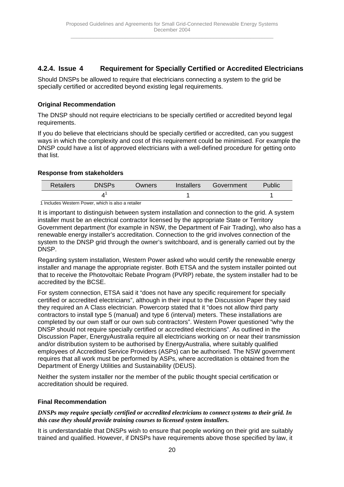# <span id="page-19-0"></span>**4.2.4. Issue 4 Requirement for Specially Certified or Accredited Electricians**

Should DNSPs be allowed to require that electricians connecting a system to the grid be specially certified or accredited beyond existing legal requirements.

## **Original Recommendation**

The DNSP should not require electricians to be specially certified or accredited beyond legal requirements.

If you do believe that electricians should be specially certified or accredited, can you suggest ways in which the complexity and cost of this requirement could be minimised. For example the DNSP could have a list of approved electricians with a well-defined procedure for getting onto that list.

## **Response from stakeholders**

| <b>Retailers</b>                                  | <b>DNSPs</b> | Owners | Installers | Government | Public |
|---------------------------------------------------|--------------|--------|------------|------------|--------|
|                                                   |              |        |            |            |        |
| 1 Included Meators Dougs which is also a retailer |              |        |            |            |        |

1 Includes Western Power, which is also a retailer

It is important to distinguish between system installation and connection to the grid. A system installer must be an electrical contractor licensed by the appropriate State or Territory Government department (for example in NSW, the Department of Fair Trading), who also has a renewable energy installer's accreditation. Connection to the grid involves connection of the system to the DNSP grid through the owner's switchboard, and is generally carried out by the DNSP.

Regarding system installation, Western Power asked who would certify the renewable energy installer and manage the appropriate register. Both ETSA and the system installer pointed out that to receive the Photovoltaic Rebate Program (PVRP) rebate, the system installer had to be accredited by the BCSE.

For system connection, ETSA said it "does not have any specific requirement for specially certified or accredited electricians", although in their input to the Discussion Paper they said they required an A Class electrician. Powercorp stated that it "does not allow third party contractors to install type 5 (manual) and type 6 (interval) meters. These installations are completed by our own staff or our own sub contractors". Western Power questioned "why the DNSP should not require specially certified or accredited electricians". As outlined in the Discussion Paper, EnergyAustralia require all electricians working on or near their transmission and/or distribution system to be authorised by EnergyAustralia, where suitably qualified employees of Accredited Service Providers (ASPs) can be authorised. The NSW government requires that all work must be performed by ASPs, where accreditation is obtained from the Department of Energy Utilities and Sustainability (DEUS).

Neither the system installer nor the member of the public thought special certification or accreditation should be required.

## **Final Recommendation**

*DNSPs may require specially certified or accredited electricians to connect systems to their grid. In this case they should provide training courses to licensed system installers.*

It is understandable that DNSPs wish to ensure that people working on their grid are suitably trained and qualified. However, if DNSPs have requirements above those specified by law, it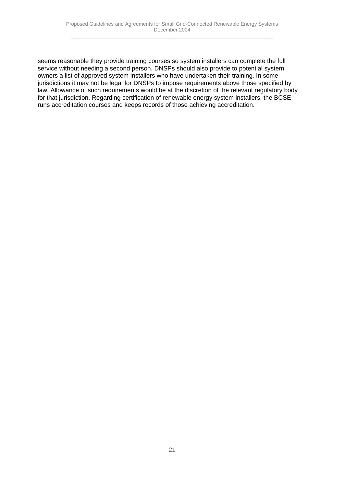seems reasonable they provide training courses so system installers can complete the full service without needing a second person. DNSPs should also provide to potential system owners a list of approved system installers who have undertaken their training. In some jurisdictions it may not be legal for DNSPs to impose requirements above those specified by law. Allowance of such requirements would be at the discretion of the relevant regulatory body for that jurisdiction. Regarding certification of renewable energy system installers, the BCSE runs accreditation courses and keeps records of those achieving accreditation.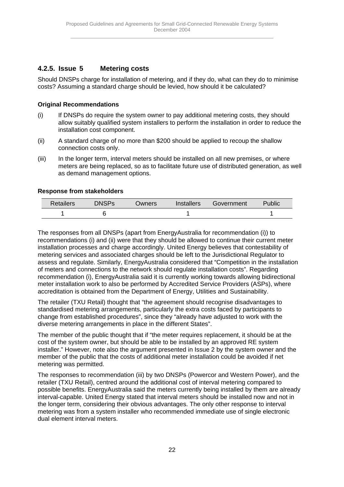# <span id="page-21-0"></span>**4.2.5. Issue 5 Metering costs**

Should DNSPs charge for installation of metering, and if they do, what can they do to minimise costs? Assuming a standard charge should be levied, how should it be calculated?

## **Original Recommendations**

- (i) If DNSPs do require the system owner to pay additional metering costs, they should allow suitably qualified system installers to perform the installation in order to reduce the installation cost component.
- (ii) A standard charge of no more than \$200 should be applied to recoup the shallow connection costs only.
- (iii) In the longer term, interval meters should be installed on all new premises, or where meters are being replaced, so as to facilitate future use of distributed generation, as well as demand management options.

## **Response from stakeholders**

| <b>Retailers</b> | <b>DNSPs</b> | Owners | Installers | Government | Public |  |
|------------------|--------------|--------|------------|------------|--------|--|
|                  |              |        |            |            |        |  |

The responses from all DNSPs (apart from EnergyAustralia for recommendation (i)) to recommendations (i) and (ii) were that they should be allowed to continue their current meter installation processes and charge accordingly. United Energy believes that contestability of metering services and associated charges should be left to the Jurisdictional Regulator to assess and regulate. Similarly, EnergyAustralia considered that "Competition in the installation of meters and connections to the network should regulate installation costs". Regarding recommendation (i), EnergyAustralia said it is currently working towards allowing bidirectional meter installation work to also be performed by Accredited Service Providers (ASPs), where accreditation is obtained from the Department of Energy, Utilities and Sustainability.

The retailer (TXU Retail) thought that "the agreement should recognise disadvantages to standardised metering arrangements, particularly the extra costs faced by participants to change from established procedures", since they "already have adjusted to work with the diverse metering arrangements in place in the different States".

The member of the public thought that if "the meter requires replacement, it should be at the cost of the system owner, but should be able to be installed by an approved RE system installer." However, note also the argument presented in Issue 2 by the system owner and the member of the public that the costs of additional meter installation could be avoided if net metering was permitted.

The responses to recommendation (iii) by two DNSPs (Powercor and Western Power), and the retailer (TXU Retail), centred around the additional cost of interval metering compared to possible benefits. EnergyAustralia said the meters currently being installed by them are already interval-capable. United Energy stated that interval meters should be installed now and not in the longer term, considering their obvious advantages. The only other response to interval metering was from a system installer who recommended immediate use of single electronic dual element interval meters.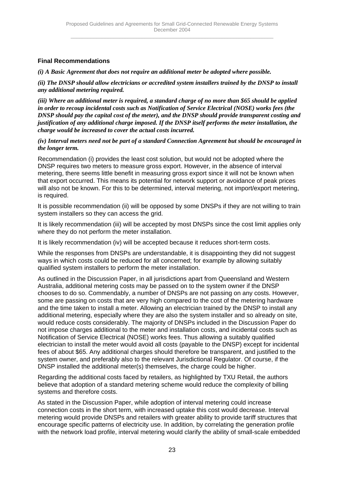## **Final Recommendations**

*(i) A Basic Agreement that does not require an additional meter be adopted where possible.*

*(ii) The DNSP should allow electricians or accredited system installers trained by the DNSP to install any additional metering required.*

*(iii) Where an additional meter is required, a standard charge of no more than \$65 should be applied in order to recoup incidental costs such as Notification of Service Electrical (NOSE) works fees (the DNSP should pay the capital cost of the meter), and the DNSP should provide transparent costing and justification of any additional charge imposed. If the DNSP itself performs the meter installation, the charge would be increased to cover the actual costs incurred.*

*(iv) Interval meters need not be part of a standard Connection Agreement but should be encouraged in the longer term.*

Recommendation (i) provides the least cost solution, but would not be adopted where the DNSP requires two meters to measure gross export. However, in the absence of interval metering, there seems little benefit in measuring gross export since it will not be known when that export occurred. This means its potential for network support or avoidance of peak prices will also not be known. For this to be determined, interval metering, not import/export metering, is required.

It is possible recommendation (ii) will be opposed by some DNSPs if they are not willing to train system installers so they can access the grid.

It is likely recommendation (iii) will be accepted by most DNSPs since the cost limit applies only where they do not perform the meter installation.

It is likely recommendation (iv) will be accepted because it reduces short-term costs.

While the responses from DNSPs are understandable, it is disappointing they did not suggest ways in which costs could be reduced for all concerned; for example by allowing suitably qualified system installers to perform the meter installation.

As outlined in the Discussion Paper, in all jurisdictions apart from Queensland and Western Australia, additional metering costs may be passed on to the system owner if the DNSP chooses to do so. Commendably, a number of DNSPs are not passing on any costs. However, some are passing on costs that are very high compared to the cost of the metering hardware and the time taken to install a meter. Allowing an electrician trained by the DNSP to install any additional metering, especially where they are also the system installer and so already on site, would reduce costs considerably. The majority of DNSPs included in the Discussion Paper do not impose charges additional to the meter and installation costs, and incidental costs such as Notification of Service Electrical (NOSE) works fees. Thus allowing a suitably qualified electrician to install the meter would avoid all costs (payable to the DNSP) except for incidental fees of about \$65. Any additional charges should therefore be transparent, and justified to the system owner, and preferably also to the relevant Jurisdictional Regulator. Of course, if the DNSP installed the additional meter(s) themselves, the charge could be higher.

Regarding the additional costs faced by retailers, as highlighted by TXU Retail, the authors believe that adoption of a standard metering scheme would reduce the complexity of billing systems and therefore costs.

As stated in the Discussion Paper, while adoption of interval metering could increase connection costs in the short term, with increased uptake this cost would decrease. Interval metering would provide DNSPs and retailers with greater ability to provide tariff structures that encourage specific patterns of electricity use. In addition, by correlating the generation profile with the network load profile, interval metering would clarify the ability of small-scale embedded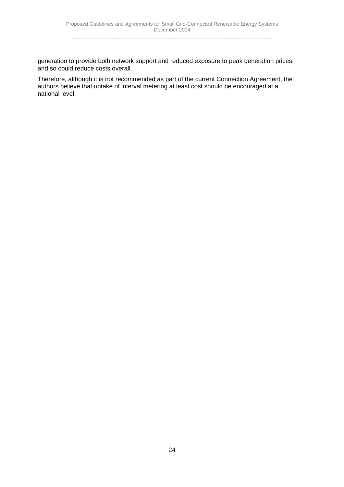generation to provide both network support and reduced exposure to peak generation prices, and so could reduce costs overall.

Therefore, although it is not recommended as part of the current Connection Agreement, the authors believe that uptake of interval metering at least cost should be encouraged at a national level.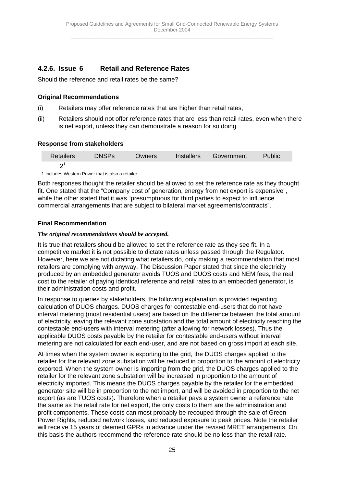# <span id="page-24-0"></span>**4.2.6. Issue 6 Retail and Reference Rates**

Should the reference and retail rates be the same?

## **Original Recommendations**

- (i) Retailers may offer reference rates that are higher than retail rates,
- (ii) Retailers should not offer reference rates that are less than retail rates, even when there is net export, unless they can demonstrate a reason for so doing.

#### **Response from stakeholders**

| <b>Retailers</b> | <b>DNSPs</b> | <b>Owners</b> | <i>Installers</i> | Government | Public |
|------------------|--------------|---------------|-------------------|------------|--------|
|                  |              |               |                   |            |        |

1 Includes Western Power that is also a retailer

Both responses thought the retailer should be allowed to set the reference rate as they thought fit. One stated that the "Company cost of generation, energy from net export is expensive", while the other stated that it was "presumptuous for third parties to expect to influence commercial arrangements that are subject to bilateral market agreements/contracts".

## **Final Recommendation**

#### *The original recommendations should be accepted.*

It is true that retailers should be allowed to set the reference rate as they see fit. In a competitive market it is not possible to dictate rates unless passed through the Regulator. However, here we are not dictating what retailers do, only making a recommendation that most retailers are complying with anyway. The Discussion Paper stated that since the electricity produced by an embedded generator avoids TUOS and DUOS costs and NEM fees, the real cost to the retailer of paying identical reference and retail rates to an embedded generator, is their administration costs and profit.

In response to queries by stakeholders, the following explanation is provided regarding calculation of DUOS charges. DUOS charges for contestable end-users that do not have interval metering (most residential users) are based on the difference between the total amount of electricity leaving the relevant zone substation and the total amount of electricity reaching the contestable end-users with interval metering (after allowing for network losses). Thus the applicable DUOS costs payable by the retailer for contestable end-users without interval metering are not calculated for each end-user, and are not based on gross import at each site.

At times when the system owner is exporting to the grid, the DUOS charges applied to the retailer for the relevant zone substation will be reduced in proportion to the amount of electricity exported. When the system owner is importing from the grid, the DUOS charges applied to the retailer for the relevant zone substation will be increased in proportion to the amount of electricity imported. This means the DUOS charges payable by the retailer for the embedded generator site will be in proportion to the net import, and will be avoided in proportion to the net export (as are TUOS costs). Therefore when a retailer pays a system owner a reference rate the same as the retail rate for net export, the only costs to them are the administration and profit components. These costs can most probably be recouped through the sale of Green Power Rights, reduced network losses, and reduced exposure to peak prices. Note the retailer will receive 15 years of deemed GPRs in advance under the revised MRET arrangements. On this basis the authors recommend the reference rate should be no less than the retail rate.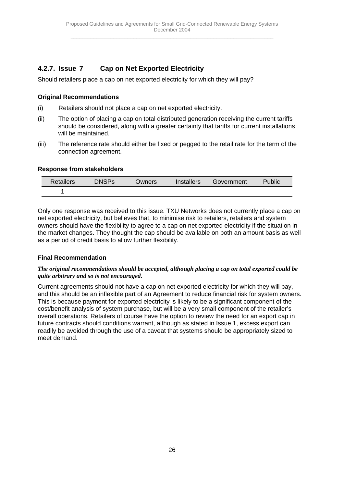# <span id="page-25-0"></span>**4.2.7. Issue 7 Cap on Net Exported Electricity**

Should retailers place a cap on net exported electricity for which they will pay?

## **Original Recommendations**

- (i) Retailers should not place a cap on net exported electricity.
- (ii) The option of placing a cap on total distributed generation receiving the current tariffs should be considered, along with a greater certainty that tariffs for current installations will be maintained.
- (iii) The reference rate should either be fixed or pegged to the retail rate for the term of the connection agreement.

#### **Response from stakeholders**

| Retailers | <b>DNSPs</b> | <b>Owners</b> | Installers | Government | Public |
|-----------|--------------|---------------|------------|------------|--------|
|           |              |               |            |            |        |

Only one response was received to this issue. TXU Networks does not currently place a cap on net exported electricity, but believes that, to minimise risk to retailers, retailers and system owners should have the flexibility to agree to a cap on net exported electricity if the situation in the market changes. They thought the cap should be available on both an amount basis as well as a period of credit basis to allow further flexibility.

## **Final Recommendation**

#### *The original recommendations should be accepted, although placing a cap on total exported could be quite arbitrary and so is not encouraged.*

Current agreements should not have a cap on net exported electricity for which they will pay, and this should be an inflexible part of an Agreement to reduce financial risk for system owners. This is because payment for exported electricity is likely to be a significant component of the cost/benefit analysis of system purchase, but will be a very small component of the retailer's overall operations. Retailers of course have the option to review the need for an export cap in future contracts should conditions warrant, although as stated in Issue 1, excess export can readily be avoided through the use of a caveat that systems should be appropriately sized to meet demand.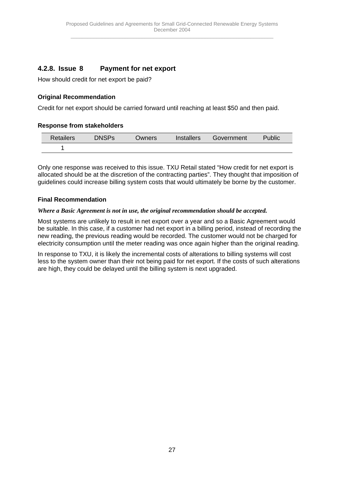# <span id="page-26-0"></span>**4.2.8. Issue 8 Payment for net export**

How should credit for net export be paid?

## **Original Recommendation**

Credit for net export should be carried forward until reaching at least \$50 and then paid.

## **Response from stakeholders**

| Retailers | <b>DNSPs</b> | Owners | Installers | Government | Public |
|-----------|--------------|--------|------------|------------|--------|
|           |              |        |            |            |        |

Only one response was received to this issue. TXU Retail stated "How credit for net export is allocated should be at the discretion of the contracting parties". They thought that imposition of guidelines could increase billing system costs that would ultimately be borne by the customer.

## **Final Recommendation**

#### *Where a Basic Agreement is not in use, the original recommendation should be accepted.*

Most systems are unlikely to result in net export over a year and so a Basic Agreement would be suitable. In this case, if a customer had net export in a billing period, instead of recording the new reading, the previous reading would be recorded. The customer would not be charged for electricity consumption until the meter reading was once again higher than the original reading.

In response to TXU, it is likely the incremental costs of alterations to billing systems will cost less to the system owner than their not being paid for net export. If the costs of such alterations are high, they could be delayed until the billing system is next upgraded.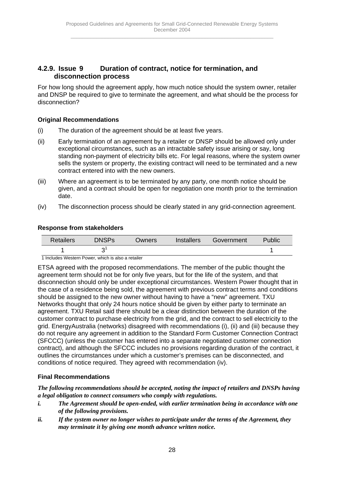# <span id="page-27-0"></span>**4.2.9. Issue 9 Duration of contract, notice for termination, and disconnection process**

For how long should the agreement apply, how much notice should the system owner, retailer and DNSP be required to give to terminate the agreement, and what should be the process for disconnection?

## **Original Recommendations**

- (i) The duration of the agreement should be at least five years.
- (ii) Early termination of an agreement by a retailer or DNSP should be allowed only under exceptional circumstances, such as an intractable safety issue arising or say, long standing non-payment of electricity bills etc. For legal reasons, where the system owner sells the system or property, the existing contract will need to be terminated and a new contract entered into with the new owners.
- (iii) Where an agreement is to be terminated by any party, one month notice should be given, and a contract should be open for negotiation one month prior to the termination date.
- (iv) The disconnection process should be clearly stated in any grid-connection agreement.

## **Response from stakeholders**

| Retailers | <b>DNSPs</b> | Owners | Installers | Government | Public |
|-----------|--------------|--------|------------|------------|--------|
|           | ⌒            |        |            |            |        |

1 Includes Western Power, which is also a retailer

ETSA agreed with the proposed recommendations. The member of the public thought the agreement term should not be for only five years, but for the life of the system, and that disconnection should only be under exceptional circumstances. Western Power thought that in the case of a residence being sold, the agreement with previous contract terms and conditions should be assigned to the new owner without having to have a "new" agreement. TXU Networks thought that only 24 hours notice should be given by either party to terminate an agreement. TXU Retail said there should be a clear distinction between the duration of the customer contract to purchase electricity from the grid, and the contract to sell electricity to the grid. EnergyAustralia (networks) disagreed with recommendations (i), (ii) and (iii) because they do not require any agreement in addition to the Standard Form Customer Connection Contract (SFCCC) (unless the customer has entered into a separate negotiated customer connection contract), and although the SFCCC includes no provisions regarding duration of the contract, it outlines the circumstances under which a customer's premises can be disconnected, and conditions of notice required. They agreed with recommendation (iv).

## **Final Recommendations**

*The following recommendations should be accepted, noting the impact of retailers and DNSPs having a legal obligation to connect consumers who comply with regulations.*

- *i. The Agreement should be open-ended, with earlier termination being in accordance with one of the following provisions.*
- *ii. If the system owner no longer wishes to participate under the terms of the Agreement, they may terminate it by giving one month advance written notice.*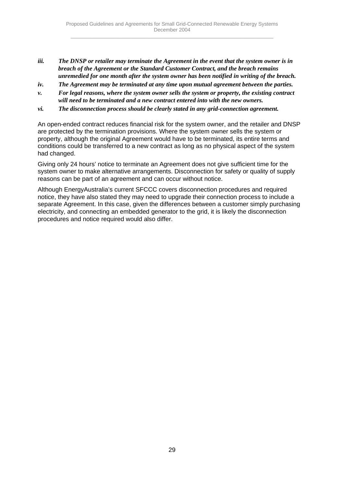- *iii. The DNSP or retailer may terminate the Agreement in the event that the system owner is in breach of the Agreement or the Standard Customer Contract, and the breach remains unremedied for one month after the system owner has been notified in writing of the breach.*
- *iv. The Agreement may be terminated at any time upon mutual agreement between the parties.*
- *v. For legal reasons, where the system owner sells the system or property, the existing contract will need to be terminated and a new contract entered into with the new owners.*
- *vi. The disconnection process should be clearly stated in any grid-connection agreement.*

An open-ended contract reduces financial risk for the system owner, and the retailer and DNSP are protected by the termination provisions. Where the system owner sells the system or property, although the original Agreement would have to be terminated, its entire terms and conditions could be transferred to a new contract as long as no physical aspect of the system had changed.

Giving only 24 hours' notice to terminate an Agreement does not give sufficient time for the system owner to make alternative arrangements. Disconnection for safety or quality of supply reasons can be part of an agreement and can occur without notice.

Although EnergyAustralia's current SFCCC covers disconnection procedures and required notice, they have also stated they may need to upgrade their connection process to include a separate Agreement. In this case, given the differences between a customer simply purchasing electricity, and connecting an embedded generator to the grid, it is likely the disconnection procedures and notice required would also differ.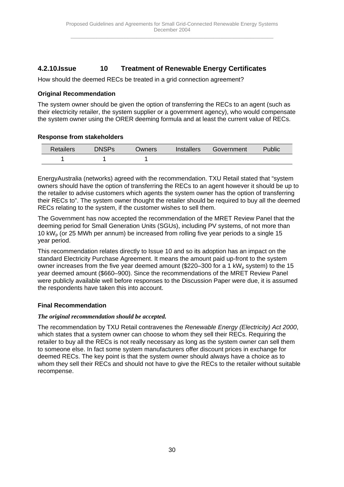# <span id="page-29-0"></span>**4.2.10. Issue 10 Treatment of Renewable Energy Certificates**

How should the deemed RECs be treated in a grid connection agreement?

## **Original Recommendation**

The system owner should be given the option of transferring the RECs to an agent (such as their electricity retailer, the system supplier or a government agency), who would compensate the system owner using the ORER deeming formula and at least the current value of RECs.

## **Response from stakeholders**

| <b>Retailers</b> | <b>DNSPs</b> | Owners | Installers | Government | Public |
|------------------|--------------|--------|------------|------------|--------|
|                  |              |        |            |            |        |

EnergyAustralia (networks) agreed with the recommendation. TXU Retail stated that "system owners should have the option of transferring the RECs to an agent however it should be up to the retailer to advise customers which agents the system owner has the option of transferring their RECs to". The system owner thought the retailer should be required to buy all the deemed RECs relating to the system, if the customer wishes to sell them.

The Government has now accepted the recommendation of the MRET Review Panel that the deeming period for Small Generation Units (SGUs), including PV systems, of not more than 10 kW<sub>p</sub> (or 25 MWh per annum) be increased from rolling five year periods to a single 15 year period.

This recommendation relates directly to Issue 10 and so its adoption has an impact on the standard Electricity Purchase Agreement. It means the amount paid up-front to the system owner increases from the five year deemed amount (\$220–300 for a 1 kW<sub>p</sub> system) to the 15 year deemed amount (\$660–900). Since the recommendations of the MRET Review Panel were publicly available well before responses to the Discussion Paper were due, it is assumed the respondents have taken this into account.

## **Final Recommendation**

## *The original recommendation should be accepted.*

The recommendation by TXU Retail contravenes the *Renewable Energy (Electricity) Act 2000*, which states that a system owner can choose to whom they sell their RECs. Requiring the retailer to buy all the RECs is not really necessary as long as the system owner can sell them to someone else. In fact some system manufacturers offer discount prices in exchange for deemed RECs. The key point is that the system owner should always have a choice as to whom they sell their RECs and should not have to give the RECs to the retailer without suitable recompense.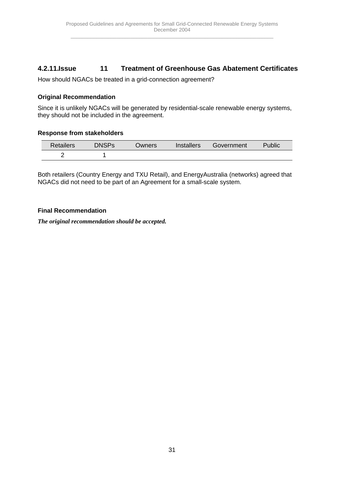# <span id="page-30-0"></span>**4.2.11. Issue 11 Treatment of Greenhouse Gas Abatement Certificates**

How should NGACs be treated in a grid-connection agreement?

## **Original Recommendation**

Since it is unlikely NGACs will be generated by residential-scale renewable energy systems, they should not be included in the agreement.

#### **Response from stakeholders**

| Retailers | <b>DNSPs</b> | Owners | <i>Installers</i> | Government | Public |
|-----------|--------------|--------|-------------------|------------|--------|
|           |              |        |                   |            |        |

Both retailers (Country Energy and TXU Retail), and EnergyAustralia (networks) agreed that NGACs did not need to be part of an Agreement for a small-scale system.

#### **Final Recommendation**

*The original recommendation should be accepted.*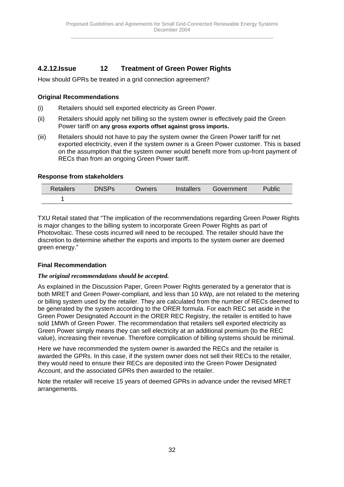# <span id="page-31-0"></span>**4.2.12. Issue 12 Treatment of Green Power Rights**

How should GPRs be treated in a grid connection agreement?

## **Original Recommendations**

- (i) Retailers should sell exported electricity as Green Power.
- (ii) Retailers should apply net billing so the system owner is effectively paid the Green Power tariff on **any gross exports offset against gross imports.**
- (iii) Retailers should not have to pay the system owner the Green Power tariff for net exported electricity, even if the system owner is a Green Power customer. This is based on the assumption that the system owner would benefit more from up-front payment of RECs than from an ongoing Green Power tariff.

## **Response from stakeholders**

| <b>Retailers</b> | <b>DNSPs</b> | <b>Owners</b> | <b>Installers</b> | Government | Public |
|------------------|--------------|---------------|-------------------|------------|--------|
|                  |              |               |                   |            |        |

TXU Retail stated that "The implication of the recommendations regarding Green Power Rights is major changes to the billing system to incorporate Green Power Rights as part of Photovoltaic. These costs incurred will need to be recouped. The retailer should have the discretion to determine whether the exports and imports to the system owner are deemed green energy."

## **Final Recommendation**

## *The original recommendations should be accepted.*

As explained in the Discussion Paper, Green Power Rights generated by a generator that is both MRET and Green Power-compliant, and less than 10 kWp, are not related to the metering or billing system used by the retailer. They are calculated from the number of RECs deemed to be generated by the system according to the ORER formula. For each REC set aside in the Green Power Designated Account in the ORER REC Registry, the retailer is entitled to have sold 1MWh of Green Power. The recommendation that retailers sell exported electricity as Green Power simply means they can sell electricity at an additional premium (to the REC value), increasing their revenue. Therefore complication of billing systems should be minimal.

Here we have recommended the system owner is awarded the RECs and the retailer is awarded the GPRs. In this case, if the system owner does not sell their RECs to the retailer, they would need to ensure their RECs are deposited into the Green Power Designated Account, and the associated GPRs then awarded to the retailer.

Note the retailer will receive 15 years of deemed GPRs in advance under the revised MRET arrangements.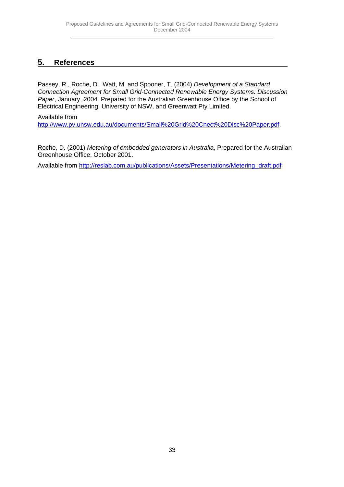# <span id="page-32-0"></span>**5. References**

Passey, R., Roche, D., Watt, M. and Spooner, T. (2004) *Development of a Standard Connection Agreement for Small Grid-Connected Renewable Energy Systems: Discussion Paper*, January, 2004. Prepared for the Australian Greenhouse Office by the School of Electrical Engineering, University of NSW, and Greenwatt Pty Limited.

Available from

http://www.pv.unsw.edu.au/documents/Small%20Grid%20Cnect%20Disc%20Paper.pdf.

Roche, D. (2001) *Metering of embedded generators in Australia*, Prepared for the Australian Greenhouse Office, October 2001.

Available from http://reslab.com.au/publications/Assets/Presentations/Metering\_draft.pdf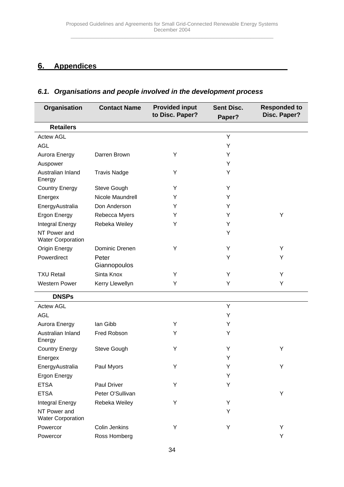# <span id="page-33-0"></span>**6. Appendices**

# *6.1. Organisations and people involved in the development process*

| Organisation                             | <b>Contact Name</b>   | <b>Provided input</b><br>to Disc. Paper? | <b>Sent Disc.</b><br>Paper? | <b>Responded to</b><br>Disc. Paper? |
|------------------------------------------|-----------------------|------------------------------------------|-----------------------------|-------------------------------------|
| <b>Retailers</b>                         |                       |                                          |                             |                                     |
| <b>Actew AGL</b>                         |                       |                                          | Y                           |                                     |
| <b>AGL</b>                               |                       |                                          | Y                           |                                     |
| Aurora Energy                            | Darren Brown          | Υ                                        | Y                           |                                     |
| Auspower                                 |                       |                                          | Y                           |                                     |
| Australian Inland<br>Energy              | <b>Travis Nadge</b>   | Υ                                        | Y                           |                                     |
| <b>Country Energy</b>                    | Steve Gough           | Y                                        | Y                           |                                     |
| Energex                                  | Nicole Maundrell      | Υ                                        | Y                           |                                     |
| EnergyAustralia                          | Don Anderson          | Y                                        | Y                           |                                     |
| <b>Ergon Energy</b>                      | Rebecca Myers         | Y                                        | Y                           | Y                                   |
| Integral Energy                          | Rebeka Weiley         | Y                                        | Υ                           |                                     |
| NT Power and<br><b>Water Corporation</b> |                       |                                          | Υ                           |                                     |
| Origin Energy                            | Dominic Drenen        | Υ                                        | Υ                           | Y                                   |
| Powerdirect                              | Peter<br>Giannopoulos |                                          | Υ                           | Y                                   |
| <b>TXU Retail</b>                        | Sinta Knox            | Υ                                        | Υ                           | Y                                   |
| <b>Western Power</b>                     | Kerry Llewellyn       | Υ                                        | Y                           | Y                                   |
| <b>DNSPs</b>                             |                       |                                          |                             |                                     |
| <b>Actew AGL</b>                         |                       |                                          | Y                           |                                     |
| <b>AGL</b>                               |                       |                                          | Y                           |                                     |
| Aurora Energy                            | lan Gibb              | Y                                        | Y                           |                                     |
| Australian Inland<br>Energy              | Fred Robson           | Y                                        | Y                           |                                     |
| <b>Country Energy</b>                    | Steve Gough           | Υ                                        | Y                           | Υ                                   |
| Energex                                  |                       |                                          | Υ                           |                                     |
| EnergyAustralia                          | Paul Myors            | Υ                                        | Υ                           | Y                                   |
| <b>Ergon Energy</b>                      |                       |                                          | Υ                           |                                     |
| <b>ETSA</b>                              | Paul Driver           | Υ                                        | Y                           |                                     |
| <b>ETSA</b>                              | Peter O'Sullivan      |                                          |                             | Y                                   |
| Integral Energy                          | Rebeka Weiley         | Υ                                        | Υ                           |                                     |
| NT Power and<br><b>Water Corporation</b> |                       |                                          | Υ                           |                                     |
| Powercor                                 | Colin Jenkins         | Υ                                        | Υ                           | Y                                   |
| Powercor                                 | Ross Homberg          |                                          |                             | Υ                                   |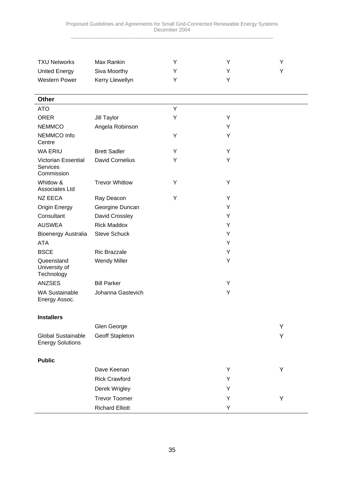| <b>TXU Networks</b>                                  | Max Rankin             | Y | Υ | Υ |
|------------------------------------------------------|------------------------|---|---|---|
| <b>United Energy</b>                                 | Siva Moorthy           | Y | Y | Y |
| <b>Western Power</b>                                 | Kerry Llewellyn        | Y | Y |   |
|                                                      |                        |   |   |   |
| <b>Other</b>                                         |                        |   |   |   |
| <b>ATO</b>                                           |                        | Υ |   |   |
| <b>ORER</b>                                          | Jill Taylor            | Y | Y |   |
| <b>NEMMCO</b>                                        | Angela Robinson        |   | Y |   |
| NEMMCO Info<br>Centre                                |                        | Y | Υ |   |
| <b>WA ERIU</b>                                       | <b>Brett Sadler</b>    | Y | Y |   |
| <b>Victorian Essential</b><br>Services<br>Commission | <b>David Cornelius</b> | Y | Y |   |
| Whitlow &<br>Associates Ltd                          | <b>Trevor Whitlow</b>  | Y | Y |   |
| <b>NZ EECA</b>                                       | Ray Deacon             | Y | Y |   |
| <b>Origin Energy</b>                                 | Georgine Duncan        |   | Y |   |
| Consultant                                           | David Crossley         |   | Y |   |
| <b>AUSWEA</b>                                        | <b>Rick Maddox</b>     |   | Y |   |
| Bioenergy Australia                                  | <b>Steve Schuck</b>    |   | Y |   |
| <b>ATA</b>                                           |                        |   | Y |   |
| <b>BSCE</b>                                          | <b>Ric Brazzale</b>    |   | Y |   |
| Queensland<br>University of<br>Technology            | <b>Wendy Miller</b>    |   | Υ |   |
| <b>ANZSES</b>                                        | <b>Bill Parker</b>     |   | Y |   |
| <b>WA Sustainable</b><br>Energy Assoc.               | Johanna Gastevich      |   | Y |   |
| <b>Installers</b>                                    |                        |   |   |   |
|                                                      | Glen George            |   |   | Υ |
| <b>Global Sustainable</b><br><b>Energy Solutions</b> | Geoff Stapleton        |   |   | Y |
| <b>Public</b>                                        |                        |   |   |   |
|                                                      | Dave Keenan            |   | Y | Υ |
|                                                      | <b>Rick Crawford</b>   |   | Y |   |
|                                                      | Derek Wrigley          |   | Y |   |
|                                                      | <b>Trevor Toomer</b>   |   | Υ | Y |
|                                                      | <b>Richard Elliott</b> |   | Y |   |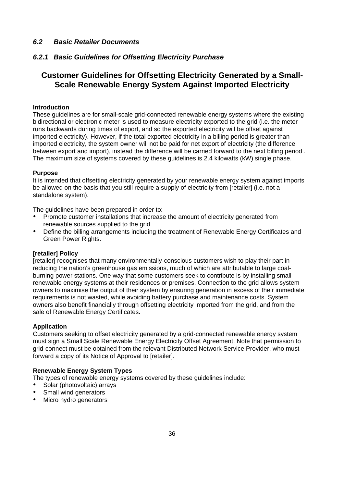# <span id="page-35-0"></span>*6.2 Basic Retailer Documents*

## *6.2.1 Basic Guidelines for Offsetting Electricity Purchase*

# **Customer Guidelines for Offsetting Electricity Generated by a Small-Scale Renewable Energy System Against Imported Electricity**

#### **Introduction**

These guidelines are for small-scale grid-connected renewable energy systems where the existing bidirectional or electronic meter is used to measure electricity exported to the grid (i.e. the meter runs backwards during times of export, and so the exported electricity will be offset against imported electricity). However, if the total exported electricity in a billing period is greater than imported electricity, the system owner will not be paid for net export of electricity (the difference between export and import), instead the difference will be carried forward to the next billing period . The maximum size of systems covered by these guidelines is 2.4 kilowatts (kW) single phase.

#### **Purpose**

It is intended that offsetting electricity generated by your renewable energy system against imports be allowed on the basis that you still require a supply of electricity from [retailer] (i.e. not a standalone system).

The guidelines have been prepared in order to:

- Promote customer installations that increase the amount of electricity generated from renewable sources supplied to the grid
- Define the billing arrangements including the treatment of Renewable Energy Certificates and Green Power Rights.

#### **[retailer] Policy**

[retailer] recognises that many environmentally-conscious customers wish to play their part in reducing the nation's greenhouse gas emissions, much of which are attributable to large coalburning power stations. One way that some customers seek to contribute is by installing small renewable energy systems at their residences or premises. Connection to the grid allows system owners to maximise the output of their system by ensuring generation in excess of their immediate requirements is not wasted, while avoiding battery purchase and maintenance costs. System owners also benefit financially through offsetting electricity imported from the grid, and from the sale of Renewable Energy Certificates.

#### **Application**

Customers seeking to offset electricity generated by a grid-connected renewable energy system must sign a Small Scale Renewable Energy Electricity Offset Agreement. Note that permission to grid-connect must be obtained from the relevant Distributed Network Service Provider, who must forward a copy of its Notice of Approval to [retailer].

## **Renewable Energy System Types**

The types of renewable energy systems covered by these guidelines include:

- Solar (photovoltaic) arrays
- Small wind generators
- Micro hydro generators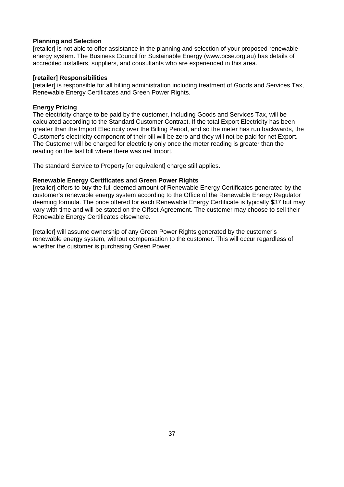## **Planning and Selection**

[retailer] is not able to offer assistance in the planning and selection of your proposed renewable energy system. The Business Council for Sustainable Energy (www.bcse.org.au) has details of accredited installers, suppliers, and consultants who are experienced in this area.

## **[retailer] Responsibilities**

[retailer] is responsible for all billing administration including treatment of Goods and Services Tax, Renewable Energy Certificates and Green Power Rights.

# **Energy Pricing**

The electricity charge to be paid by the customer, including Goods and Services Tax, will be calculated according to the Standard Customer Contract. If the total Export Electricity has been greater than the Import Electricity over the Billing Period, and so the meter has run backwards, the Customer's electricity component of their bill will be zero and they will not be paid for net Export. The Customer will be charged for electricity only once the meter reading is greater than the reading on the last bill where there was net Import.

The standard Service to Property [or equivalent] charge still applies.

# **Renewable Energy Certificates and Green Power Rights**

[retailer] offers to buy the full deemed amount of Renewable Energy Certificates generated by the customer's renewable energy system according to the Office of the Renewable Energy Regulator deeming formula. The price offered for each Renewable Energy Certificate is typically \$37 but may vary with time and will be stated on the Offset Agreement. The customer may choose to sell their Renewable Energy Certificates elsewhere.

[retailer] will assume ownership of any Green Power Rights generated by the customer's renewable energy system, without compensation to the customer. This will occur regardless of whether the customer is purchasing Green Power.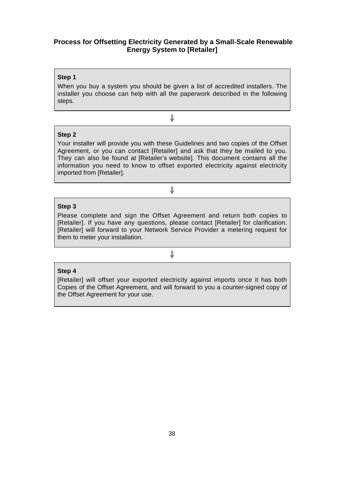# **Process for Offsetting Electricity Generated by a Small-Scale Renewable Energy System to [Retailer]**

## **Step 1**

When you buy a system you should be given a list of accredited installers. The installer you choose can help with all the paperwork described in the following steps.

⇓

## **Step 2**

Your installer will provide you with these Guidelines and two copies of the Offset Agreement, or you can contact [Retailer] and ask that they be mailed to you. They can also be found at [Retailer's website]. This document contains all the information you need to know to offset exported electricity against electricity imported from [Retailer].

⇓

# **Step 3**

Please complete and sign the Offset Agreement and return both copies to [Retailer]. If you have any questions, please contact [Retailer] for clarification. [Retailer] will forward to your Network Service Provider a metering request for them to meter your installation.

# ⇓

## **Step 4**

[Retailer] will offset your exported electricity against imports once it has both Copies of the Offset Agreement, and will forward to you a counter-signed copy of the Offset Agreement for your use.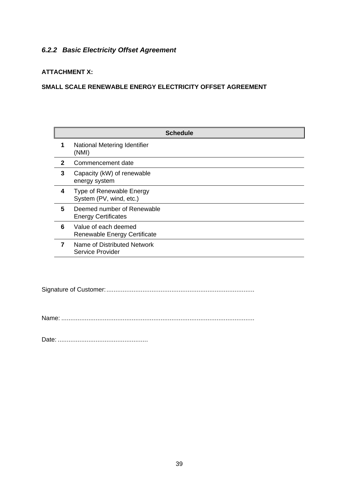# *6.2.2 Basic Electricity Offset Agreement*

# **ATTACHMENT X:**

# **SMALL SCALE RENEWABLE ENERGY ELECTRICITY OFFSET AGREEMENT**

|   | <b>Schedule</b>                                          |  |
|---|----------------------------------------------------------|--|
| 1 | National Metering Identifier<br>(NMI)                    |  |
| 2 | Commencement date                                        |  |
| 3 | Capacity (kW) of renewable<br>energy system              |  |
| 4 | Type of Renewable Energy<br>System (PV, wind, etc.)      |  |
| 5 | Deemed number of Renewable<br><b>Energy Certificates</b> |  |
| 6 | Value of each deemed<br>Renewable Energy Certificate     |  |
| 7 | Name of Distributed Network<br>Service Provider          |  |

Signature of Customer:..................................................................................

Name: ...........................................................................................................

Date: ..................................................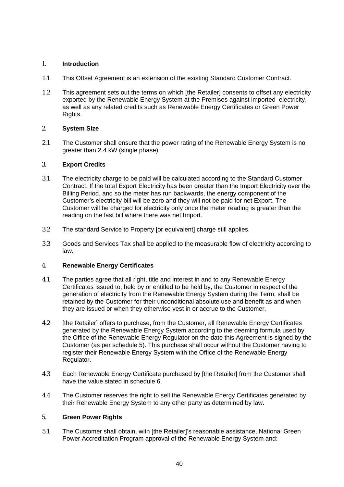# 1. **Introduction**

- 1.1 This Offset Agreement is an extension of the existing Standard Customer Contract.
- 1.2 This agreement sets out the terms on which [the Retailer] consents to offset any electricity exported by the Renewable Energy System at the Premises against imported electricity, as well as any related credits such as Renewable Energy Certificates or Green Power Rights.

# 2. **System Size**

2.1 The Customer shall ensure that the power rating of the Renewable Energy System is no greater than 2.4 kW (single phase).

# 3. **Export Credits**

- 3.1 The electricity charge to be paid will be calculated according to the Standard Customer Contract. If the total Export Electricity has been greater than the Import Electricity over the Billing Period, and so the meter has run backwards, the energy component of the Customer's electricity bill will be zero and they will not be paid for net Export. The Customer will be charged for electricity only once the meter reading is greater than the reading on the last bill where there was net Import.
- 3.2 The standard Service to Property [or equivalent] charge still applies.
- 3.3 Goods and Services Tax shall be applied to the measurable flow of electricity according to law.

# 4. **Renewable Energy Certificates**

- 4.1 The parties agree that all right, title and interest in and to any Renewable Energy Certificates issued to, held by or entitled to be held by, the Customer in respect of the generation of electricity from the Renewable Energy System during the Term, shall be retained by the Customer for their unconditional absolute use and benefit as and when they are issued or when they otherwise vest in or accrue to the Customer.
- 4.2 [the Retailer] offers to purchase, from the Customer, all Renewable Energy Certificates generated by the Renewable Energy System according to the deeming formula used by the Office of the Renewable Energy Regulator on the date this Agreement is signed by the Customer (as per schedule 5). This purchase shall occur without the Customer having to register their Renewable Energy System with the Office of the Renewable Energy Regulator.
- 4.3 Each Renewable Energy Certificate purchased by [the Retailer] from the Customer shall have the value stated in schedule 6.
- 4.4 The Customer reserves the right to sell the Renewable Energy Certificates generated by their Renewable Energy System to any other party as determined by law.

# 5. **Green Power Rights**

5.1 The Customer shall obtain, with [the Retailer]'s reasonable assistance, National Green Power Accreditation Program approval of the Renewable Energy System and: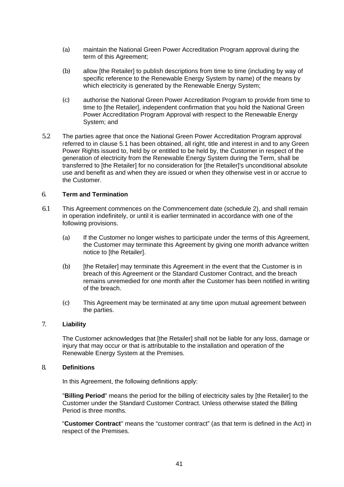- (a) maintain the National Green Power Accreditation Program approval during the term of this Agreement;
- (b) allow [the Retailer] to publish descriptions from time to time (including by way of specific reference to the Renewable Energy System by name) of the means by which electricity is generated by the Renewable Energy System;
- (c) authorise the National Green Power Accreditation Program to provide from time to time to [the Retailer], independent confirmation that you hold the National Green Power Accreditation Program Approval with respect to the Renewable Energy System; and
- 5.2 The parties agree that once the National Green Power Accreditation Program approval referred to in clause 5.1 has been obtained, all right, title and interest in and to any Green Power Rights issued to, held by or entitled to be held by, the Customer in respect of the generation of electricity from the Renewable Energy System during the Term, shall be transferred to [the Retailer] for no consideration for [the Retailer]'s unconditional absolute use and benefit as and when they are issued or when they otherwise vest in or accrue to the Customer.

## 6. **Term and Termination**

- 6.1 This Agreement commences on the Commencement date (schedule 2), and shall remain in operation indefinitely, or until it is earlier terminated in accordance with one of the following provisions.
	- (a) If the Customer no longer wishes to participate under the terms of this Agreement, the Customer may terminate this Agreement by giving one month advance written notice to [the Retailer].
	- (b) [the Retailer] may terminate this Agreement in the event that the Customer is in breach of this Agreement or the Standard Customer Contract, and the breach remains unremedied for one month after the Customer has been notified in writing of the breach.
	- (c) This Agreement may be terminated at any time upon mutual agreement between the parties.

# 7. **Liability**

The Customer acknowledges that [the Retailer] shall not be liable for any loss, damage or injury that may occur or that is attributable to the installation and operation of the Renewable Energy System at the Premises.

# 8. **Definitions**

In this Agreement, the following definitions apply:

"**Billing Period**" means the period for the billing of electricity sales by [the Retailer] to the Customer under the Standard Customer Contract. Unless otherwise stated the Billing Period is three months.

"**Customer Contract**" means the "customer contract" (as that term is defined in the Act) in respect of the Premises.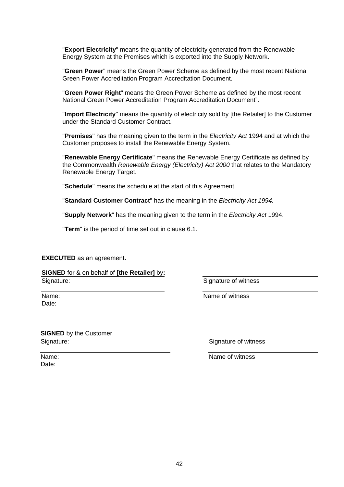"**Export Electricity**" means the quantity of electricity generated from the Renewable Energy System at the Premises which is exported into the Supply Network.

"**Green Power**" means the Green Power Scheme as defined by the most recent National Green Power Accreditation Program Accreditation Document.

"**Green Power Right**" means the Green Power Scheme as defined by the most recent National Green Power Accreditation Program Accreditation Document".

"**Import Electricity**" means the quantity of electricity sold by [the Retailer] to the Customer under the Standard Customer Contract.

"**Premises**" has the meaning given to the term in the *Electricity Act* 1994 and at which the Customer proposes to install the Renewable Energy System.

"**Renewable Energy Certificate**" means the Renewable Energy Certificate as defined by the Commonwealth *Renewable Energy (Electricity) Act 2000* that relates to the Mandatory Renewable Energy Target.

"**Schedule**" means the schedule at the start of this Agreement.

"**Standard Customer Contract**" has the meaning in the *Electricity Act 1994.*

"**Supply Network**" has the meaning given to the term in the *Electricity Act* 1994.

"**Term**" is the period of time set out in clause 6.1.

**EXECUTED** as an agreement**.**

**SIGNED** for & on behalf of **[the Retailer]** by**:** Signature:

Signature of witness

| Name: |
|-------|
| Date: |

Name of witness

**SIGNED** by the Customer Signature:

Signature of witness

Name of witness

Name: Date: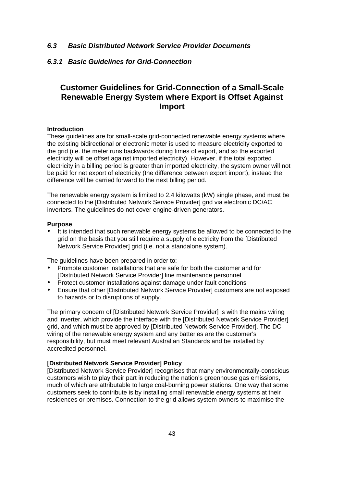## *6.3 Basic Distributed Network Service Provider Documents*

## *6.3.1 Basic Guidelines for Grid-Connection*

# **Customer Guidelines for Grid-Connection of a Small-Scale Renewable Energy System where Export is Offset Against Import**

## **Introduction**

These guidelines are for small-scale grid-connected renewable energy systems where the existing bidirectional or electronic meter is used to measure electricity exported to the grid (i.e. the meter runs backwards during times of export, and so the exported electricity will be offset against imported electricity). However, if the total exported electricity in a billing period is greater than imported electricity, the system owner will not be paid for net export of electricity (the difference between export import), instead the difference will be carried forward to the next billing period.

The renewable energy system is limited to 2.4 kilowatts (kW) single phase, and must be connected to the [Distributed Network Service Provider] grid via electronic DC/AC inverters. The guidelines do not cover engine-driven generators.

## **Purpose**

It is intended that such renewable energy systems be allowed to be connected to the grid on the basis that you still require a supply of electricity from the [Distributed Network Service Provider] grid (i.e. not a standalone system).

The quidelines have been prepared in order to:

- Promote customer installations that are safe for both the customer and for [Distributed Network Service Provider] line maintenance personnel
- Protect customer installations against damage under fault conditions
- Ensure that other [Distributed Network Service Provider] customers are not exposed to hazards or to disruptions of supply.

The primary concern of [Distributed Network Service Provider] is with the mains wiring and inverter, which provide the interface with the [Distributed Network Service Provider] grid, and which must be approved by [Distributed Network Service Provider]. The DC wiring of the renewable energy system and any batteries are the customer's responsibility, but must meet relevant Australian Standards and be installed by accredited personnel.

## **[Distributed Network Service Provider] Policy**

[Distributed Network Service Provider] recognises that many environmentally-conscious customers wish to play their part in reducing the nation's greenhouse gas emissions, much of which are attributable to large coal-burning power stations. One way that some customers seek to contribute is by installing small renewable energy systems at their residences or premises. Connection to the grid allows system owners to maximise the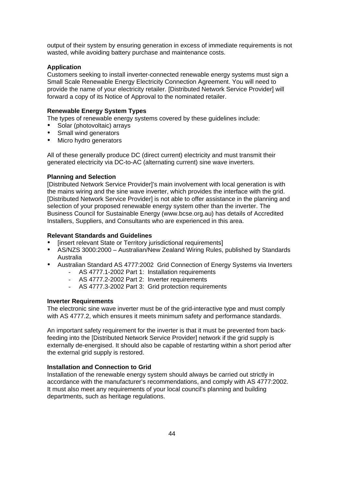output of their system by ensuring generation in excess of immediate requirements is not wasted, while avoiding battery purchase and maintenance costs.

## **Application**

Customers seeking to install inverter-connected renewable energy systems must sign a Small Scale Renewable Energy Electricity Connection Agreement. You will need to provide the name of your electricity retailer. [Distributed Network Service Provider] will forward a copy of its Notice of Approval to the nominated retailer.

## **Renewable Energy System Types**

The types of renewable energy systems covered by these guidelines include:

- Solar (photovoltaic) arrays
- Small wind generators
- Micro hydro generators

All of these generally produce DC (direct current) electricity and must transmit their generated electricity via DC-to-AC (alternating current) sine wave inverters.

## **Planning and Selection**

[Distributed Network Service Provider]'s main involvement with local generation is with the mains wiring and the sine wave inverter, which provides the interface with the grid. [Distributed Network Service Provider] is not able to offer assistance in the planning and selection of your proposed renewable energy system other than the inverter. The Business Council for Sustainable Energy (www.bcse.org.au) has details of Accredited Installers, Suppliers, and Consultants who are experienced in this area.

## **Relevant Standards and Guidelines**

- [insert relevant State or Territory jurisdictional requirements]
- AS/NZS 3000:2000 Australian/New Zealand Wiring Rules, published by Standards Australia
- Australian Standard AS 4777:2002 Grid Connection of Energy Systems via Inverters
	- AS 4777.1-2002 Part 1: Installation requirements
	- AS 4777.2-2002 Part 2: Inverter requirements
	- AS 4777.3-2002 Part 3: Grid protection requirements

### **Inverter Requirements**

The electronic sine wave inverter must be of the grid-interactive type and must comply with AS 4777.2, which ensures it meets minimum safety and performance standards.

An important safety requirement for the inverter is that it must be prevented from backfeeding into the [Distributed Network Service Provider] network if the grid supply is externally de-energised. It should also be capable of restarting within a short period after the external grid supply is restored.

## **Installation and Connection to Grid**

Installation of the renewable energy system should always be carried out strictly in accordance with the manufacturer's recommendations, and comply with AS 4777:2002. It must also meet any requirements of your local council's planning and building departments, such as heritage regulations.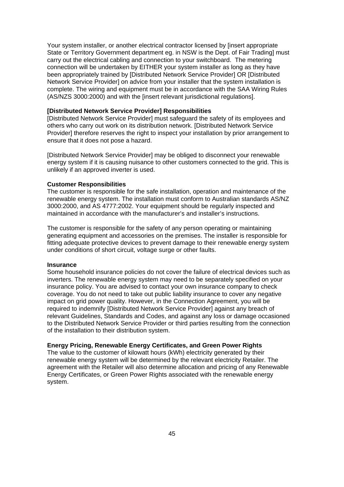Your system installer, or another electrical contractor licensed by [insert appropriate State or Territory Government department eg. in NSW is the Dept. of Fair Trading] must carry out the electrical cabling and connection to your switchboard. The metering connection will be undertaken by EITHER your system installer as long as they have been appropriately trained by [Distributed Network Service Provider] OR [Distributed Network Service Provider] on advice from your installer that the system installation is complete. The wiring and equipment must be in accordance with the SAA Wiring Rules (AS/NZS 3000:2000) and with the [insert relevant jurisdictional regulations].

## **[Distributed Network Service Provider] Responsibilities**

[Distributed Network Service Provider] must safeguard the safety of its employees and others who carry out work on its distribution network. [Distributed Network Service Provider] therefore reserves the right to inspect your installation by prior arrangement to ensure that it does not pose a hazard.

[Distributed Network Service Provider] may be obliged to disconnect your renewable energy system if it is causing nuisance to other customers connected to the grid. This is unlikely if an approved inverter is used.

#### **Customer Responsibilities**

The customer is responsible for the safe installation, operation and maintenance of the renewable energy system. The installation must conform to Australian standards AS/NZ 3000:2000, and AS 4777:2002. Your equipment should be regularly inspected and maintained in accordance with the manufacturer's and installer's instructions.

The customer is responsible for the safety of any person operating or maintaining generating equipment and accessories on the premises. The installer is responsible for fitting adequate protective devices to prevent damage to their renewable energy system under conditions of short circuit, voltage surge or other faults.

## **Insurance**

Some household insurance policies do not cover the failure of electrical devices such as inverters. The renewable energy system may need to be separately specified on your insurance policy. You are advised to contact your own insurance company to check coverage. You do not need to take out public liability insurance to cover any negative impact on grid power quality. However, in the Connection Agreement, you will be required to indemnify [Distributed Network Service Provider] against any breach of relevant Guidelines, Standards and Codes, and against any loss or damage occasioned to the Distributed Network Service Provider or third parties resulting from the connection of the installation to their distribution system.

## **Energy Pricing, Renewable Energy Certificates, and Green Power Rights**

The value to the customer of kilowatt hours (kWh) electricity generated by their renewable energy system will be determined by the relevant electricity Retailer. The agreement with the Retailer will also determine allocation and pricing of any Renewable Energy Certificates, or Green Power Rights associated with the renewable energy system.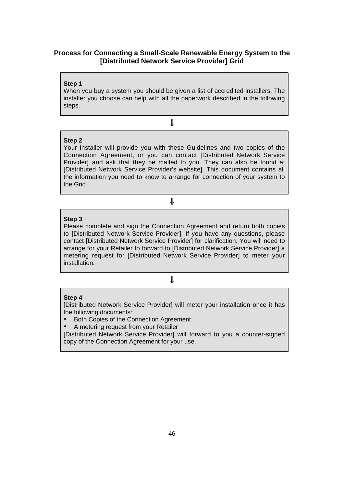# **Process for Connecting a Small-Scale Renewable Energy System to the [Distributed Network Service Provider] Grid**

## **Step 1**

When you buy a system you should be given a list of accredited installers. The installer you choose can help with all the paperwork described in the following steps.

⇓

# **Step 2**

Your installer will provide you with these Guidelines and two copies of the Connection Agreement, or you can contact [Distributed Network Service Provider] and ask that they be mailed to you. They can also be found at [Distributed Network Service Provider's website]. This document contains all the information you need to know to arrange for connection of your system to the Grid.

⇓

## **Step 3**

Please complete and sign the Connection Agreement and return both copies to [Distributed Network Service Provider]. If you have any questions, please contact [Distributed Network Service Provider] for clarification. You will need to arrange for your Retailer to forward to [Distributed Network Service Provider] a metering request for [Distributed Network Service Provider] to meter your installation.

# ⇓

### **Step 4**

[Distributed Network Service Provider] will meter your installation once it has the following documents:

• Both Copies of the Connection Agreement

• A metering request from your Retailer

[Distributed Network Service Provider] will forward to you a counter-signed copy of the Connection Agreement for your use.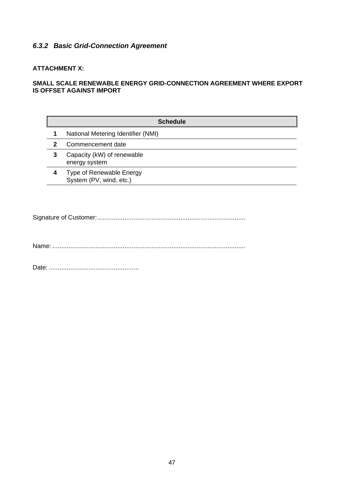# *6.3.2 Basic Grid-Connection Agreement*

# **ATTACHMENT X:**

# **SMALL SCALE RENEWABLE ENERGY GRID-CONNECTION AGREEMENT WHERE EXPORT IS OFFSET AGAINST IMPORT**

| <b>Schedule</b> |                                                     |  |
|-----------------|-----------------------------------------------------|--|
| 1               | National Metering Identifier (NMI)                  |  |
| 2               | Commencement date                                   |  |
| 3               | Capacity (kW) of renewable<br>energy system         |  |
| 4               | Type of Renewable Energy<br>System (PV, wind, etc.) |  |

Signature of Customer:..................................................................................

Name: ...........................................................................................................

Date: ..................................................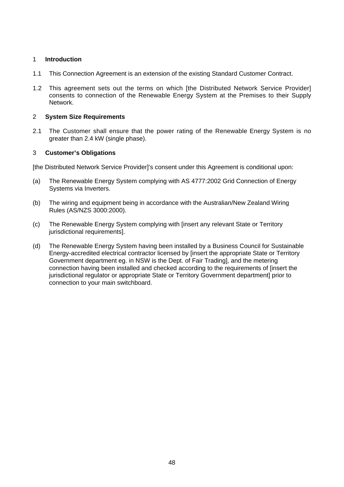# 1 **Introduction**

- 1.1 This Connection Agreement is an extension of the existing Standard Customer Contract.
- 1.2 This agreement sets out the terms on which [the Distributed Network Service Provider] consents to connection of the Renewable Energy System at the Premises to their Supply Network.

# 2 **System Size Requirements**

2.1 The Customer shall ensure that the power rating of the Renewable Energy System is no greater than 2.4 kW (single phase).

# 3 **Customer's Obligations**

[the Distributed Network Service Provider]'s consent under this Agreement is conditional upon:

- (a) The Renewable Energy System complying with AS 4777:2002 Grid Connection of Energy Systems via Inverters.
- (b) The wiring and equipment being in accordance with the Australian/New Zealand Wiring Rules (AS/NZS 3000:2000).
- (c) The Renewable Energy System complying with [insert any relevant State or Territory jurisdictional requirements].
- (d) The Renewable Energy System having been installed by a Business Council for Sustainable Energy-accredited electrical contractor licensed by [insert the appropriate State or Territory Government department eg. in NSW is the Dept. of Fair Trading], and the metering connection having been installed and checked according to the requirements of [insert the jurisdictional regulator or appropriate State or Territory Government department] prior to connection to your main switchboard.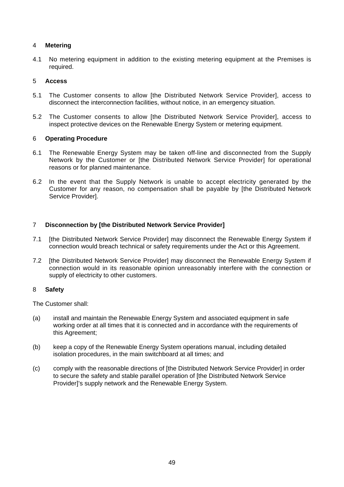# 4 **Metering**

4.1 No metering equipment in addition to the existing metering equipment at the Premises is required.

# 5 **Access**

- 5.1 The Customer consents to allow [the Distributed Network Service Provider], access to disconnect the interconnection facilities, without notice, in an emergency situation.
- 5.2 The Customer consents to allow [the Distributed Network Service Provider], access to inspect protective devices on the Renewable Energy System or metering equipment.

# 6 **Operating Procedure**

- 6.1 The Renewable Energy System may be taken off-line and disconnected from the Supply Network by the Customer or [the Distributed Network Service Provider] for operational reasons or for planned maintenance.
- 6.2 In the event that the Supply Network is unable to accept electricity generated by the Customer for any reason, no compensation shall be payable by [the Distributed Network Service Provider].

# 7 **Disconnection by [the Distributed Network Service Provider]**

- 7.1 [the Distributed Network Service Provider] may disconnect the Renewable Energy System if connection would breach technical or safety requirements under the Act or this Agreement.
- 7.2 [the Distributed Network Service Provider] may disconnect the Renewable Energy System if connection would in its reasonable opinion unreasonably interfere with the connection or supply of electricity to other customers.

# 8 **Safety**

The Customer shall:

- (a) install and maintain the Renewable Energy System and associated equipment in safe working order at all times that it is connected and in accordance with the requirements of this Agreement;
- (b) keep a copy of the Renewable Energy System operations manual, including detailed isolation procedures, in the main switchboard at all times; and
- (c) comply with the reasonable directions of [the Distributed Network Service Provider] in order to secure the safety and stable parallel operation of [the Distributed Network Service Provider]'s supply network and the Renewable Energy System.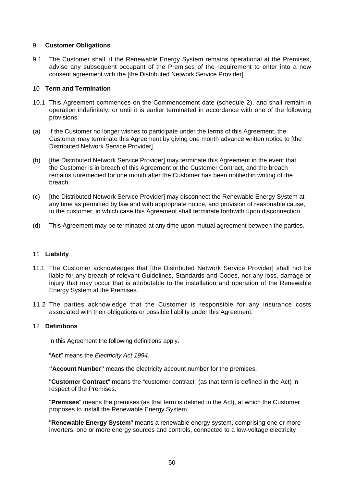# 9 **Customer Obligations**

9.1 The Customer shall, if the Renewable Energy System remains operational at the Premises, advise any subsequent occupant of the Premises of the requirement to enter into a new consent agreement with the [the Distributed Network Service Provider].

# 10 **Term and Termination**

- 10.1 This Agreement commences on the Commencement date (schedule 2), and shall remain in operation indefinitely, or until it is earlier terminated in accordance with one of the following provisions.
- (a) If the Customer no longer wishes to participate under the terms of this Agreement, the Customer may terminate this Agreement by giving one month advance written notice to [the Distributed Network Service Provider].
- (b) [the Distributed Network Service Provider] may terminate this Agreement in the event that the Customer is in breach of this Agreement or the Customer Contract, and the breach remains unremedied for one month after the Customer has been notified in writing of the breach.
- (c) [the Distributed Network Service Provider] may disconnect the Renewable Energy System at any time as permitted by law and with appropriate notice, and provision of reasonable cause, to the customer, in which case this Agreement shall terminate forthwith upon disconnection.
- (d) This Agreement may be terminated at any time upon mutual agreement between the parties.

## 11 **Liability**

- 11.1 The Customer acknowledges that [the Distributed Network Service Provider] shall not be liable for any breach of relevant Guidelines, Standards and Codes, nor any loss, damage or injury that may occur that is attributable to the installation and operation of the Renewable Energy System at the Premises.
- 11.2 The parties acknowledge that the Customer is responsible for any insurance costs associated with their obligations or possible liability under this Agreement.

## 12 **Definitions**

In this Agreement the following definitions apply.

"**Act**" meansthe *Electricity Act 1994*.

**"Account Number "** means the electricity account number for the premises.

"**Customer Contract**" means the "customer contract" (as that term is defined in the Act) in respect of the Premises.

"**Premises**" means the premises (as that term is defined in the Act), at which the Customer proposes to install the Renewable Energy System.

"**Renewable Energy System**" means a renewable energy system, comprising one or more inverters, one or more energy sources and controls, connected to a low-voltage electricity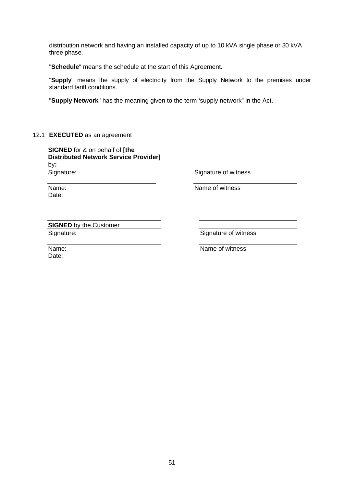distribution network and having an installed capacity of up to 10 kVA single phase or 30 kVA three phase.

"**Schedule**" means the schedule at the start of this Agreement.

"Supply" means the supply of electricity from the Supply Network to the premises under standard tariff conditions.

"**Supply Network**" has the meaning given to the term 'supply network" in the Act.

## 12.1 **EXECUTED** as an agreement

**SIGNED** for & on behalf of **[the Distributed Network Service Provider]** by**:** Signature:

Name: Date:

Signature of witness

Name of witness

**SIGNED** by the Customer Signature:

Signature of witness

Name: Date:

Name of witness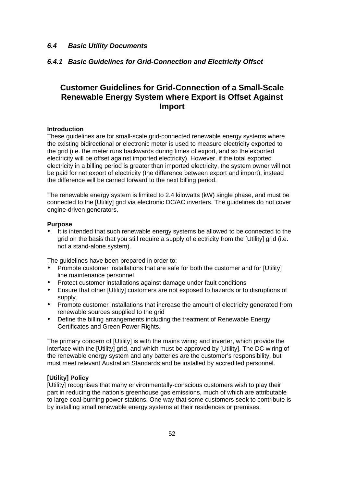# *6.4 Basic Utility Documents*

# *6.4.1 Basic Guidelines for Grid-Connection and Electricity Offset*

# **Customer Guidelines for Grid-Connection of a Small-Scale Renewable Energy System where Export is Offset Against Import**

## **Introduction**

These guidelines are for small-scale grid-connected renewable energy systems where the existing bidirectional or electronic meter is used to measure electricity exported to the grid (i.e. the meter runs backwards during times of export, and so the exported electricity will be offset against imported electricity). However, if the total exported electricity in a billing period is greater than imported electricity, the system owner will not be paid for net export of electricity (the difference between export and import), instead the difference will be carried forward to the next billing period.

The renewable energy system is limited to 2.4 kilowatts (kW) single phase, and must be connected to the [Utility] grid via electronic DC/AC inverters. The guidelines do not cover engine-driven generators.

## **Purpose**

It is intended that such renewable energy systems be allowed to be connected to the grid on the basis that you still require a supply of electricity from the [Utility] grid (i.e. not a stand-alone system).

The guidelines have been prepared in order to:

- Promote customer installations that are safe for both the customer and for [Utility] line maintenance personnel
- Protect customer installations against damage under fault conditions
- Ensure that other [Utility] customers are not exposed to hazards or to disruptions of supply.
- Promote customer installations that increase the amount of electricity generated from renewable sources supplied to the grid
- Define the billing arrangements including the treatment of Renewable Energy Certificates and Green Power Rights.

The primary concern of [Utility] is with the mains wiring and inverter, which provide the interface with the [Utility] grid, and which must be approved by [Utility]. The DC wiring of the renewable energy system and any batteries are the customer's responsibility, but must meet relevant Australian Standards and be installed by accredited personnel.

## **[Utility] Policy**

[Utility] recognises that many environmentally-conscious customers wish to play their part in reducing the nation's greenhouse gas emissions, much of which are attributable to large coal-burning power stations. One way that some customers seek to contribute is by installing small renewable energy systems at their residences or premises.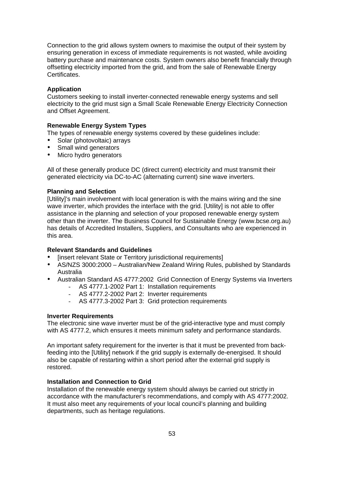Connection to the grid allows system owners to maximise the output of their system by ensuring generation in excess of immediate requirements is not wasted, while avoiding battery purchase and maintenance costs. System owners also benefit financially through offsetting electricity imported from the grid, and from the sale of Renewable Energy Certificates.

## **Application**

Customers seeking to install inverter-connected renewable energy systems and sell electricity to the grid must sign a Small Scale Renewable Energy Electricity Connection and Offset Agreement.

# **Renewable Energy System Types**

The types of renewable energy systems covered by these guidelines include:

- Solar (photovoltaic) arrays
- Small wind generators
- Micro hydro generators

All of these generally produce DC (direct current) electricity and must transmit their generated electricity via DC-to-AC (alternating current) sine wave inverters.

# **Planning and Selection**

[Utility]'s main involvement with local generation is with the mains wiring and the sine wave inverter, which provides the interface with the grid. [Utility] is not able to offer assistance in the planning and selection of your proposed renewable energy system other than the inverter. The Business Council for Sustainable Energy (www.bcse.org.au) has details of Accredited Installers, Suppliers, and Consultants who are experienced in this area.

## **Relevant Standards and Guidelines**

- [insert relevant State or Territory jurisdictional requirements]
- AS/NZS 3000:2000 Australian/New Zealand Wiring Rules, published by Standards Australia
- Australian Standard AS 4777:2002 Grid Connection of Energy Systems via Inverters
	- AS 4777.1-2002 Part 1: Installation requirements
	- AS 4777.2-2002 Part 2: Inverter requirements
	- AS 4777.3-2002 Part 3: Grid protection requirements

## **Inverter Requirements**

The electronic sine wave inverter must be of the grid-interactive type and must comply with AS 4777.2, which ensures it meets minimum safety and performance standards.

An important safety requirement for the inverter is that it must be prevented from backfeeding into the [Utility] network if the grid supply is externally de-energised. It should also be capable of restarting within a short period after the external grid supply is restored.

## **Installation and Connection to Grid**

Installation of the renewable energy system should always be carried out strictly in accordance with the manufacturer's recommendations, and comply with AS 4777:2002. It must also meet any requirements of your local council's planning and building departments, such as heritage regulations.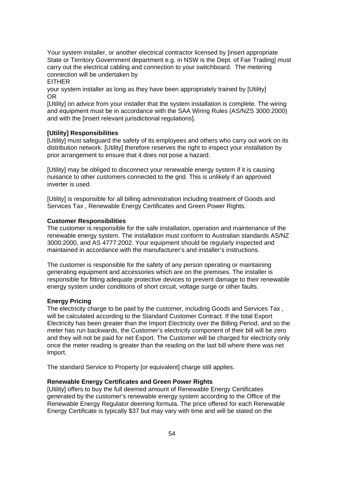Your system installer, or another electrical contractor licensed by [insert appropriate State or Territory Government department e.g. in NSW is the Dept. of Fair Trading] must carry out the electrical cabling and connection to your switchboard. The metering connection will be undertaken by

EITHER

your system installer as long as they have been appropriately trained by [Utility] OR

[Utility] on advice from your installer that the system installation is complete. The wiring and equipment must be in accordance with the SAA Wiring Rules (AS/NZS 3000:2000) and with the linsert relevant jurisdictional regulations].

## **[Utility] Responsibilities**

[Utility] must safeguard the safety of its employees and others who carry out work on its distribution network. [Utility] therefore reserves the right to inspect your installation by prior arrangement to ensure that it does not pose a hazard.

[Utility] may be obliged to disconnect your renewable energy system if it is causing nuisance to other customers connected to the grid. This is unlikely if an approved inverter is used.

[Utility] is responsible for all billing administration including treatment of Goods and Services Tax , Renewable Energy Certificates and Green Power Rights.

### **Customer Responsibilities**

The customer is responsible for the safe installation, operation and maintenance of the renewable energy system. The installation must conform to Australian standards AS/NZ 3000:2000, and AS 4777:2002. Your equipment should be regularly inspected and maintained in accordance with the manufacturer's and installer's instructions.

The customer is responsible for the safety of any person operating or maintaining generating equipment and accessories which are on the premises. The installer is responsible for fitting adequate protective devices to prevent damage to their renewable energy system under conditions of short circuit, voltage surge or other faults.

## **Energy Pricing**

The electricity charge to be paid by the customer, including Goods and Services Tax , will be calculated according to the Standard Customer Contract. If the total Export Electricity has been greater than the Import Electricity over the Billing Period, and so the meter has run backwards, the Customer's electricity component of their bill will be zero and they will not be paid for net Export. The Customer will be charged for electricity only once the meter reading is greater than the reading on the last bill where there was net Import.

The standard Service to Property [or equivalent] charge still applies.

### **Renewable Energy Certificates and Green Power Rights**

[Utility] offers to buy the full deemed amount of Renewable Energy Certificates generated by the customer's renewable energy system according to the Office of the Renewable Energy Regulator deeming formula. The price offered for each Renewable Energy Certificate is typically \$37 but may vary with time and will be stated on the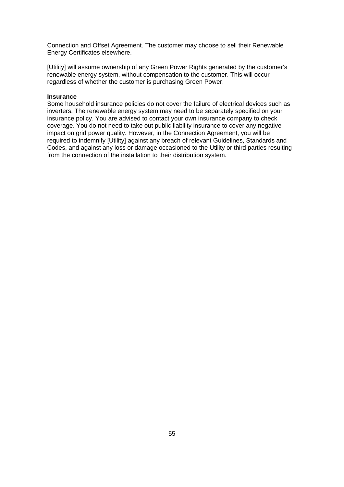Connection and Offset Agreement. The customer may choose to sell their Renewable Energy Certificates elsewhere.

[Utility] will assume ownership of any Green Power Rights generated by the customer's renewable energy system, without compensation to the customer. This will occur regardless of whether the customer is purchasing Green Power.

## **Insurance**

Some household insurance policies do not cover the failure of electrical devices such as inverters. The renewable energy system may need to be separately specified on your insurance policy. You are advised to contact your own insurance company to check coverage. You do not need to take out public liability insurance to cover any negative impact on grid power quality. However, in the Connection Agreement, you will be required to indemnify [Utility] against any breach of relevant Guidelines, Standards and Codes, and against any loss or damage occasioned to the Utility or third parties resulting from the connection of the installation to their distribution system.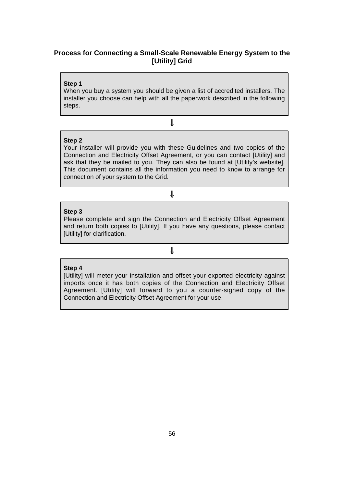# **Process for Connecting a Small-Scale Renewable Energy System to the [Utility] Grid**

## **Step 1**

When you buy a system you should be given a list of accredited installers. The installer you choose can help with all the paperwork described in the following steps.

⇓

# **Step 2**

Your installer will provide you with these Guidelines and two copies of the Connection and Electricity Offset Agreement, or you can contact [Utility] and ask that they be mailed to you. They can also be found at [Utility's website]. This document contains all the information you need to know to arrange for connection of your system to the Grid.

# ⇓

# **Step 3**

Please complete and sign the Connection and Electricity Offset Agreement and return both copies to [Utility]. If you have any questions, please contact [Utility] for clarification.

⇓

# **Step 4**

[Utility] will meter your installation and offset your exported electricity against imports once it has both copies of the Connection and Electricity Offset Agreement. [Utility] will forward to you a counter-signed copy of the Connection and Electricity Offset Agreement for your use.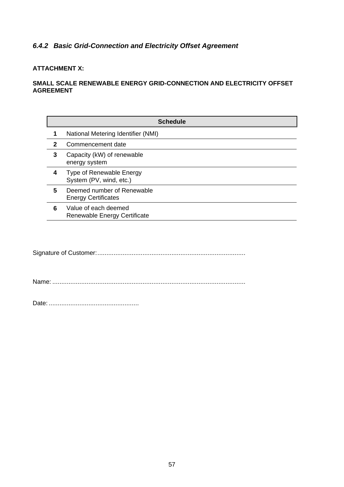# *6.4.2 Basic Grid-Connection and Electricity Offset Agreement*

# **ATTACHMENT X:**

# **SMALL SCALE RENEWABLE ENERGY GRID-CONNECTION AND ELECTRICITY OFFSET AGREEMENT**

|   | <b>Schedule</b>                                          |
|---|----------------------------------------------------------|
|   | National Metering Identifier (NMI)                       |
| 2 | Commencement date                                        |
| 3 | Capacity (kW) of renewable<br>energy system              |
| 4 | Type of Renewable Energy<br>System (PV, wind, etc.)      |
| 5 | Deemed number of Renewable<br><b>Energy Certificates</b> |
| 6 | Value of each deemed<br>Renewable Energy Certificate     |

Signature of Customer:..................................................................................

Name: ...........................................................................................................

Date: ..................................................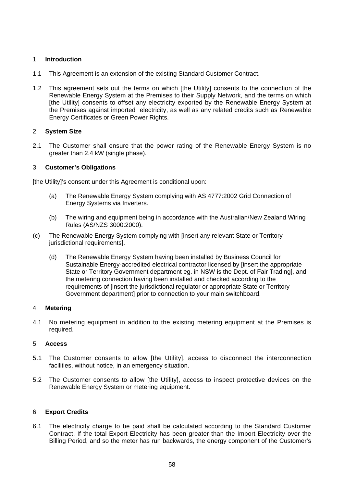# 1 **Introduction**

- 1.1 This Agreement is an extension of the existing Standard Customer Contract.
- 1.2 This agreement sets out the terms on which [the Utility] consents to the connection of the Renewable Energy System at the Premises to their Supply Network, and the terms on which [the Utility] consents to offset any electricity exported by the Renewable Energy System at the Premises against imported electricity, as well as any related credits such as Renewable Energy Certificates or Green Power Rights.

# 2 **System Size**

2.1 The Customer shall ensure that the power rating of the Renewable Energy System is no greater than 2.4 kW (single phase).

# 3 **Customer's Obligations**

[the Utility]'s consent under this Agreement is conditional upon:

- (a) The Renewable Energy System complying with AS 4777:2002 Grid Connection of Energy Systems via Inverters.
- (b) The wiring and equipment being in accordance with the Australian/New Zealand Wiring Rules (AS/NZS 3000:2000).
- (c) The Renewable Energy System complying with [insert any relevant State or Territory jurisdictional requirements].
	- (d) The Renewable Energy System having been installed by Business Council for Sustainable Energy-accredited electrical contractor licensed by [insert the appropriate State or Territory Government department eg. in NSW is the Dept. of Fair Trading], and the metering connection having been installed and checked according to the requirements of [insert the jurisdictional regulator or appropriate State or Territory Government department] prior to connection to your main switchboard.

# 4 **Metering**

4.1 No metering equipment in addition to the existing metering equipment at the Premises is required.

# 5 **Access**

- 5.1 The Customer consents to allow [the Utility], access to disconnect the interconnection facilities, without notice, in an emergency situation.
- 5.2 The Customer consents to allow [the Utility], access to inspect protective devices on the Renewable Energy System or metering equipment.

# 6 **Export Credits**

6.1 The electricity charge to be paid shall be calculated according to the Standard Customer Contract. If the total Export Electricity has been greater than the Import Electricity over the Billing Period, and so the meter has run backwards, the energy component of the Customer's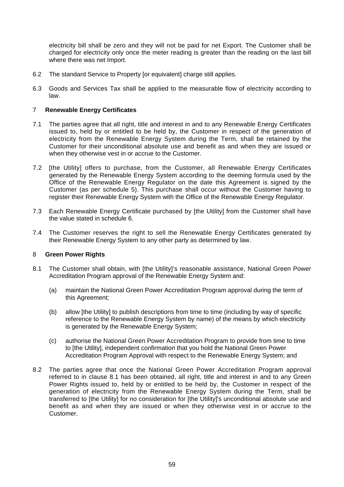electricity bill shall be zero and they will not be paid for net Export. The Customer shall be charged for electricity only once the meter reading is greater than the reading on the last bill where there was net Import.

- 6.2 The standard Service to Property [or equivalent] charge still applies.
- 6.3 Goods and Services Tax shall be applied to the measurable flow of electricity according to law.

# 7 **Renewable Energy Certificates**

- 7.1 The parties agree that all right, title and interest in and to any Renewable Energy Certificates issued to, held by or entitled to be held by, the Customer in respect of the generation of electricity from the Renewable Energy System during the Term, shall be retained by the Customer for their unconditional absolute use and benefit as and when they are issued or when they otherwise vest in or accrue to the Customer.
- 7.2 [the Utility] offers to purchase, from the Customer, all Renewable Energy Certificates generated by the Renewable Energy System according to the deeming formula used by the Office of the Renewable Energy Regulator on the date this Agreement is signed by the Customer (as per schedule 5). This purchase shall occur without the Customer having to register their Renewable Energy System with the Office of the Renewable Energy Regulator.
- 7.3 Each Renewable Energy Certificate purchased by [the Utility] from the Customer shall have the value stated in schedule 6.
- 7.4 The Customer reserves the right to sell the Renewable Energy Certificates generated by their Renewable Energy System to any other party as determined by law.

## 8 **Green Power Rights**

- 8.1 The Customer shall obtain, with [the Utility]'s reasonable assistance, National Green Power Accreditation Program approval of the Renewable Energy System and:
	- (a) maintain the National Green Power Accreditation Program approval during the term of this Agreement;
	- (b) allow [the Utility] to publish descriptions from time to time (including by way of specific reference to the Renewable Energy System by name) of the means by which electricity is generated by the Renewable Energy System;
	- (c) authorise the National Green Power Accreditation Program to provide from time to time to [the Utility], independent confirmation that you hold the National Green Power Accreditation Program Approval with respect to the Renewable Energy System; and
- 8.2 The parties agree that once the National Green Power Accreditation Program approval referred to in clause 8.1 has been obtained, all right, title and interest in and to any Green Power Rights issued to, held by or entitled to be held by, the Customer in respect of the generation of electricity from the Renewable Energy System during the Term, shall be transferred to [the Utility] for no consideration for [the Utility]'s unconditional absolute use and benefit as and when they are issued or when they otherwise vest in or accrue to the Customer.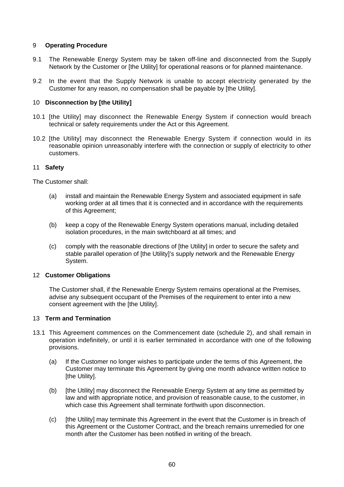# 9 **Operating Procedure**

- 9.1 The Renewable Energy System may be taken off-line and disconnected from the Supply Network by the Customer or [the Utility] for operational reasons or for planned maintenance.
- 9.2 In the event that the Supply Network is unable to accept electricity generated by the Customer for any reason, no compensation shall be payable by [the Utility].

# 10 **Disconnection by [the Utility]**

- 10.1 [the Utility] may disconnect the Renewable Energy System if connection would breach technical or safety requirements under the Act or this Agreement.
- 10.2 [the Utility] may disconnect the Renewable Energy System if connection would in its reasonable opinion unreasonably interfere with the connection or supply of electricity to other customers.

# 11 **Safety**

The Customer shall:

- (a) install and maintain the Renewable Energy System and associated equipment in safe working order at all times that it is connected and in accordance with the requirements of this Agreement;
- (b) keep a copy of the Renewable Energy System operations manual, including detailed isolation procedures, in the main switchboard at all times; and
- (c) comply with the reasonable directions of [the Utility] in order to secure the safety and stable parallel operation of [the Utility]'s supply network and the Renewable Energy System.

## 12 **Customer Obligations**

The Customer shall, if the Renewable Energy System remains operational at the Premises, advise any subsequent occupant of the Premises of the requirement to enter into a new consent agreement with the [the Utility].

# 13 **Term and Termination**

- 13.1 This Agreement commences on the Commencement date (schedule 2), and shall remain in operation indefinitely, or until it is earlier terminated in accordance with one of the following provisions.
	- (a) If the Customer no longer wishes to participate under the terms of this Agreement, the Customer may terminate this Agreement by giving one month advance written notice to [the Utility].
	- (b) [the Utility] may disconnect the Renewable Energy System at any time as permitted by law and with appropriate notice, and provision of reasonable cause, to the customer, in which case this Agreement shall terminate forthwith upon disconnection.
	- (c) [the Utility] may terminate this Agreement in the event that the Customer is in breach of this Agreement or the Customer Contract, and the breach remains unremedied for one month after the Customer has been notified in writing of the breach.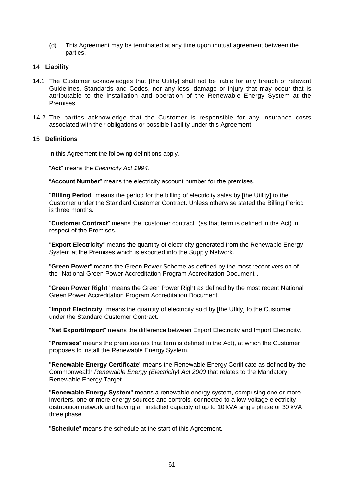(d) This Agreement may be terminated at any time upon mutual agreement between the parties.

## 14 **Liability**

- 14.1 The Customer acknowledges that [the Utility] shall not be liable for any breach of relevant Guidelines, Standards and Codes, nor any loss, damage or injury that may occur that is attributable to the installation and operation of the Renewable Energy System at the Premises.
- 14.2 The parties acknowledge that the Customer is responsible for any insurance costs associated with their obligations or possible liability under this Agreement.

## 15 **Definitions**

In this Agreement the following definitions apply.

"Act" means the *Electricity Act 1994*.

"**Account Number**" means the electricity account number for the premises.

"**Billing Period**" means the period for the billing of electricity sales by [the Utility] to the Customer under the Standard Customer Contract. Unless otherwise stated the Billing Period is three months.

"**Customer Contract**" means the "customer contract" (as that term is defined in the Act) in respect of the Premises.

"**Export Electricity**" means the quantity of electricity generated from the Renewable Energy System at the Premises which is exported into the Supply Network.

"**Green Power**" means the Green Power Scheme as defined by the most recent version of the "National Green Power Accreditation Program Accreditation Document".

"**Green Power Right**" means the Green Power Right as defined by the most recent National Green Power Accreditation Program Accreditation Document.

"**Import Electricity**" means the quantity of electricity sold by [the Utlity] to the Customer under the Standard Customer Contract.

"**Net Export/Import**" means the difference between Export Electricity and Import Electricity.

"**Premises**" means the premises (as that term is defined in the Act), at which the Customer proposes to install the Renewable Energy System.

"**Renewable Energy Certificate**" means the Renewable Energy Certificate as defined by the Commonwealth *Renewable Energy (Electricity) Act 2000* that relates to the Mandatory Renewable Energy Target.

"**Renewable Energy System**" means a renewable energy system, comprising one or more inverters, one or more energy sources and controls, connected to a low-voltage electricity distribution network and having an installed capacity of up to 10 kVA single phase or 30 kVA three phase.

"**Schedule**" means the schedule at the start of this Agreement.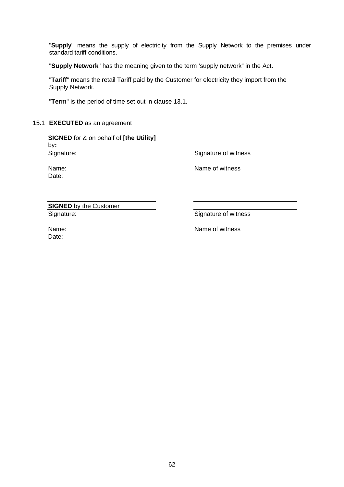"Supply" means the supply of electricity from the Supply Network to the premises under standard tariff conditions.

"**Supply Network**" has the meaning given to the term 'supply network" in the Act.

"**Tariff**" means the retail Tariff paid by the Customer for electricity they import from the Supply Network.

"**Term**" is the period of time set out in clause 13.1.

## 15.1 **EXECUTED** as an agreement

**SIGNED** for & on behalf of **[the Utility]** by**:** Signature:

Name: Date:

Signature of witness

Name of witness

**SIGNED** by the Customer Signature:

Signature of witness

Name: Date:

Name of witness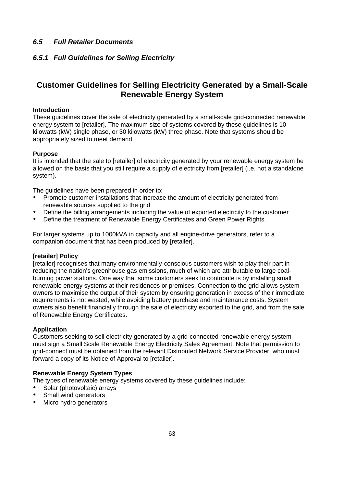# *6.5 Full Retailer Documents*

# *6.5.1 Full Guidelines for Selling Electricity*

# **Customer Guidelines for Selling Electricity Generated by a Small-Scale Renewable Energy System**

# **Introduction**

These guidelines cover the sale of electricity generated by a small-scale grid-connected renewable energy system to [retailer]. The maximum size of systems covered by these guidelines is 10 kilowatts (kW) single phase, or 30 kilowatts (kW) three phase. Note that systems should be appropriately sized to meet demand.

# **Purpose**

It is intended that the sale to [retailer] of electricity generated by your renewable energy system be allowed on the basis that you still require a supply of electricity from [retailer] (i.e. not a standalone system).

The guidelines have been prepared in order to:

- Promote customer installations that increase the amount of electricity generated from renewable sources supplied to the grid
- Define the billing arrangements including the value of exported electricity to the customer
- Define the treatment of Renewable Energy Certificates and Green Power Rights.

For larger systems up to 1000kVA in capacity and all engine-drive generators, refer to a companion document that has been produced by [retailer].

# **[retailer] Policy**

[retailer] recognises that many environmentally-conscious customers wish to play their part in reducing the nation's greenhouse gas emissions, much of which are attributable to large coalburning power stations. One way that some customers seek to contribute is by installing small renewable energy systems at their residences or premises. Connection to the grid allows system owners to maximise the output of their system by ensuring generation in excess of their immediate requirements is not wasted, while avoiding battery purchase and maintenance costs. System owners also benefit financially through the sale of electricity exported to the grid, and from the sale of Renewable Energy Certificates.

# **Application**

Customers seeking to sell electricity generated by a grid-connected renewable energy system must sign a Small Scale Renewable Energy Electricity Sales Agreement. Note that permission to grid-connect must be obtained from the relevant Distributed Network Service Provider, who must forward a copy of its Notice of Approval to [retailer].

# **Renewable Energy System Types**

The types of renewable energy systems covered by these guidelines include:

- Solar (photovoltaic) arrays
- Small wind generators
- Micro hydro generators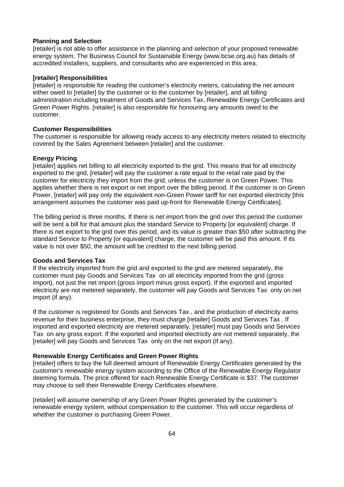## **Planning and Selection**

[retailer] is not able to offer assistance in the planning and selection of your proposed renewable energy system. The Business Council for Sustainable Energy (www.bcse.org.au) has details of accredited installers, suppliers, and consultants who are experienced in this area.

#### **[retailer] Responsibilities**

[retailer] is responsible for reading the customer's electricity meters, calculating the net amount either owed to [retailer] by the customer or to the customer by [retailer], and all billing administration including treatment of Goods and Services Tax, Renewable Energy Certificates and Green Power Rights. [retailer] is also responsible for honouring any amounts owed to the customer.

## **Customer Responsibilities**

The customer is responsible for allowing ready access to any electricity meters related to electricity covered by the Sales Agreement between [retailer] and the customer.

## **Energy Pricing**

[retailer] applies net billing to all electricity exported to the grid. This means that for all electricity exported to the grid, [retailer] will pay the customer a rate equal to the retail rate paid by the customer for electricity they import from the grid, unless the customer is on Green Power. This applies whether there is net export or net import over the billing period. If the customer is on Green Power, [retailer] will pay only the equivalent non-Green Power tariff for net exported electricity [this arrangement assumes the customer was paid up-front for Renewable Energy Certificates].

The billing period is three months. If there is net import from the grid over this period the customer will be sent a bill for that amount plus the standard Service to Property [or equivalent] charge. If there is net export to the grid over this period, and its value is greater than \$50 after subtracting the standard Service to Property [or equivalent] charge, the customer will be paid this amount. If its value is not over \$50, the amount will be credited to the next billing period.

## **Goods and Services Tax**

If the electricity imported from the grid and exported to the grid are metered separately, the customer must pay Goods and Services Tax on all electricity imported from the grid (gross import), not just the net import (gross import minus gross export). If the exported and imported electricity are not metered separately, the customer will pay Goods and Services Tax only on net import (if any).

If the customer is registered for Goods and Services Tax , and the production of electricity earns revenue for their business enterprise, they must charge [retailer] Goods and Services Tax . If imported and exported electricity are metered separately, [retailer] must pay Goods and Services Tax on any gross export. If the exported and imported electricity are not metered separately, the [retailer] will pay Goods and Services Tax only on the net export (if any).

## **Renewable Energy Certificates and Green Power Rights**

[retailer] offers to buy the full deemed amount of Renewable Energy Certificates generated by the customer's renewable energy system according to the Office of the Renewable Energy Regulator deeming formula. The price offered for each Renewable Energy Certificate is \$37. The customer may choose to sell their Renewable Energy Certificates elsewhere.

[retailer] will assume ownership of any Green Power Rights generated by the customer's renewable energy system, without compensation to the customer. This will occur regardless of whether the customer is purchasing Green Power.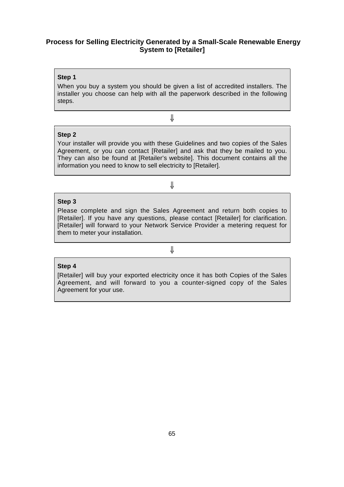# **Process for Selling Electricity Generated by a Small-Scale Renewable Energy System to [Retailer]**

## **Step 1**

When you buy a system you should be given a list of accredited installers. The installer you choose can help with all the paperwork described in the following steps.

⇓

# **Step 2**

Your installer will provide you with these Guidelines and two copies of the Sales Agreement, or you can contact [Retailer] and ask that they be mailed to you. They can also be found at [Retailer's website]. This document contains all the information you need to know to sell electricity to [Retailer].

# ⇓

## **Step 3**

Please complete and sign the Sales Agreement and return both copies to [Retailer]. If you have any questions, please contact [Retailer] for clarification. [Retailer] will forward to your Network Service Provider a metering request for them to meter your installation.

# ⇓

## **Step 4**

[Retailer] will buy your exported electricity once it has both Copies of the Sales Agreement, and will forward to you a counter-signed copy of the Sales Agreement for your use.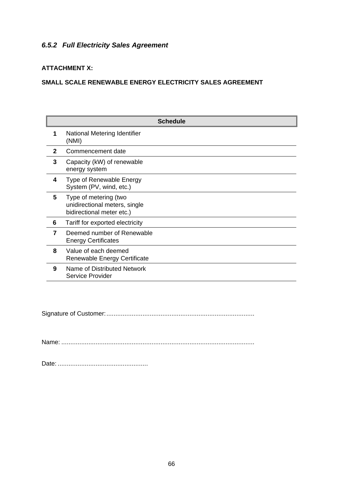# *6.5.2 Full Electricity Sales Agreement*

# **ATTACHMENT X:**

# **SMALL SCALE RENEWABLE ENERGY ELECTRICITY SALES AGREEMENT**

| <b>Schedule</b> |                                                                                     |
|-----------------|-------------------------------------------------------------------------------------|
| 1               | National Metering Identifier<br>(NMI)                                               |
| $\mathbf{2}$    | Commencement date                                                                   |
| 3               | Capacity (kW) of renewable<br>energy system                                         |
| 4               | Type of Renewable Energy<br>System (PV, wind, etc.)                                 |
| 5               | Type of metering (two<br>unidirectional meters, single<br>bidirectional meter etc.) |
| 6               | Tariff for exported electricity                                                     |
| 7               | Deemed number of Renewable<br><b>Energy Certificates</b>                            |
| 8               | Value of each deemed<br>Renewable Energy Certificate                                |
| 9               | Name of Distributed Network<br>Service Provider                                     |

Signature of Customer:..................................................................................

Name: ...........................................................................................................

Date: ..................................................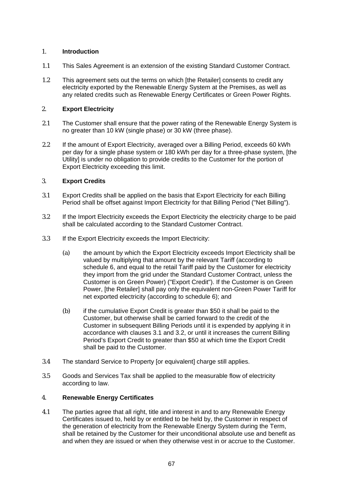# 1. **Introduction**

- 1.1 This Sales Agreement is an extension of the existing Standard Customer Contract.
- 1.2 This agreement sets out the terms on which [the Retailer] consents to credit any electricity exported by the Renewable Energy System at the Premises, as well as any related credits such as Renewable Energy Certificates or Green Power Rights.

# 2. **Export Electricity**

- 2.1 The Customer shall ensure that the power rating of the Renewable Energy System is no greater than 10 kW (single phase) or 30 kW (three phase).
- 2.2 If the amount of Export Electricity, averaged over a Billing Period, exceeds 60 kWh per day for a single phase system or 180 kWh per day for a three-phase system, [the Utility] is under no obligation to provide credits to the Customer for the portion of Export Electricity exceeding this limit.

# 3. **Export Credits**

- 3.1 Export Credits shall be applied on the basis that Export Electricity for each Billing Period shall be offset against Import Electricity for that Billing Period ("Net Billing").
- 3.2 If the Import Electricity exceeds the Export Electricity the electricity charge to be paid shall be calculated according to the Standard Customer Contract.
- 3.3 If the Export Electricity exceeds the Import Electricity:
	- (a) the amount by which the Export Electricity exceeds Import Electricity shall be valued by multiplying that amount by the relevant Tariff (according to schedule 6, and equal to the retail Tariff paid by the Customer for electricity they import from the grid under the Standard Customer Contract, unless the Customer is on Green Power) ("Export Credit"). If the Customer is on Green Power, [the Retailer] shall pay only the equivalent non-Green Power Tariff for net exported electricity (according to schedule 6); and
	- (b) if the cumulative Export Credit is greater than \$50 it shall be paid to the Customer, but otherwise shall be carried forward to the credit of the Customer in subsequent Billing Periods until it is expended by applying it in accordance with clauses 3.1 and 3.2, or until it increases the current Billing Period's Export Credit to greater than \$50 at which time the Export Credit shall be paid to the Customer.
- 3.4 The standard Service to Property [or equivalent] charge still applies.
- 3.5 Goods and Services Tax shall be applied to the measurable flow of electricity according to law.

# 4. **Renewable Energy Certificates**

4.1 The parties agree that all right, title and interest in and to any Renewable Energy Certificates issued to, held by or entitled to be held by, the Customer in respect of the generation of electricity from the Renewable Energy System during the Term, shall be retained by the Customer for their unconditional absolute use and benefit as and when they are issued or when they otherwise vest in or accrue to the Customer.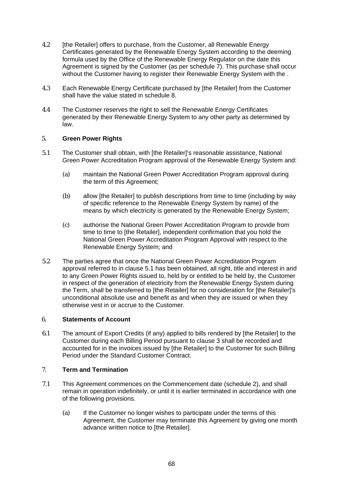- 4.2 [the Retailer] offers to purchase, from the Customer, all Renewable Energy Certificates generated by the Renewable Energy System according to the deeming formula used by the Office of the Renewable Energy Regulator on the date this Agreement is signed by the Customer (as per schedule 7). This purchase shall occur without the Customer having to register their Renewable Energy System with the .
- 4.3 Each Renewable Energy Certificate purchased by [the Retailer] from the Customer shall have the value stated in schedule 8.
- 4.4 The Customer reserves the right to sell the Renewable Energy Certificates generated by their Renewable Energy System to any other party as determined by law.

# 5. **Green Power Rights**

- 5.1 The Customer shall obtain, with [the Retailer]'s reasonable assistance, National Green Power Accreditation Program approval of the Renewable Energy System and:
	- (a) maintain the National Green Power Accreditation Program approval during the term of this Agreement;
	- (b) allow [the Retailer] to publish descriptions from time to time (including by way of specific reference to the Renewable Energy System by name) of the means by which electricity is generated by the Renewable Energy System;
	- (c) authorise the National Green Power Accreditation Program to provide from time to time to [the Retailer], independent confirmation that you hold the National Green Power Accreditation Program Approval with respect to the Renewable Energy System; and
- 5.2 The parties agree that once the National Green Power Accreditation Program approval referred to in clause 5.1 has been obtained, all right, title and interest in and to any Green Power Rights issued to, held by or entitled to be held by, the Customer in respect of the generation of electricity from the Renewable Energy System during the Term, shall be transferred to [the Retailer] for no consideration for [the Retailer]'s unconditional absolute use and benefit as and when they are issued or when they otherwise vest in or accrue to the Customer.

# 6. **Statements of Account**

6.1 The amount of Export Credits (if any) applied to bills rendered by [the Retailer] to the Customer during each Billing Period pursuant to clause 3 shall be recorded and accounted for in the invoices issued by [the Retailer] to the Customer for such Billing Period under the Standard Customer Contract.

# 7. **Term and Termination**

- 7.1 This Agreement commences on the Commencement date (schedule 2), and shall remain in operation indefinitely, or until it is earlier terminated in accordance with one of the following provisions.
	- (a) If the Customer no longer wishes to participate under the terms of this Agreement, the Customer may terminate this Agreement by giving one month advance written notice to [the Retailer].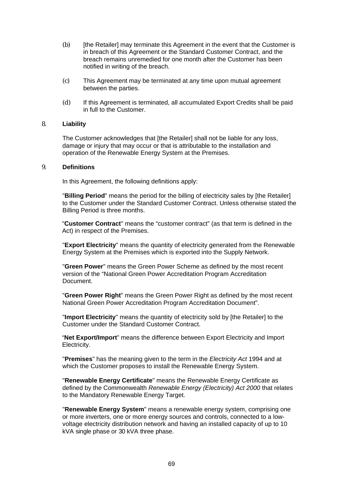- (b) [the Retailer] may terminate this Agreement in the event that the Customer is in breach of this Agreement or the Standard Customer Contract, and the breach remains unremedied for one month after the Customer has been notified in writing of the breach.
- (c) This Agreement may be terminated at any time upon mutual agreement between the parties.
- (d) If this Agreement is terminated, all accumulated Export Credits shall be paid in full to the Customer.

## 8. **Liability**

The Customer acknowledges that [the Retailer] shall not be liable for any loss, damage or injury that may occur or that is attributable to the installation and operation of the Renewable Energy System at the Premises.

## 9. **Definitions**

In this Agreement, the following definitions apply:

"**Billing Period**" means the period for the billing of electricity sales by [the Retailer] to the Customer under the Standard Customer Contract. Unless otherwise stated the Billing Period is three months.

"**Customer Contract**" means the "customer contract" (as that term is defined in the Act) in respect of the Premises.

"**Export Electricity**" means the quantity of electricity generated from the Renewable Energy System at the Premises which is exported into the Supply Network.

"**Green Power**" means the Green Power Scheme as defined by the most recent version of the "National Green Power Accreditation Program Accreditation Document.

"**Green Power Right**" means the Green Power Right as defined by the most recent National Green Power Accreditation Program Accreditation Document".

"**Import Electricity**" means the quantity of electricity sold by [the Retailer] to the Customer under the Standard Customer Contract.

"**Net Export/Import**" means the difference between Export Electricity and Import Electricity.

"**Premises**" has the meaning given to the term in the *Electricity Act* 1994 and at which the Customer proposes to install the Renewable Energy System.

"**Renewable Energy Certificate**" means the Renewable Energy Certificate as defined by the Commonwealth *Renewable Energy (Electricity) Act 2000* that relates to the Mandatory Renewable Energy Target.

"**Renewable Energy System**" means a renewable energy system, comprising one or more inverters, one or more energy sources and controls, connected to a lowvoltage electricity distribution network and having an installed capacity of up to 10 kVA single phase or 30 kVA three phase.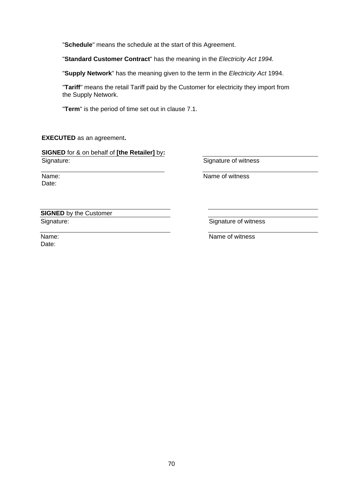"**Schedule**" means the schedule at the start of this Agreement.

"**Standard Customer Contract**" has the meaning in the *Electricity Act 1994.*

"**Supply Network**" has the meaning given to the term in the *Electricity Act* 1994.

"**Tariff**" means the retail Tariff paid by the Customer for electricity they import from the Supply Network.

"**Term**" is the period of time set out in clause 7.1.

# **EXECUTED** as an agreement**.**

**SIGNED** for & on behalf of **[the Retailer]** by**:** Signature:

Name: Date:

Signature of witness

Name of witness

**SIGNED** by the Customer Signature:

Signature of witness

Name: Date:

Name of witness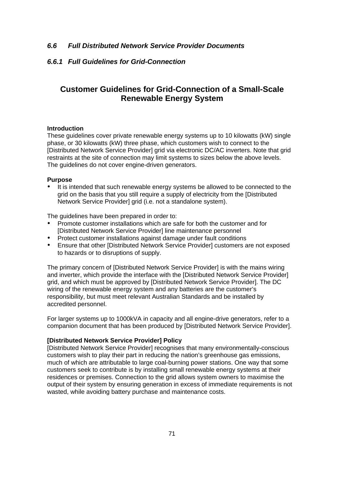# *6.6 Full Distributed Network Service Provider Documents*

# *6.6.1 Full Guidelines for Grid-Connection*

# **Customer Guidelines for Grid-Connection of a Small-Scale Renewable Energy System**

### **Introduction**

These guidelines cover private renewable energy systems up to 10 kilowatts (kW) single phase, or 30 kilowatts (kW) three phase, which customers wish to connect to the [Distributed Network Service Provider] grid via electronic DC/AC inverters. Note that grid restraints at the site of connection may limit systems to sizes below the above levels. The guidelines do not cover engine-driven generators.

### **Purpose**

It is intended that such renewable energy systems be allowed to be connected to the grid on the basis that you still require a supply of electricity from the [Distributed Network Service Provider] grid (i.e. not a standalone system).

The guidelines have been prepared in order to:

- Promote customer installations which are safe for both the customer and for [Distributed Network Service Provider] line maintenance personnel
- Protect customer installations against damage under fault conditions
- Ensure that other [Distributed Network Service Provider] customers are not exposed to hazards or to disruptions of supply.

The primary concern of [Distributed Network Service Provider] is with the mains wiring and inverter, which provide the interface with the [Distributed Network Service Provider] grid, and which must be approved by [Distributed Network Service Provider]. The DC wiring of the renewable energy system and any batteries are the customer's responsibility, but must meet relevant Australian Standards and be installed by accredited personnel.

For larger systems up to 1000kVA in capacity and all engine-drive generators, refer to a companion document that has been produced by [Distributed Network Service Provider].

## **[Distributed Network Service Provider] Policy**

[Distributed Network Service Provider] recognises that many environmentally-conscious customers wish to play their part in reducing the nation's greenhouse gas emissions, much of which are attributable to large coal-burning power stations. One way that some customers seek to contribute is by installing small renewable energy systems at their residences or premises. Connection to the grid allows system owners to maximise the output of their system by ensuring generation in excess of immediate requirements is not wasted, while avoiding battery purchase and maintenance costs.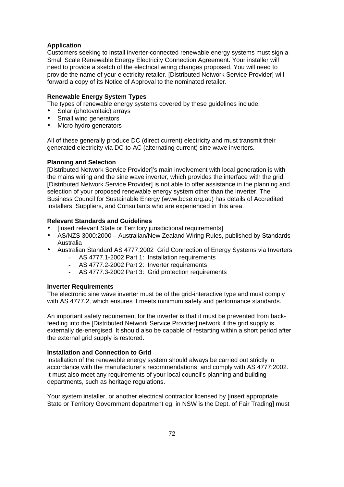## **Application**

Customers seeking to install inverter-connected renewable energy systems must sign a Small Scale Renewable Energy Electricity Connection Agreement. Your installer will need to provide a sketch of the electrical wiring changes proposed. You will need to provide the name of your electricity retailer. [Distributed Network Service Provider] will forward a copy of its Notice of Approval to the nominated retailer.

## **Renewable Energy System Types**

The types of renewable energy systems covered by these guidelines include:

- Solar (photovoltaic) arrays
- Small wind generators<br>• Micro bydro generators
- Micro hydro generators

All of these generally produce DC (direct current) electricity and must transmit their generated electricity via DC-to-AC (alternating current) sine wave inverters.

## **Planning and Selection**

[Distributed Network Service Provider]'s main involvement with local generation is with the mains wiring and the sine wave inverter, which provides the interface with the grid. [Distributed Network Service Provider] is not able to offer assistance in the planning and selection of your proposed renewable energy system other than the inverter. The Business Council for Sustainable Energy (www.bcse.org.au) has details of Accredited Installers, Suppliers, and Consultants who are experienced in this area.

## **Relevant Standards and Guidelines**

- [insert relevant State or Territory jurisdictional requirements]
- AS/NZS 3000:2000 Australian/New Zealand Wiring Rules, published by Standards Australia
- Australian Standard AS 4777:2002 Grid Connection of Energy Systems via Inverters
	- AS 4777.1-2002 Part 1: Installation requirements
	- AS 4777.2-2002 Part 2: Inverter requirements
	- AS 4777.3-2002 Part 3: Grid protection requirements

### **Inverter Requirements**

The electronic sine wave inverter must be of the grid-interactive type and must comply with AS 4777.2, which ensures it meets minimum safety and performance standards.

An important safety requirement for the inverter is that it must be prevented from backfeeding into the [Distributed Network Service Provider] network if the grid supply is externally de-energised. It should also be capable of restarting within a short period after the external grid supply is restored.

## **Installation and Connection to Grid**

Installation of the renewable energy system should always be carried out strictly in accordance with the manufacturer's recommendations, and comply with AS 4777:2002. It must also meet any requirements of your local council's planning and building departments, such as heritage regulations.

Your system installer, or another electrical contractor licensed by [insert appropriate State or Territory Government department eg. in NSW is the Dept. of Fair Trading] must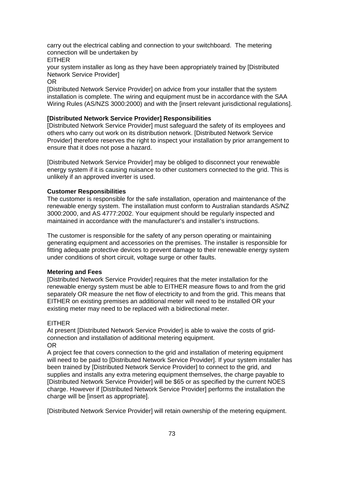carry out the electrical cabling and connection to your switchboard. The metering connection will be undertaken by EITHER

your system installer as long as they have been appropriately trained by [Distributed Network Service Provider]

OR

[Distributed Network Service Provider] on advice from your installer that the system installation is complete. The wiring and equipment must be in accordance with the SAA Wiring Rules (AS/NZS 3000:2000) and with the [insert relevant jurisdictional regulations].

#### **[Distributed Network Service Provider] Responsibilities**

[Distributed Network Service Provider] must safeguard the safety of its employees and others who carry out work on its distribution network. [Distributed Network Service Provider] therefore reserves the right to inspect your installation by prior arrangement to ensure that it does not pose a hazard.

[Distributed Network Service Provider] may be obliged to disconnect your renewable energy system if it is causing nuisance to other customers connected to the grid. This is unlikely if an approved inverter is used.

#### **Customer Responsibilities**

The customer is responsible for the safe installation, operation and maintenance of the renewable energy system. The installation must conform to Australian standards AS/NZ 3000:2000, and AS 4777:2002. Your equipment should be regularly inspected and maintained in accordance with the manufacturer's and installer's instructions.

The customer is responsible for the safety of any person operating or maintaining generating equipment and accessories on the premises. The installer is responsible for fitting adequate protective devices to prevent damage to their renewable energy system under conditions of short circuit, voltage surge or other faults.

#### **Metering and Fees**

[Distributed Network Service Provider] requires that the meter installation for the renewable energy system must be able to EITHER measure flows to and from the grid separately OR measure the net flow of electricity to and from the grid. This means that EITHER on existing premises an additional meter will need to be installed OR your existing meter may need to be replaced with a bidirectional meter.

#### EITHER

At present [Distributed Network Service Provider] is able to waive the costs of gridconnection and installation of additional metering equipment. OR

A project fee that covers connection to the grid and installation of metering equipment will need to be paid to [Distributed Network Service Provider]. If your system installer has been trained by [Distributed Network Service Provider] to connect to the grid, and supplies and installs any extra metering equipment themselves, the charge payable to [Distributed Network Service Provider] will be \$65 or as specified by the current NOES charge. However if [Distributed Network Service Provider] performs the installation the charge will be [insert as appropriate].

[Distributed Network Service Provider] will retain ownership of the metering equipment.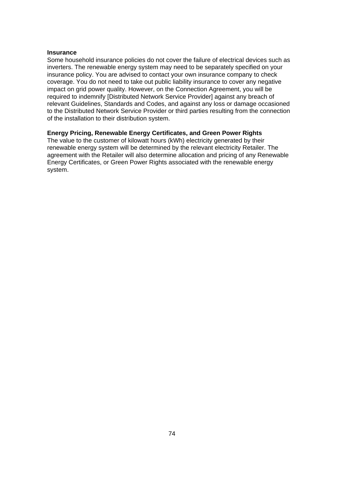#### **Insurance**

Some household insurance policies do not cover the failure of electrical devices such as inverters. The renewable energy system may need to be separately specified on your insurance policy. You are advised to contact your own insurance company to check coverage. You do not need to take out public liability insurance to cover any negative impact on grid power quality. However, on the Connection Agreement, you will be required to indemnify [Distributed Network Service Provider] against any breach of relevant Guidelines, Standards and Codes, and against any loss or damage occasioned to the Distributed Network Service Provider or third parties resulting from the connection of the installation to their distribution system.

#### **Energy Pricing, Renewable Energy Certificates, and Green Power Rights**

The value to the customer of kilowatt hours (kWh) electricity generated by their renewable energy system will be determined by the relevant electricity Retailer. The agreement with the Retailer will also determine allocation and pricing of any Renewable Energy Certificates, or Green Power Rights associated with the renewable energy system.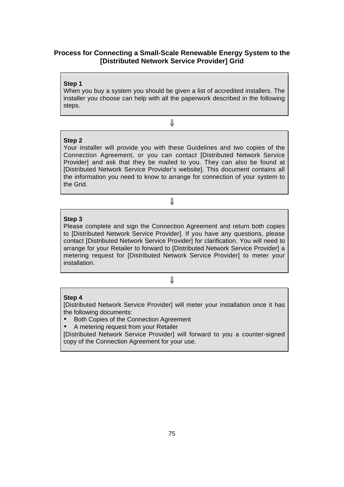# **Process for Connecting a Small-Scale Renewable Energy System to the [Distributed Network Service Provider] Grid**

#### **Step 1**

When you buy a system you should be given a list of accredited installers. The installer you choose can help with all the paperwork described in the following steps.

⇓

# **Step 2**

Your installer will provide you with these Guidelines and two copies of the Connection Agreement, or you can contact [Distributed Network Service Provider] and ask that they be mailed to you. They can also be found at [Distributed Network Service Provider's website]. This document contains all the information you need to know to arrange for connection of your system to the Grid.

⇓

### **Step 3**

Please complete and sign the Connection Agreement and return both copies to [Distributed Network Service Provider]. If you have any questions, please contact [Distributed Network Service Provider] for clarification. You will need to arrange for your Retailer to forward to [Distributed Network Service Provider] a metering request for [Distributed Network Service Provider] to meter your installation.

# ⇓

#### **Step 4**

[Distributed Network Service Provider] will meter your installation once it has the following documents:

• Both Copies of the Connection Agreement

• A metering request from your Retailer

[Distributed Network Service Provider] will forward to you a counter-signed copy of the Connection Agreement for your use.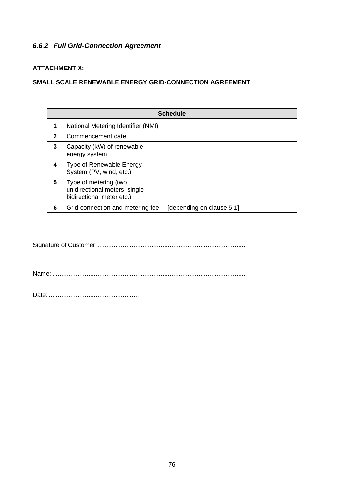# *6.6.2 Full Grid-Connection Agreement*

# **ATTACHMENT X:**

# **SMALL SCALE RENEWABLE ENERGY GRID-CONNECTION AGREEMENT**

|              | <b>Schedule</b>                                                                     |
|--------------|-------------------------------------------------------------------------------------|
|              | National Metering Identifier (NMI)                                                  |
| $\mathbf{2}$ | Commencement date                                                                   |
| 3            | Capacity (kW) of renewable<br>energy system                                         |
| 4            | Type of Renewable Energy<br>System (PV, wind, etc.)                                 |
| 5            | Type of metering (two<br>unidirectional meters, single<br>bidirectional meter etc.) |
| 6            | Grid-connection and metering fee<br>[depending on clause 5.1]                       |

Signature of Customer:..................................................................................

Name: ...........................................................................................................

Date: ..................................................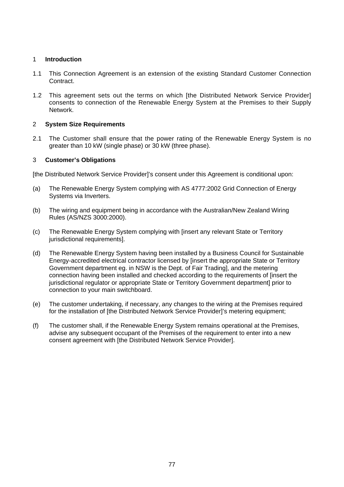# 1 **Introduction**

- 1.1 This Connection Agreement is an extension of the existing Standard Customer Connection Contract.
- 1.2 This agreement sets out the terms on which [the Distributed Network Service Provider] consents to connection of the Renewable Energy System at the Premises to their Supply Network.

## 2 **System Size Requirements**

2.1 The Customer shall ensure that the power rating of the Renewable Energy System is no greater than 10 kW (single phase) or 30 kW (three phase).

## 3 **Customer's Obligations**

[the Distributed Network Service Provider]'s consent under this Agreement is conditional upon:

- (a) The Renewable Energy System complying with AS 4777:2002 Grid Connection of Energy Systems via Inverters.
- (b) The wiring and equipment being in accordance with the Australian/New Zealand Wiring Rules (AS/NZS 3000:2000).
- (c) The Renewable Energy System complying with [insert any relevant State or Territory jurisdictional requirements].
- (d) The Renewable Energy System having been installed by a Business Council for Sustainable Energy-accredited electrical contractor licensed by [insert the appropriate State or Territory Government department eg. in NSW is the Dept. of Fair Trading], and the metering connection having been installed and checked according to the requirements of [insert the jurisdictional regulator or appropriate State or Territory Government department] prior to connection to your main switchboard.
- (e) The customer undertaking, if necessary, any changes to the wiring at the Premises required for the installation of [the Distributed Network Service Provider]'s metering equipment;
- (f) The customer shall, if the Renewable Energy System remains operational at the Premises, advise any subsequent occupant of the Premises of the requirement to enter into a new consent agreement with [the Distributed Network Service Provider].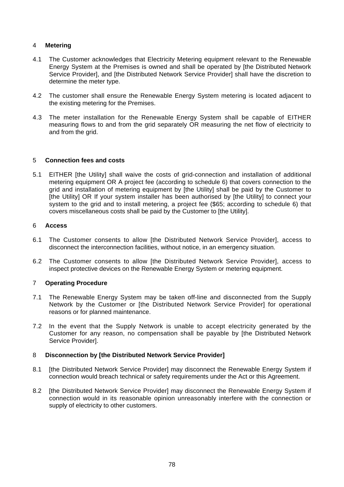# 4 **Metering**

- 4.1 The Customer acknowledges that Electricity Metering equipment relevant to the Renewable Energy System at the Premises is owned and shall be operated by [the Distributed Network Service Provider], and [the Distributed Network Service Provider] shall have the discretion to determine the meter type.
- 4.2 The customer shall ensure the Renewable Energy System metering is located adjacent to the existing metering for the Premises.
- 4.3 The meter installation for the Renewable Energy System shall be capable of EITHER measuring flows to and from the grid separately OR measuring the net flow of electricity to and from the grid.

# 5 **Connection fees and costs**

5.1 EITHER [the Utility] shall waive the costs of grid-connection and installation of additional metering equipment OR A project fee (according to schedule 6) that covers connection to the grid and installation of metering equipment by [the Utility] shall be paid by the Customer to [the Utility] OR If your system installer has been authorised by [the Utility] to connect your system to the grid and to install metering, a project fee (\$65; according to schedule 6) that covers miscellaneous costs shall be paid by the Customer to [the Utility].

#### 6 **Access**

- 6.1 The Customer consents to allow [the Distributed Network Service Provider], access to disconnect the interconnection facilities, without notice, in an emergency situation.
- 6.2 The Customer consents to allow [the Distributed Network Service Provider], access to inspect protective devices on the Renewable Energy System or metering equipment.

# 7 **Operating Procedure**

- 7.1 The Renewable Energy System may be taken off-line and disconnected from the Supply Network by the Customer or [the Distributed Network Service Provider] for operational reasons or for planned maintenance.
- 7.2 In the event that the Supply Network is unable to accept electricity generated by the Customer for any reason, no compensation shall be payable by [the Distributed Network Service Provider].

# 8 **Disconnection by [the Distributed Network Service Provider]**

- 8.1 [the Distributed Network Service Provider] may disconnect the Renewable Energy System if connection would breach technical or safety requirements under the Act or this Agreement.
- 8.2 Ithe Distributed Network Service Provider] may disconnect the Renewable Energy System if connection would in its reasonable opinion unreasonably interfere with the connection or supply of electricity to other customers.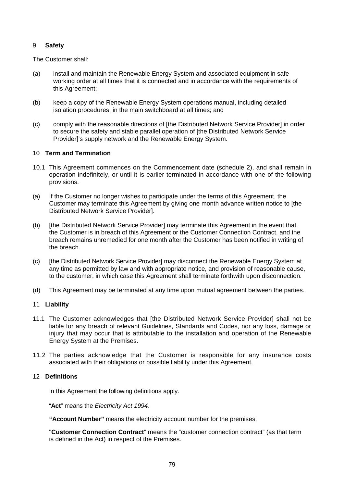# 9 **Safety**

The Customer shall:

- (a) install and maintain the Renewable Energy System and associated equipment in safe working order at all times that it is connected and in accordance with the requirements of this Agreement;
- (b) keep a copy of the Renewable Energy System operations manual, including detailed isolation procedures, in the main switchboard at all times; and
- (c) comply with the reasonable directions of [the Distributed Network Service Provider] in order to secure the safety and stable parallel operation of [the Distributed Network Service Provider]'s supply network and the Renewable Energy System.

## 10 **Term and Termination**

- 10.1 This Agreement commences on the Commencement date (schedule 2), and shall remain in operation indefinitely, or until it is earlier terminated in accordance with one of the following provisions.
- (a) If the Customer no longer wishes to participate under the terms of this Agreement, the Customer may terminate this Agreement by giving one month advance written notice to [the Distributed Network Service Provider].
- (b) [the Distributed Network Service Provider] may terminate this Agreement in the event that the Customer is in breach of this Agreement or the Customer Connection Contract, and the breach remains unremedied for one month after the Customer has been notified in writing of the breach.
- (c) [the Distributed Network Service Provider] may disconnect the Renewable Energy System at any time as permitted by law and with appropriate notice, and provision of reasonable cause, to the customer, in which case this Agreement shall terminate forthwith upon disconnection.
- (d) This Agreement may be terminated at any time upon mutual agreement between the parties.

### 11 **Liability**

- 11.1 The Customer acknowledges that [the Distributed Network Service Provider] shall not be liable for any breach of relevant Guidelines, Standards and Codes, nor any loss, damage or injury that may occur that is attributable to the installation and operation of the Renewable Energy System at the Premises.
- 11.2 The parties acknowledge that the Customer is responsible for any insurance costs associated with their obligations or possible liability under this Agreement.

## 12 **Definitions**

In this Agreement the following definitions apply.

"**Act**" meansthe *Electricity Act 1994*.

**"Account Number "** means the electricity account number for the premises.

"**Customer Connection Contract**" means the "customer connection contract" (as that term is defined in the Act) in respect of the Premises.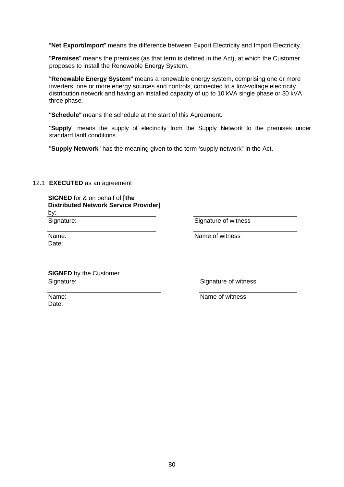"**Net Export/Import**" means the difference between Export Electricity and Import Electricity.

"**Premises**" means the premises (as that term is defined in the Act), at which the Customer proposes to install the Renewable Energy System.

"**Renewable Energy System**" means a renewable energy system, comprising one or more inverters, one or more energy sources and controls, connected to a low-voltage electricity distribution network and having an installed capacity of up to 10 kVA single phase or 30 kVA three phase.

"**Schedule**" means the schedule at the start of this Agreement.

"Supply" means the supply of electricity from the Supply Network to the premises under standard tariff conditions.

"**Supply Network**" has the meaning given to the term 'supply network" in the Act.

# 12.1 **EXECUTED** as an agreement

| <b>SIGNED</b> for & on behalf of [the        |
|----------------------------------------------|
| <b>Distributed Network Service Provider]</b> |
| by:                                          |
| Cianation                                    |

Signature:

Signature of witness

Name: Date:

Name of witness

**SIGNED** by the Customer Signature:

Signature of witness

Name: Date:

Name of witness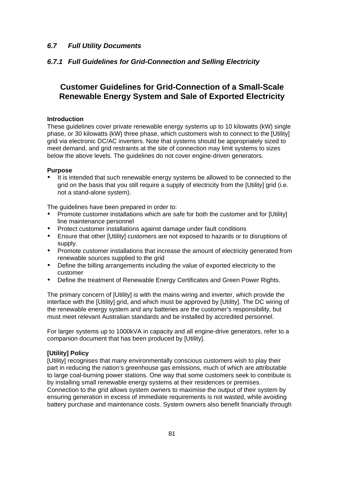# *6.7 Full Utility Documents*

# *6.7.1 Full Guidelines for Grid-Connection and Selling Electricity*

# **Customer Guidelines for Grid-Connection of a Small-Scale Renewable Energy System and Sale of Exported Electricity**

#### **Introduction**

These guidelines cover private renewable energy systems up to 10 kilowatts (kW) single phase, or 30 kilowatts (kW) three phase, which customers wish to connect to the [Utility] grid via electronic DC/AC inverters. Note that systems should be appropriately sized to meet demand, and grid restraints at the site of connection may limit systems to sizes below the above levels. The guidelines do not cover engine-driven generators.

#### **Purpose**

It is intended that such renewable energy systems be allowed to be connected to the grid on the basis that you still require a supply of electricity from the [Utility] grid (i.e. not a stand-alone system).

The guidelines have been prepared in order to:

- Promote customer installations which are safe for both the customer and for [Utility] line maintenance personnel
- Protect customer installations against damage under fault conditions
- Ensure that other [Utility] customers are not exposed to hazards or to disruptions of supply.
- Promote customer installations that increase the amount of electricity generated from renewable sources supplied to the grid
- Define the billing arrangements including the value of exported electricity to the customer
- Define the treatment of Renewable Energy Certificates and Green Power Rights.

The primary concern of [Utility] is with the mains wiring and inverter, which provide the interface with the [Utility] grid, and which must be approved by [Utility]. The DC wiring of the renewable energy system and any batteries are the customer's responsibility, but must meet relevant Australian standards and be installed by accredited personnel.

For larger systems up to 1000kVA in capacity and all engine-drive generators, refer to a companion document that has been produced by [Utility].

#### **[Utility] Policy**

[Utility] recognises that many environmentally conscious customers wish to play their part in reducing the nation's greenhouse gas emissions, much of which are attributable to large coal-burning power stations. One way that some customers seek to contribute is by installing small renewable energy systems at their residences or premises. Connection to the grid allows system owners to maximise the output of their system by ensuring generation in excess of immediate requirements is not wasted, while avoiding battery purchase and maintenance costs. System owners also benefit financially through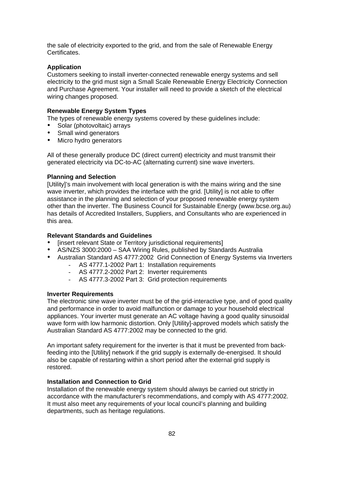the sale of electricity exported to the grid, and from the sale of Renewable Energy Certificates.

#### **Application**

Customers seeking to install inverter-connected renewable energy systems and sell electricity to the grid must sign a Small Scale Renewable Energy Electricity Connection and Purchase Agreement. Your installer will need to provide a sketch of the electrical wiring changes proposed.

## **Renewable Energy System Types**

The types of renewable energy systems covered by these guidelines include:

- Solar (photovoltaic) arrays
- Small wind generators
- Micro hydro generators

All of these generally produce DC (direct current) electricity and must transmit their generated electricity via DC-to-AC (alternating current) sine wave inverters.

#### **Planning and Selection**

[Utility]'s main involvement with local generation is with the mains wiring and the sine wave inverter, which provides the interface with the grid. [Utility] is not able to offer assistance in the planning and selection of your proposed renewable energy system other than the inverter. The Business Council for Sustainable Energy (www.bcse.org.au) has details of Accredited Installers, Suppliers, and Consultants who are experienced in this area.

#### **Relevant Standards and Guidelines**

- [insert relevant State or Territory jurisdictional requirements]
- AS/NZS 3000:2000 SAA Wiring Rules, published by Standards Australia
- Australian Standard AS 4777:2002 Grid Connection of Energy Systems via Inverters
	- AS 4777.1-2002 Part 1: Installation requirements
	- AS 4777.2-2002 Part 2: Inverter requirements
	- AS 4777.3-2002 Part 3: Grid protection requirements

### **Inverter Requirements**

The electronic sine wave inverter must be of the grid-interactive type, and of good quality and performance in order to avoid malfunction or damage to your household electrical appliances. Your inverter must generate an AC voltage having a good quality sinusoidal wave form with low harmonic distortion. Only [Utility]-approved models which satisfy the Australian Standard AS 4777:2002 may be connected to the grid.

An important safety requirement for the inverter is that it must be prevented from backfeeding into the [Utility] network if the grid supply is externally de-energised. It should also be capable of restarting within a short period after the external grid supply is restored.

#### **Installation and Connection to Grid**

Installation of the renewable energy system should always be carried out strictly in accordance with the manufacturer's recommendations, and comply with AS 4777:2002. It must also meet any requirements of your local council's planning and building departments, such as heritage regulations.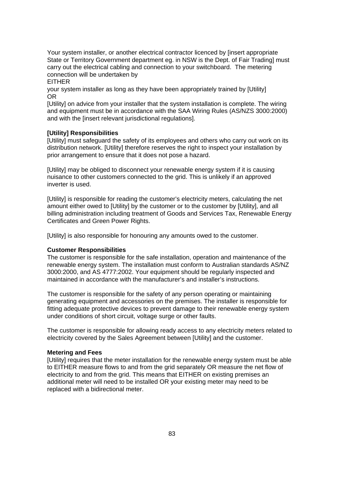Your system installer, or another electrical contractor licenced by [insert appropriate State or Territory Government department eg. in NSW is the Dept. of Fair Trading] must carry out the electrical cabling and connection to your switchboard. The metering connection will be undertaken by

EITHER

your system installer as long as they have been appropriately trained by [Utility] OR

[Utility] on advice from your installer that the system installation is complete. The wiring and equipment must be in accordance with the SAA Wiring Rules (AS/NZS 3000:2000) and with the linsert relevant jurisdictional regulations].

#### **[Utility] Responsibilities**

[Utility] must safeguard the safety of its employees and others who carry out work on its distribution network. [Utility] therefore reserves the right to inspect your installation by prior arrangement to ensure that it does not pose a hazard.

[Utility] may be obliged to disconnect your renewable energy system if it is causing nuisance to other customers connected to the grid. This is unlikely if an approved inverter is used.

[Utility] is responsible for reading the customer's electricity meters, calculating the net amount either owed to [Utility] by the customer or to the customer by [Utility], and all billing administration including treatment of Goods and Services Tax, Renewable Energy Certificates and Green Power Rights.

[Utility] is also responsible for honouring any amounts owed to the customer.

#### **Customer Responsibilities**

The customer is responsible for the safe installation, operation and maintenance of the renewable energy system. The installation must conform to Australian standards AS/NZ 3000:2000, and AS 4777:2002. Your equipment should be regularly inspected and maintained in accordance with the manufacturer's and installer's instructions.

The customer is responsible for the safety of any person operating or maintaining generating equipment and accessories on the premises. The installer is responsible for fitting adequate protective devices to prevent damage to their renewable energy system under conditions of short circuit, voltage surge or other faults.

The customer is responsible for allowing ready access to any electricity meters related to electricity covered by the Sales Agreement between [Utility] and the customer.

#### **Metering and Fees**

[Utility] requires that the meter installation for the renewable energy system must be able to EITHER measure flows to and from the grid separately OR measure the net flow of electricity to and from the grid. This means that EITHER on existing premises an additional meter will need to be installed OR your existing meter may need to be replaced with a bidirectional meter.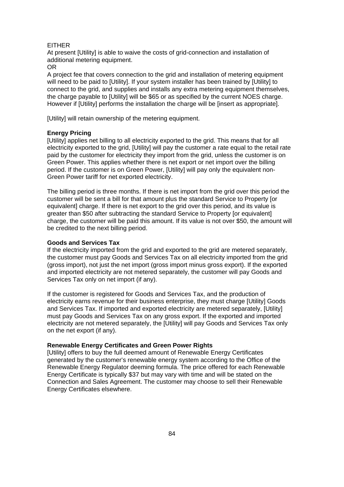#### EITHER

At present [Utility] is able to waive the costs of grid-connection and installation of additional metering equipment.

OR

A project fee that covers connection to the grid and installation of metering equipment will need to be paid to [Utility]. If your system installer has been trained by [Utility] to connect to the grid, and supplies and installs any extra metering equipment themselves, the charge payable to [Utility] will be \$65 or as specified by the current NOES charge. However if [Utility] performs the installation the charge will be [insert as appropriate].

[Utility] will retain ownership of the metering equipment.

#### **Energy Pricing**

[Utility] applies net billing to all electricity exported to the grid. This means that for all electricity exported to the grid, [Utility] will pay the customer a rate equal to the retail rate paid by the customer for electricity they import from the grid, unless the customer is on Green Power. This applies whether there is net export or net import over the billing period. If the customer is on Green Power, [Utility] will pay only the equivalent non-Green Power tariff for net exported electricity.

The billing period is three months. If there is net import from the grid over this period the customer will be sent a bill for that amount plus the standard Service to Property [or equivalent] charge. If there is net export to the grid over this period, and its value is greater than \$50 after subtracting the standard Service to Property [or equivalent] charge, the customer will be paid this amount. If its value is not over \$50, the amount will be credited to the next billing period.

#### **Goods and Services Tax**

If the electricity imported from the grid and exported to the grid are metered separately, the customer must pay Goods and Services Tax on all electricity imported from the grid (gross import), not just the net import (gross import minus gross export). If the exported and imported electricity are not metered separately, the customer will pay Goods and Services Tax only on net import (if any).

If the customer is registered for Goods and Services Tax, and the production of electricity earns revenue for their business enterprise, they must charge [Utility] Goods and Services Tax. If imported and exported electricity are metered separately, [Utility] must pay Goods and Services Tax on any gross export. If the exported and imported electricity are not metered separately, the [Utility] will pay Goods and Services Tax only on the net export (if any).

#### **Renewable Energy Certificates and Green Power Rights**

[Utility] offers to buy the full deemed amount of Renewable Energy Certificates generated by the customer's renewable energy system according to the Office of the Renewable Energy Regulator deeming formula. The price offered for each Renewable Energy Certificate is typically \$37 but may vary with time and will be stated on the Connection and Sales Agreement. The customer may choose to sell their Renewable Energy Certificates elsewhere.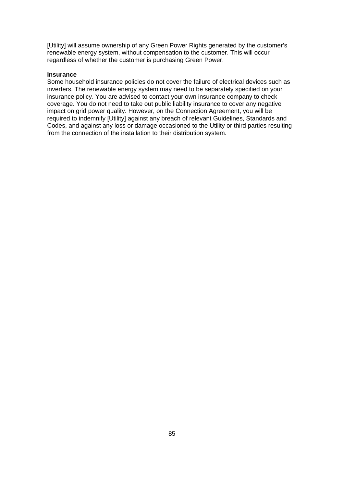[Utility] will assume ownership of any Green Power Rights generated by the customer's renewable energy system, without compensation to the customer. This will occur regardless of whether the customer is purchasing Green Power.

#### **Insurance**

Some household insurance policies do not cover the failure of electrical devices such as inverters. The renewable energy system may need to be separately specified on your insurance policy. You are advised to contact your own insurance company to check coverage. You do not need to take out public liability insurance to cover any negative impact on grid power quality. However, on the Connection Agreement, you will be required to indemnify [Utility] against any breach of relevant Guidelines, Standards and Codes, and against any loss or damage occasioned to the Utility or third parties resulting from the connection of the installation to their distribution system.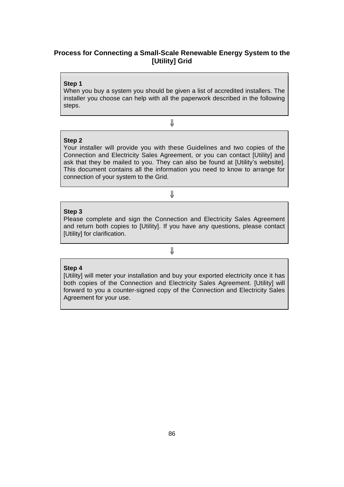# **Process for Connecting a Small-Scale Renewable Energy System to the [Utility] Grid**

#### **Step 1**

**Step 2**

When you buy a system you should be given a list of accredited installers. The installer you choose can help with all the paperwork described in the following steps.

⇓

Your installer will provide you with these Guidelines and two copies of the Connection and Electricity Sales Agreement, or you can contact [Utility] and ask that they be mailed to you. They can also be found at [Utility's website]. This document contains all the information you need to know to arrange for connection of your system to the Grid.

# ⇓

# **Step 3**

Please complete and sign the Connection and Electricity Sales Agreement and return both copies to [Utility]. If you have any questions, please contact [Utility] for clarification.

⇓

# **Step 4**

[Utility] will meter your installation and buy your exported electricity once it has both copies of the Connection and Electricity Sales Agreement. [Utility] will forward to you a counter-signed copy of the Connection and Electricity Sales Agreement for your use.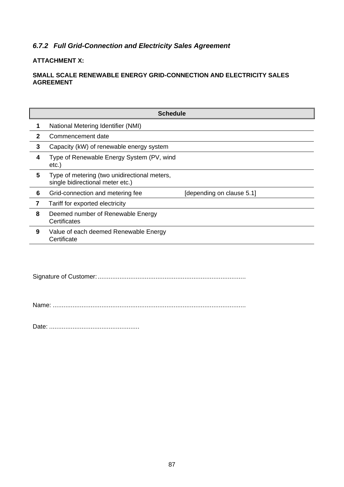# *6.7.2 Full Grid-Connection and Electricity Sales Agreement*

# **ATTACHMENT X:**

# **SMALL SCALE RENEWABLE ENERGY GRID-CONNECTION AND ELECTRICITY SALES AGREEMENT**

|              | <b>Schedule</b>                                                                  |                           |
|--------------|----------------------------------------------------------------------------------|---------------------------|
| 1            | National Metering Identifier (NMI)                                               |                           |
| $\mathbf{2}$ | Commencement date                                                                |                           |
| 3            | Capacity (kW) of renewable energy system                                         |                           |
| 4            | Type of Renewable Energy System (PV, wind<br>$etc.$ )                            |                           |
| 5            | Type of metering (two unidirectional meters,<br>single bidirectional meter etc.) |                           |
| 6            | Grid-connection and metering fee                                                 | [depending on clause 5.1] |
| 7            | Tariff for exported electricity                                                  |                           |
| 8            | Deemed number of Renewable Energy<br>Certificates                                |                           |
| 9            | Value of each deemed Renewable Energy<br>Certificate                             |                           |
|              |                                                                                  |                           |

Signature of Customer: ..................................................................................

Name: ...........................................................................................................

Date: ..................................................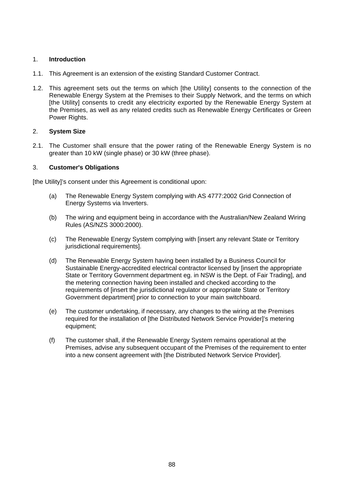# 1. **Introduction**

- 1.1. This Agreement is an extension of the existing Standard Customer Contract.
- 1.2. This agreement sets out the terms on which [the Utility] consents to the connection of the Renewable Energy System at the Premises to their Supply Network, and the terms on which [the Utility] consents to credit any electricity exported by the Renewable Energy System at the Premises, as well as any related credits such as Renewable Energy Certificates or Green Power Rights.

# 2. **System Size**

2.1. The Customer shall ensure that the power rating of the Renewable Energy System is no greater than 10 kW (single phase) or 30 kW (three phase).

## 3. **Customer's Obligations**

[the Utility]'s consent under this Agreement is conditional upon:

- (a) The Renewable Energy System complying with AS 4777:2002 Grid Connection of Energy Systems via Inverters.
- (b) The wiring and equipment being in accordance with the Australian/New Zealand Wiring Rules (AS/NZS 3000:2000).
- (c) The Renewable Energy System complying with [insert any relevant State or Territory jurisdictional requirements].
- (d) The Renewable Energy System having been installed by a Business Council for Sustainable Energy-accredited electrical contractor licensed by [insert the appropriate State or Territory Government department eg. in NSW is the Dept. of Fair Trading], and the metering connection having been installed and checked according to the requirements of [insert the jurisdictional regulator or appropriate State or Territory Government department] prior to connection to your main switchboard.
- (e) The customer undertaking, if necessary, any changes to the wiring at the Premises required for the installation of [the Distributed Network Service Provider]'s metering equipment;
- (f) The customer shall, if the Renewable Energy System remains operational at the Premises, advise any subsequent occupant of the Premises of the requirement to enter into a new consent agreement with [the Distributed Network Service Provider].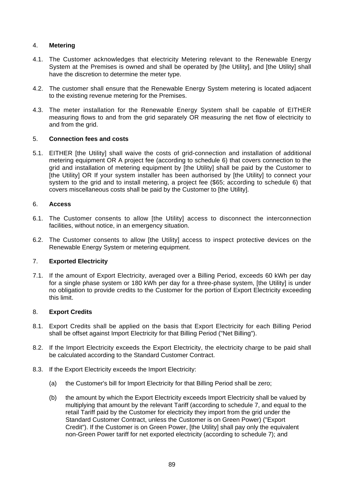# 4. **Metering**

- 4.1. The Customer acknowledges that electricity Metering relevant to the Renewable Energy System at the Premises is owned and shall be operated by [the Utility], and [the Utility] shall have the discretion to determine the meter type.
- 4.2. The customer shall ensure that the Renewable Energy System metering is located adjacent to the existing revenue metering for the Premises.
- 4.3. The meter installation for the Renewable Energy System shall be capable of EITHER measuring flows to and from the grid separately OR measuring the net flow of electricity to and from the grid.

# 5. **Connection fees and costs**

5.1. EITHER [the Utility] shall waive the costs of grid-connection and installation of additional metering equipment OR A project fee (according to schedule 6) that covers connection to the grid and installation of metering equipment by [the Utility] shall be paid by the Customer to [the Utility] OR If your system installer has been authorised by [the Utility] to connect your system to the grid and to install metering, a project fee (\$65; according to schedule 6) that covers miscellaneous costs shall be paid by the Customer to [the Utility].

# 6. **Access**

- 6.1. The Customer consents to allow [the Utility] access to disconnect the interconnection facilities, without notice, in an emergency situation.
- 6.2. The Customer consents to allow [the Utility] access to inspect protective devices on the Renewable Energy System or metering equipment.

# 7. **Exported Electricity**

7.1. If the amount of Export Electricity, averaged over a Billing Period, exceeds 60 kWh per day for a single phase system or 180 kWh per day for a three-phase system, [the Utility] is under no obligation to provide credits to the Customer for the portion of Export Electricity exceeding this limit.

# 8. **Export Credits**

- 8.1. Export Credits shall be applied on the basis that Export Electricity for each Billing Period shall be offset against Import Electricity for that Billing Period ("Net Billing").
- 8.2. If the Import Electricity exceeds the Export Electricity, the electricity charge to be paid shall be calculated according to the Standard Customer Contract.
- 8.3. If the Export Electricity exceeds the Import Electricity:
	- (a) the Customer's bill for Import Electricity for that Billing Period shall be zero;
	- (b) the amount by which the Export Electricity exceeds Import Electricity shall be valued by multiplying that amount by the relevant Tariff (according to schedule 7, and equal to the retail Tariff paid by the Customer for electricity they import from the grid under the Standard Customer Contract, unless the Customer is on Green Power) ("Export Credit"). If the Customer is on Green Power, [the Utility] shall pay only the equivalent non-Green Power tariff for net exported electricity (according to schedule 7); and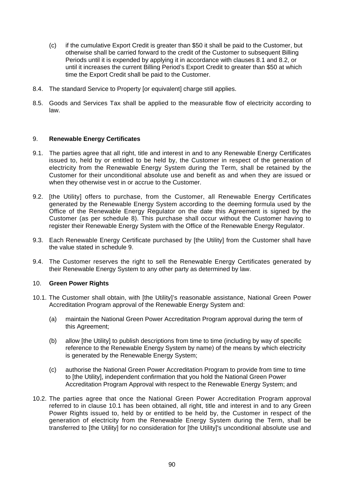- (c) if the cumulative Export Credit is greater than \$50 it shall be paid to the Customer, but otherwise shall be carried forward to the credit of the Customer to subsequent Billing Periods until it is expended by applying it in accordance with clauses 8.1 and 8.2, or until it increases the current Billing Period's Export Credit to greater than \$50 at which time the Export Credit shall be paid to the Customer.
- 8.4. The standard Service to Property [or equivalent] charge still applies.
- 8.5. Goods and Services Tax shall be applied to the measurable flow of electricity according to law.

## 9. **Renewable Energy Certificates**

- 9.1. The parties agree that all right, title and interest in and to any Renewable Energy Certificates issued to, held by or entitled to be held by, the Customer in respect of the generation of electricity from the Renewable Energy System during the Term, shall be retained by the Customer for their unconditional absolute use and benefit as and when they are issued or when they otherwise vest in or accrue to the Customer.
- 9.2. [the Utility] offers to purchase, from the Customer, all Renewable Energy Certificates generated by the Renewable Energy System according to the deeming formula used by the Office of the Renewable Energy Regulator on the date this Agreement is signed by the Customer (as per schedule 8). This purchase shall occur without the Customer having to register their Renewable Energy System with the Office of the Renewable Energy Regulator.
- 9.3. Each Renewable Energy Certificate purchased by [the Utility] from the Customer shall have the value stated in schedule 9.
- 9.4. The Customer reserves the right to sell the Renewable Energy Certificates generated by their Renewable Energy System to any other party as determined by law.

#### 10. **Green Power Rights**

- 10.1. The Customer shall obtain, with [the Utility]'s reasonable assistance, National Green Power Accreditation Program approval of the Renewable Energy System and:
	- (a) maintain the National Green Power Accreditation Program approval during the term of this Agreement;
	- (b) allow [the Utility] to publish descriptions from time to time (including by way of specific reference to the Renewable Energy System by name) of the means by which electricity is generated by the Renewable Energy System;
	- (c) authorise the National Green Power Accreditation Program to provide from time to time to [the Utility], independent confirmation that you hold the National Green Power Accreditation Program Approval with respect to the Renewable Energy System; and
- 10.2. The parties agree that once the National Green Power Accreditation Program approval referred to in clause 10.1 has been obtained, all right, title and interest in and to any Green Power Rights issued to, held by or entitled to be held by, the Customer in respect of the generation of electricity from the Renewable Energy System during the Term, shall be transferred to [the Utility] for no consideration for [the Utility]'s unconditional absolute use and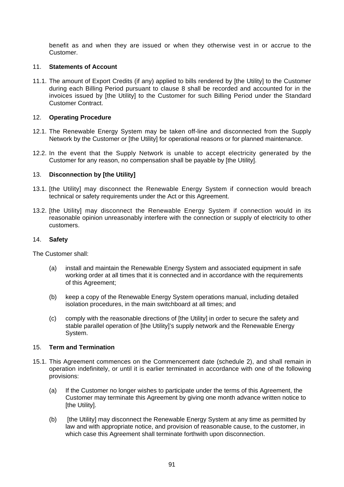benefit as and when they are issued or when they otherwise vest in or accrue to the Customer.

# 11. **Statements of Account**

11.1. The amount of Export Credits (if any) applied to bills rendered by [the Utility] to the Customer during each Billing Period pursuant to clause 8 shall be recorded and accounted for in the invoices issued by [the Utility] to the Customer for such Billing Period under the Standard Customer Contract.

# 12. **Operating Procedure**

- 12.1. The Renewable Energy System may be taken off-line and disconnected from the Supply Network by the Customer or [the Utility] for operational reasons or for planned maintenance.
- 12.2. In the event that the Supply Network is unable to accept electricity generated by the Customer for any reason, no compensation shall be payable by [the Utility].

## 13. **Disconnection by [the Utility]**

- 13.1. [the Utility] may disconnect the Renewable Energy System if connection would breach technical or safety requirements under the Act or this Agreement.
- 13.2. [the Utility] may disconnect the Renewable Energy System if connection would in its reasonable opinion unreasonably interfere with the connection or supply of electricity to other customers.

#### 14. **Safety**

The Customer shall:

- (a) install and maintain the Renewable Energy System and associated equipment in safe working order at all times that it is connected and in accordance with the requirements of this Agreement;
- (b) keep a copy of the Renewable Energy System operations manual, including detailed isolation procedures, in the main switchboard at all times; and
- (c) comply with the reasonable directions of [the Utility] in order to secure the safety and stable parallel operation of [the Utility]'s supply network and the Renewable Energy System.

#### 15. **Term and Termination**

- 15.1. This Agreement commences on the Commencement date (schedule 2), and shall remain in operation indefinitely, or until it is earlier terminated in accordance with one of the following provisions:
	- (a) If the Customer no longer wishes to participate under the terms of this Agreement, the Customer may terminate this Agreement by giving one month advance written notice to **[the Utility].**
	- (b) [the Utility] may disconnect the Renewable Energy System at any time as permitted by law and with appropriate notice, and provision of reasonable cause, to the customer, in which case this Agreement shall terminate forthwith upon disconnection.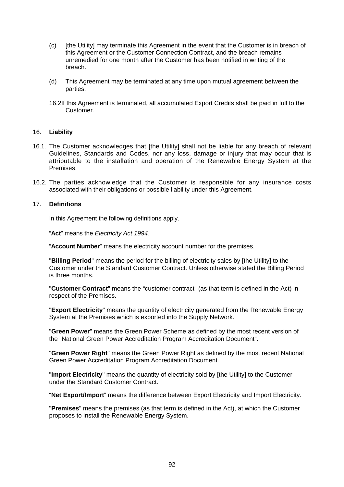- (c) [the Utility] may terminate this Agreement in the event that the Customer is in breach of this Agreement or the Customer Connection Contract, and the breach remains unremedied for one month after the Customer has been notified in writing of the breach.
- (d) This Agreement may be terminated at any time upon mutual agreement between the parties.
- 16.2If this Agreement is terminated, all accumulated Export Credits shall be paid in full to the Customer.

## 16. **Liability**

- 16.1. The Customer acknowledges that [the Utility] shall not be liable for any breach of relevant Guidelines, Standards and Codes, nor any loss, damage or injury that may occur that is attributable to the installation and operation of the Renewable Energy System at the Premises.
- 16.2. The parties acknowledge that the Customer is responsible for any insurance costs associated with their obligations or possible liability under this Agreement.

#### 17. **Definitions**

In this Agreement the following definitions apply.

"**Act**" meansthe *Electricity Act 1994*.

"**Account Number**" means the electricity account number for the premises.

"**Billing Period**" means the period for the billing of electricity sales by [the Utility] to the Customer under the Standard Customer Contract. Unless otherwise stated the Billing Period is three months.

"**Customer Contract**" means the "customer contract" (as that term is defined in the Act) in respect of the Premises.

"**Export Electricity**" means the quantity of electricity generated from the Renewable Energy System at the Premises which is exported into the Supply Network.

"**Green Power**" means the Green Power Scheme as defined by the most recent version of the "National Green Power Accreditation Program Accreditation Document".

"**Green Power Right**" means the Green Power Right as defined by the most recent National Green Power Accreditation Program Accreditation Document.

"**Import Electricity**" means the quantity of electricity sold by [the Utility] to the Customer under the Standard Customer Contract.

"**Net Export/Import**" means the difference between Export Electricity and Import Electricity.

"**Premises**" means the premises (as that term is defined in the Act), at which the Customer proposes to install the Renewable Energy System.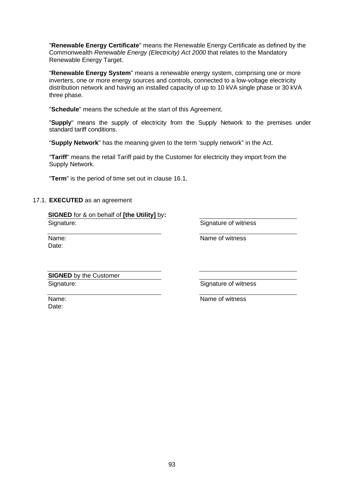"**Renewable Energy Certificate**" means the Renewable Energy Certificate as defined by the Commonwealth *Renewable Energy (Electricity) Act 2000* that relates to the Mandatory Renewable Energy Target.

"**Renewable Energy System**" means a renewable energy system, comprising one or more inverters, one or more energy sources and controls, connected to a low-voltage electricity distribution network and having an installed capacity of up to 10 kVA single phase or 30 kVA three phase.

"**Schedule**" means the schedule at the start of this Agreement.

"Supply" means the supply of electricity from the Supply Network to the premises under standard tariff conditions.

"**Supply Network**" has the meaning given to the term 'supply network" in the Act.

"**Tariff**" means the retail Tariff paid by the Customer for electricity they import from the Supply Network.

"**Term**" is the period of time set out in clause 16.1.

### 17.1. **EXECUTED** as an agreement

**SIGNED** for & on behalf of **[the Utility]** by**:** Signature:

Signature of witness

Name: Date:

Name of witness

**SIGNED** by the Customer Signature:

Signature of witness

Name: Date:

Name of witness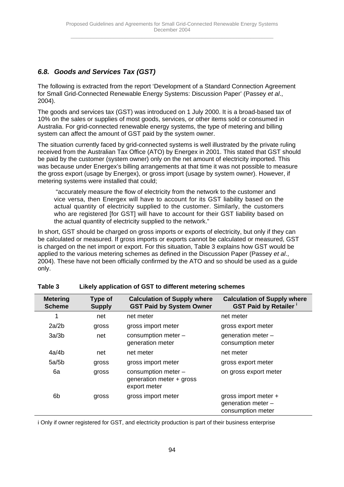# *6.8. Goods and Services Tax (GST)*

The following is extracted from the report 'Development of a Standard Connection Agreement for Small Grid-Connected Renewable Energy Systems: Discussion Paper' (Passey *et al*., 2004).

The goods and services tax (GST) was introduced on 1 July 2000. It is a broad-based tax of 10% on the sales or supplies of most goods, services, or other items sold or consumed in Australia. For grid-connected renewable energy systems, the type of metering and billing system can affect the amount of GST paid by the system owner.

The situation currently faced by grid-connected systems is well illustrated by the private ruling received from the Australian Tax Office (ATO) by Energex in 2001. This stated that GST should be paid by the customer (system owner) only on the net amount of electricity imported. This was because under Energex's billing arrangements at that time it was not possible to measure the gross export (usage by Energex), or gross import (usage by system owner). However, if metering systems were installed that could;

 "accurately measure the flow of electricity from the network to the customer and vice versa, then Energex will have to account for its GST liability based on the actual quantity of electricity supplied to the customer. Similarly, the customers who are registered [for GST] will have to account for their GST liability based on the actual quantity of electricity supplied to the network."

In short, GST should be charged on gross imports or exports of electricity, but only if they can be calculated or measured. If gross imports or exports cannot be calculated or measured, GST is charged on the net import or export. For this situation, Table 3 explains how GST would be applied to the various metering schemes as defined in the Discussion Paper (Passey *et al*., 2004). These have not been officially confirmed by the ATO and so should be used as a guide only.

| <b>Metering</b><br><b>Scheme</b> | Type of<br><b>Supply</b> | <b>Calculation of Supply where</b><br><b>GST Paid by System Owner</b> | <b>Calculation of Supply where</b><br><b>GST Paid by Retailer</b> |
|----------------------------------|--------------------------|-----------------------------------------------------------------------|-------------------------------------------------------------------|
| 1                                | net                      | net meter                                                             | net meter                                                         |
| 2a/2b                            | gross                    | gross import meter                                                    | gross export meter                                                |
| 3a/3b                            | net                      | consumption meter -<br>generation meter                               | generation meter -<br>consumption meter                           |
| 4a/4b                            | net                      | net meter                                                             | net meter                                                         |
| 5a/5b                            | gross                    | gross import meter                                                    | gross export meter                                                |
| 6а                               | gross                    | consumption meter -<br>generation meter + gross<br>export meter       | on gross export meter                                             |
| 6 <sub>b</sub>                   | gross                    | gross import meter                                                    | gross import meter +<br>generation meter -<br>consumption meter   |

| Table 3 | Likely application of GST to different metering schemes |
|---------|---------------------------------------------------------|
|         |                                                         |

i Only if owner registered for GST, and electricity production is part of their business enterprise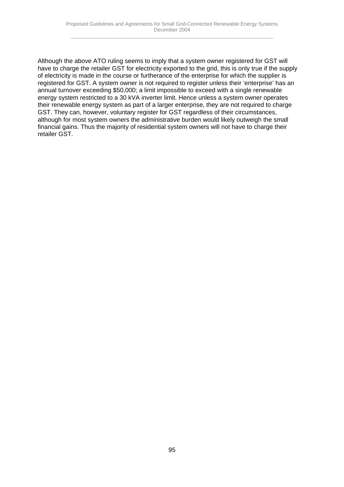Although the above ATO ruling seems to imply that a system owner registered for GST will have to charge the retailer GST for electricity exported to the grid, this is only true if the supply of electricity is made in the course or furtherance of the enterprise for which the supplier is registered for GST. A system owner is not required to register unless their 'enterprise' has an annual turnover exceeding \$50,000; a limit impossible to exceed with a single renewable energy system restricted to a 30 kVA inverter limit. Hence unless a system owner operates their renewable energy system as part of a larger enterprise, they are not required to charge GST. They can, however, voluntary register for GST regardless of their circumstances, although for most system owners the administrative burden would likely outweigh the small financial gains. Thus the majority of residential system owners will not have to charge their retailer GST.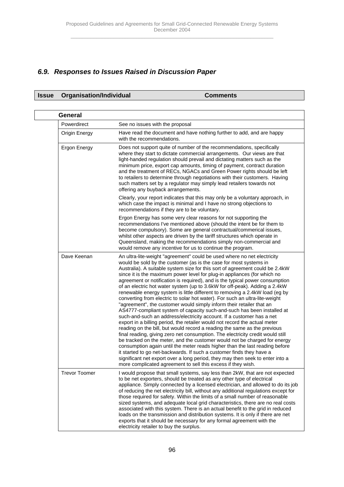# *6.9. Responses to Issues Raised in Discussion Paper*

# **Issue Organisation/Individual Comments**

| General              |                                                                                                                                                                                                                                                                                                                                                                                                                                                                                                                                                                                                                                                                                                                                                                                                                                                                                                                                                                                                                                                                                                                                                                                                                                                                                                                                                                                                                                                                                                   |  |
|----------------------|---------------------------------------------------------------------------------------------------------------------------------------------------------------------------------------------------------------------------------------------------------------------------------------------------------------------------------------------------------------------------------------------------------------------------------------------------------------------------------------------------------------------------------------------------------------------------------------------------------------------------------------------------------------------------------------------------------------------------------------------------------------------------------------------------------------------------------------------------------------------------------------------------------------------------------------------------------------------------------------------------------------------------------------------------------------------------------------------------------------------------------------------------------------------------------------------------------------------------------------------------------------------------------------------------------------------------------------------------------------------------------------------------------------------------------------------------------------------------------------------------|--|
| Powerdirect          | See no issues with the proposal                                                                                                                                                                                                                                                                                                                                                                                                                                                                                                                                                                                                                                                                                                                                                                                                                                                                                                                                                                                                                                                                                                                                                                                                                                                                                                                                                                                                                                                                   |  |
| Origin Energy        | Have read the document and have nothing further to add, and are happy<br>with the recommendations.                                                                                                                                                                                                                                                                                                                                                                                                                                                                                                                                                                                                                                                                                                                                                                                                                                                                                                                                                                                                                                                                                                                                                                                                                                                                                                                                                                                                |  |
| Ergon Energy         | Does not support quite of number of the recommendations, specifically<br>where they start to dictate commercial arrangements. Our views are that<br>light-handed regulation should prevail and dictating matters such as the<br>minimum price, export cap amounts, timing of payment, contract duration<br>and the treatment of RECs, NGACs and Green Power rights should be left<br>to retailers to determine through negotiations with their customers. Having<br>such matters set by a regulator may simply lead retailers towards not<br>offering any buyback arrangements.                                                                                                                                                                                                                                                                                                                                                                                                                                                                                                                                                                                                                                                                                                                                                                                                                                                                                                                   |  |
|                      | Clearly, your report indicates that this may only be a voluntary approach, in<br>which case the impact is minimal and I have no strong objections to<br>recommendations if they are to be voluntary.                                                                                                                                                                                                                                                                                                                                                                                                                                                                                                                                                                                                                                                                                                                                                                                                                                                                                                                                                                                                                                                                                                                                                                                                                                                                                              |  |
|                      | Ergon Energy has some very clear reasons for not supporting the<br>recommendations I've mentioned above (should the intent be for them to<br>become compulsory). Some are general contractual/commerical issues,<br>whilst other aspects are driven by the tariff structures which operate in<br>Queensland, making the recommendations simply non-commercial and<br>would remove any incentive for us to continue the program.                                                                                                                                                                                                                                                                                                                                                                                                                                                                                                                                                                                                                                                                                                                                                                                                                                                                                                                                                                                                                                                                   |  |
| Dave Keenan          | An ultra-lite-weight "agreement" could be used where no net electricity<br>would be sold by the customer (as is the case for most systems in<br>Australia). A suitable system size for this sort of agreement could be 2.4kW<br>since it is the maximum power level for plug-in appliances (for which no<br>agreement or notification is required), and is the typical power consumption<br>of an electric hot water system (up to 3.6kW for off-peak). Adding a 2.4kW<br>renewable energy system is little different to removing a 2.4kW load (eg by<br>converting from electric to solar hot water). For such an ultra-lite-weight<br>"agreement", the customer would simply inform their retailer that an<br>AS4777-compliant system of capacity such-and-such has been installed at<br>such-and-such an address/electricity account. If a customer has a net<br>export in a billing period, the retailer would not record the actual meter<br>reading on the bill, but would record a reading the same as the previous<br>final reading, giving zero net consumption. The electricity credit would still<br>be tracked on the meter, and the customer would not be charged for energy<br>consumption again until the meter reads higher than the last reading before<br>it started to go net-backwards. If such a customer finds they have a<br>significant net export over a long period, they may then seek to enter into a<br>more complicated agreement to sell this excess if they wish. |  |
| <b>Trevor Toomer</b> | I would propose that small systems, say less than 2kW, that are not expected<br>to be net exporters, should be treated as any other type of electrical<br>appliance. Simply connected by a licensed electrician, and allowed to do its job<br>of reducing the net electricity bill, without any additional regulations except for<br>those required for safety. Within the limits of a small number of reasonable<br>sized systems, and adequate local grid characteristics, there are no real costs<br>associated with this system. There is an actual benefit to the grid in reduced<br>loads on the transmission and distribution systems. It is only if there are net<br>exports that it should be necessary for any formal agreement with the<br>electricity retailer to buy the surplus.                                                                                                                                                                                                                                                                                                                                                                                                                                                                                                                                                                                                                                                                                                    |  |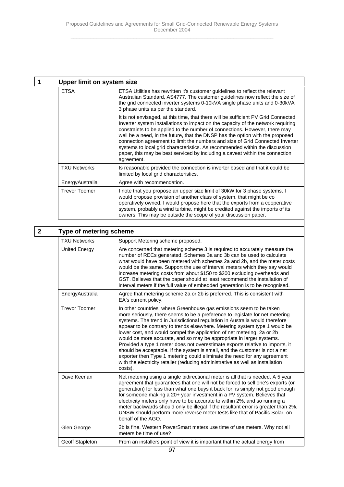| Upper limit on system size |                                                                                                                                                                                                                                                                                                                                                                                                                                                                                                                                                                                                     |  |
|----------------------------|-----------------------------------------------------------------------------------------------------------------------------------------------------------------------------------------------------------------------------------------------------------------------------------------------------------------------------------------------------------------------------------------------------------------------------------------------------------------------------------------------------------------------------------------------------------------------------------------------------|--|
| <b>ETSA</b>                | ETSA Utilities has rewritten it's customer guidelines to reflect the relevant<br>Australian Standard, AS4777. The customer guidelines now reflect the size of<br>the grid connected inverter systems 0-10kVA single phase units and 0-30kVA<br>3 phase units as per the standard.                                                                                                                                                                                                                                                                                                                   |  |
|                            | It is not envisaged, at this time, that there will be sufficient PV Grid Connected<br>Inverter system installations to impact on the capacity of the network requiring<br>constraints to be applied to the number of connections. However, there may<br>well be a need, in the future, that the DNSP has the option with the proposed<br>connection agreement to limit the numbers and size of Grid Connected Inverter<br>systems to local grid characteristics. As recommended within the discussion<br>paper, this may be best serviced by including a caveat within the connection<br>agreement. |  |
| <b>TXU Networks</b>        | Is reasonable provided the connection is inverter based and that it could be<br>limited by local grid characteristics.                                                                                                                                                                                                                                                                                                                                                                                                                                                                              |  |
| EnergyAustralia            | Agree with recommendation.                                                                                                                                                                                                                                                                                                                                                                                                                                                                                                                                                                          |  |
| <b>Trevor Toomer</b>       | I note that you propose an upper size limit of 30kW for 3 phase systems. I<br>would propose provision of another class of system, that might be co<br>operatively owned. I would propose here that the exports from a cooperative<br>system, probably a wind turbine, might be credited against the imports of its<br>owners. This may be outside the scope of your discussion paper.                                                                                                                                                                                                               |  |

# **2 Type of metering scheme**

| ו אויב חו ווופופווווא פרוופווופ |                                                                                                                                                                                                                                                                                                                                                                                                                                                                                                                                                                                                                                                                                                                                                                                                              |  |
|---------------------------------|--------------------------------------------------------------------------------------------------------------------------------------------------------------------------------------------------------------------------------------------------------------------------------------------------------------------------------------------------------------------------------------------------------------------------------------------------------------------------------------------------------------------------------------------------------------------------------------------------------------------------------------------------------------------------------------------------------------------------------------------------------------------------------------------------------------|--|
| <b>TXU Networks</b>             | Support Metering scheme proposed.                                                                                                                                                                                                                                                                                                                                                                                                                                                                                                                                                                                                                                                                                                                                                                            |  |
| <b>United Energy</b>            | Are concerned that metering scheme 3 is required to accurately measure the<br>number of RECs generated. Schemes 3a and 3b can be used to calculate<br>what would have been metered with schemes 2a and 2b, and the meter costs<br>would be the same. Support the use of interval meters which they say would<br>increase metering costs from about \$150 to \$200 excluding overheads and<br>GST. Believes that the paper should at least recommend the installation of<br>interval meters if the full value of embedded generation is to be recognised.                                                                                                                                                                                                                                                     |  |
| EnergyAustralia                 | Agree that metering scheme 2a or 2b is preferred. This is consistent with<br>EA's current policy.                                                                                                                                                                                                                                                                                                                                                                                                                                                                                                                                                                                                                                                                                                            |  |
| <b>Trevor Toomer</b>            | In other countries, where Greenhouse gas emissions seem to be taken<br>more seriously, there seems to be a preference to legislate for net metering<br>systems. The trend in Jurisdictional regulation in Australia would therefore<br>appear to be contrary to trends elsewhere. Metering system type 1 would be<br>lower cost, and would compel the application of net metering. 2a or 2b<br>would be more accurate, and so may be appropriate in larger systems.<br>Provided a type 1 meter does not overestimate exports relative to imports, it<br>should be acceptable. If the system is small, and the customer is not a net<br>exporter then Type 1 metering could eliminate the need for any agreement<br>with the electricity retailer (reducing administrative as well as installation<br>costs). |  |
| Dave Keenan                     | Net metering using a single bidirectional meter is all that is needed. A 5 year<br>agreement that guarantees that one will not be forced to sell one's exports (or<br>generation) for less than what one buys it back for, is simply not good enough<br>for someone making a 20+ year investment in a PV system. Believes that<br>electricity meters only have to be accurate to within 2%, and so running a<br>meter backwards should only be illegal if the resultant error is greater than 2%.<br>UNSW should perform more reverse meter tests like that of Pacific Solar, on<br>behalf of the AGO.                                                                                                                                                                                                       |  |
| Glen George                     | 2b is fine. Western PowerSmart meters use time of use meters. Why not all<br>meters be time of use?                                                                                                                                                                                                                                                                                                                                                                                                                                                                                                                                                                                                                                                                                                          |  |
| <b>Geoff Stapleton</b>          | From an installers point of view it is important that the actual energy from                                                                                                                                                                                                                                                                                                                                                                                                                                                                                                                                                                                                                                                                                                                                 |  |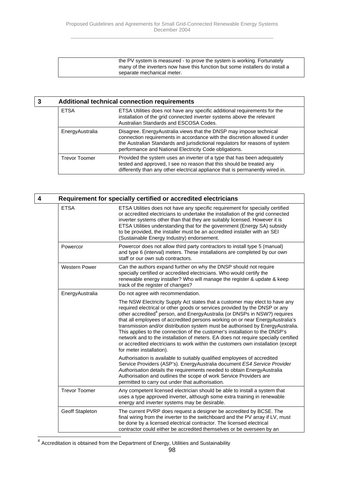the PV system is measured - to prove the system is working. Fortunately many of the inverters now have this function but some installers do install a separate mechanical meter.

|  | <b>Additional technical connection requirements</b> |                                                                                                                                                                                                                                                                                             |
|--|-----------------------------------------------------|---------------------------------------------------------------------------------------------------------------------------------------------------------------------------------------------------------------------------------------------------------------------------------------------|
|  | <b>ETSA</b>                                         | ETSA Utilities does not have any specific additional requirements for the<br>installation of the grid connected inverter systems above the relevant<br>Australian Standards and ESCOSA Codes.                                                                                               |
|  | EnergyAustralia                                     | Disagree. Energy Australia views that the DNSP may impose technical<br>connection requirements in accordance with the discretion allowed it under<br>the Australian Standards and jurisdictional regulators for reasons of system<br>performance and National Electricity Code obligations. |
|  | <b>Trevor Toomer</b>                                | Provided the system uses an inverter of a type that has been adequately<br>tested and approved, I see no reason that this should be treated any<br>differently than any other electrical appliance that is permanently wired in.                                                            |

| 4                    | Requirement for specially certified or accredited electricians                                                                                                                                                                                                                                                                                                                                                                                                                                                                                                                                                                                                                                             |  |  |
|----------------------|------------------------------------------------------------------------------------------------------------------------------------------------------------------------------------------------------------------------------------------------------------------------------------------------------------------------------------------------------------------------------------------------------------------------------------------------------------------------------------------------------------------------------------------------------------------------------------------------------------------------------------------------------------------------------------------------------------|--|--|
| <b>ETSA</b>          | ETSA Utilities does not have any specific requirement for specially certified<br>or accredited electricians to undertake the installation of the grid connected<br>inverter systems other than that they are suitably licensed. However it is<br>ETSA Utilities understanding that for the government (Energy SA) subsidy<br>to be provided, the installer must be an accredited installer with an SEI<br>(Sustainable Energy Industry) endorsement.                                                                                                                                                                                                                                                       |  |  |
| Powercor             | Powercor does not allow third party contractors to install type 5 (manual)<br>and type 6 (interval) meters. These installations are completed by our own<br>staff or our own sub contractors.                                                                                                                                                                                                                                                                                                                                                                                                                                                                                                              |  |  |
| <b>Western Power</b> | Can the authors expand further on why the DNSP should not require<br>specially certified or accredited electricians. Who would certify the<br>renewable energy installer? Who will manage the register & update & keep<br>track of the register of changes?                                                                                                                                                                                                                                                                                                                                                                                                                                                |  |  |
| EnergyAustralia      | Do not agree with recommendation.                                                                                                                                                                                                                                                                                                                                                                                                                                                                                                                                                                                                                                                                          |  |  |
|                      | The NSW Electricity Supply Act states that a customer may elect to have any<br>required electrical or other goods or services provided by the DNSP or any<br>other accredited <sup>4</sup> person, and EnergyAustralia (or DNSPs in NSW?) requires<br>that all employees of accredited persons working on or near EnergyAustralia's<br>transmission and/or distribution system must be authorised by EnergyAustralia.<br>This applies to the connection of the customer's installation to the DNSP's<br>network and to the installation of meters. EA does not require specially certified<br>or accredited electricians to work within the customers own installation (except<br>for meter installation). |  |  |
|                      | Authorisation is available to suitably qualified employees of accredited<br>Service Providers (ASP's). EnergyAustralia document ES4 Service Provider<br>Authorisation details the requirements needed to obtain EnergyAustralia<br>Authorisation and outlines the scope of work Service Providers are<br>permitted to carry out under that authorisation.                                                                                                                                                                                                                                                                                                                                                  |  |  |
| <b>Trevor Toomer</b> | Any competent licensed electrician should be able to install a system that<br>uses a type approved inverter, although some extra training in renewable<br>energy and inverter systems may be desirable.                                                                                                                                                                                                                                                                                                                                                                                                                                                                                                    |  |  |
| Geoff Stapleton      | The current PVRP does request a designer be accredited by BCSE. The<br>final wiring from the inverter to the switchboard and the PV array if LV, must<br>be done by a licensed electrical contractor. The licensed electrical<br>contractor could either be accredited themselves or be overseen by an                                                                                                                                                                                                                                                                                                                                                                                                     |  |  |

4 Accreditation is obtained from the Department of Energy, Utilities and Sustainability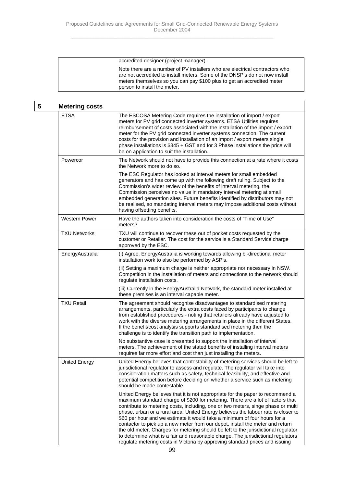accredited designer (project manager).

Note there are a number of PV installers who are electrical contractors who are not accredited to install meters. Some of the DNSP's do not now install meters themselves so you can pay \$100 plus to get an accredited meter person to install the meter.

| 5 | <b>Metering costs</b> |                                                                                                                                                                                                                                                                                                                                                                                                                                                                                                                                                                                                                                                                                                                                                                   |
|---|-----------------------|-------------------------------------------------------------------------------------------------------------------------------------------------------------------------------------------------------------------------------------------------------------------------------------------------------------------------------------------------------------------------------------------------------------------------------------------------------------------------------------------------------------------------------------------------------------------------------------------------------------------------------------------------------------------------------------------------------------------------------------------------------------------|
|   | <b>ETSA</b>           | The ESCOSA Metering Code requires the installation of import / export<br>meters for PV grid connected inverter systems. ETSA Utilities requires<br>reimbursement of costs associated with the installation of the import / export<br>meter for the PV grid connected inverter systems connection. The current<br>costs for the provision and installation of an import / export meters single<br>phase installations is \$345 + GST and for 3 Phase installations the price will<br>be on application to suit the installation.                                                                                                                                                                                                                                   |
|   | Powercor              | The Network should not have to provide this connection at a rate where it costs<br>the Network more to do so.                                                                                                                                                                                                                                                                                                                                                                                                                                                                                                                                                                                                                                                     |
|   |                       | The ESC Regulator has looked at interval meters for small embedded<br>generators and has come up with the following draft ruling. Subject to the<br>Commission's wider review of the benefits of interval metering, the<br>Commission perceives no value in mandatory interval metering at small<br>embedded generation sites. Future benefits identified by distributors may not<br>be realised, so mandating interval meters may impose additional costs without<br>having offsetting benefits.                                                                                                                                                                                                                                                                 |
|   | <b>Western Power</b>  | Have the authors taken into consideration the costs of "Time of Use"<br>meters?                                                                                                                                                                                                                                                                                                                                                                                                                                                                                                                                                                                                                                                                                   |
|   | <b>TXU Networks</b>   | TXU will continue to recover these out of pocket costs requested by the<br>customer or Retailer. The cost for the service is a Standard Service charge<br>approved by the ESC.                                                                                                                                                                                                                                                                                                                                                                                                                                                                                                                                                                                    |
|   | EnergyAustralia       | (i) Agree. EnergyAustralia is working towards allowing bi-directional meter<br>installation work to also be performed by ASP's.                                                                                                                                                                                                                                                                                                                                                                                                                                                                                                                                                                                                                                   |
|   |                       | (ii) Setting a maximum charge is neither appropriate nor necessary in NSW.<br>Competition in the installation of meters and connections to the network should<br>regulate installation costs.                                                                                                                                                                                                                                                                                                                                                                                                                                                                                                                                                                     |
|   |                       | (iii) Currently in the EnergyAustralia Network, the standard meter installed at<br>these premises is an interval capable meter.                                                                                                                                                                                                                                                                                                                                                                                                                                                                                                                                                                                                                                   |
|   | <b>TXU Retail</b>     | The agreement should recognise disadvantages to standardised metering<br>arrangements, particularly the extra costs faced by participants to change<br>from established procedures - noting that retailers already have adjusted to<br>work with the diverse metering arrangements in place in the different States.<br>If the benefit/cost analysis supports standardised metering then the<br>challenge is to identify the transition path to implementation.                                                                                                                                                                                                                                                                                                   |
|   |                       | No substantive case is presented to support the installation of interval<br>meters. The achievement of the stated benefits of installing interval meters<br>requires far more effort and cost than just installing the meters.                                                                                                                                                                                                                                                                                                                                                                                                                                                                                                                                    |
|   | <b>United Energy</b>  | United Energy believes that contestability of metering services should be left to<br>jurisdictional regulator to assess and regulate. The regulator will take into<br>consideration matters such as safety, technical feasibility, and effective and<br>potential competition before deciding on whether a service such as metering<br>should be made contestable.                                                                                                                                                                                                                                                                                                                                                                                                |
|   |                       | United Energy believes that it is not appropriate for the paper to recommend a<br>maximum standard charge of \$200 for metering. There are a lot of factors that<br>contribute to metering costs, including, one or two meters, singe phase or multi<br>phase, urban or a rural area. United Energy believes the labour rate is closer to<br>\$60 per hour and we estimate it would take a minimum of four hours for a<br>contactor to pick up a new meter from our depot, install the meter and return<br>the old meter. Charges for metering should be left to the jurisdictional regulator<br>to determine what is a fair and reasonable charge. The jurisdictional regulators<br>regulate metering costs in Victoria by approving standard prices and issuing |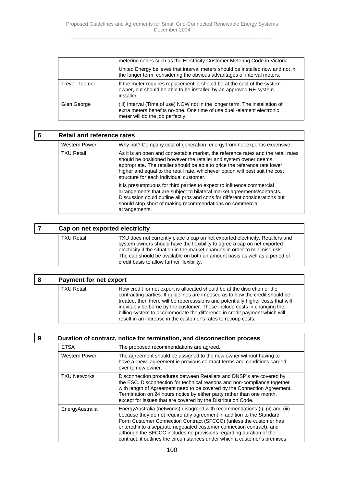|                      | metering codes such as the Electricity Customer Metering Code in Victoria.                                                                                                                 |
|----------------------|--------------------------------------------------------------------------------------------------------------------------------------------------------------------------------------------|
|                      | United Energy believes that interval meters should be installed now and not in<br>the longer term, considering the obvious advantages of interval meters.                                  |
| <b>Trevor Toomer</b> | If the meter requires replacement, it should be at the cost of the system<br>owner, but should be able to be installed by an approved RE system<br>installer.                              |
| Glen George          | (iii) Interval (Time of use) NOW not in the longer term. The installation of<br>extra meters benefits no-one. One time of use duel -element electronic<br>meter will do the job perfectly. |

| 6 | <b>Retail and reference rates</b> |                                                                                                                                                                                                                                                                                                                                                                  |
|---|-----------------------------------|------------------------------------------------------------------------------------------------------------------------------------------------------------------------------------------------------------------------------------------------------------------------------------------------------------------------------------------------------------------|
|   | <b>Western Power</b>              | Why not? Company cost of generation, energy from net export is expensive.                                                                                                                                                                                                                                                                                        |
|   | <b>TXU Retail</b>                 | As it is an open and contestable market, the reference rates and the retail rates<br>should be positioned however the retailer and system owner deems<br>appropriate. The retailer should be able to price the reference rate lower,<br>higher and equal to the retail rate, whichever option will best suit the cost<br>structure for each individual customer. |
|   |                                   | It is presumptuous for third parties to expect to influence commercial<br>arrangements that are subject to bilateral market agreements/contracts.<br>Discussion could outline all pros and cons for different considerations but<br>should stop short of making recommendations on commercial<br>arrangements.                                                   |

# **7 Cap on net exported electricity** TXU Retail TXU does not currently place a cap on net exported electricity. Retailers and system owners should have the flexibility to agree a cap on net exported electricity if the situation in the market changes in order to minimise risk. The cap should be available on both an amount basis as well as a period of credit basis to allow further flexibility.

| 8 | <b>Payment for net export</b> |                                                                                                                                                                                                                                                                                                                                                                                                                                                                           |
|---|-------------------------------|---------------------------------------------------------------------------------------------------------------------------------------------------------------------------------------------------------------------------------------------------------------------------------------------------------------------------------------------------------------------------------------------------------------------------------------------------------------------------|
|   | <b>TXU Retail</b>             | How credit for net export is allocated should be at the discretion of the<br>contracting parties. If guidelines are imposed as to how the credit should be<br>treated, then there will be repercussions and potentially higher costs that will<br>inevitably be borne by the customer. These include costs in changing the<br>billing system to accommodate the difference in credit payment which will<br>result in an increase in the customer's rates to recoup costs. |

| 9 |                     | Duration of contract, notice for termination, and disconnection process                                                                                                                                                                                                                                                                                                                                                                                   |
|---|---------------------|-----------------------------------------------------------------------------------------------------------------------------------------------------------------------------------------------------------------------------------------------------------------------------------------------------------------------------------------------------------------------------------------------------------------------------------------------------------|
|   | <b>ETSA</b>         | The proposed recommendations are agreed.                                                                                                                                                                                                                                                                                                                                                                                                                  |
|   | Western Power       | The agreement should be assigned to the new owner without having to<br>have a "new" agreement ie previous contract terms and conditions carried<br>over to new owner.                                                                                                                                                                                                                                                                                     |
|   | <b>TXU Networks</b> | Disconnection procedures between Retailers and DNSP's are covered by<br>the ESC. Disconnection for technical reasons and non-compliance together<br>with length of Agreement need to be covered by the Connection Agreement.<br>Termination on 24 hours notice by either party rather than one month,<br>except for issues that are covered by the Distribution Code.                                                                                     |
|   | EnergyAustralia     | EnergyAustralia (networks) disagreed with recommendations (i), (ii) and (iii)<br>because they do not require any agreement in addition to the Standard<br>Form Customer Connection Contract (SFCCC) (unless the customer has<br>entered into a separate negotiated customer connection contract), and<br>although the SFCCC includes no provisions regarding duration of the<br>contract, it outlines the circumstances under which a customer's premises |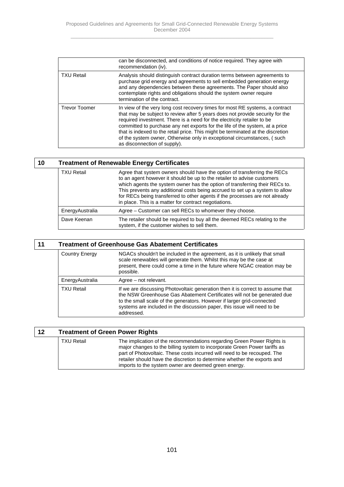|                      | can be disconnected, and conditions of notice required. They agree with<br>recommendation (iv).                                                                                                                                                                                                                                                                                                                                                                                                                        |
|----------------------|------------------------------------------------------------------------------------------------------------------------------------------------------------------------------------------------------------------------------------------------------------------------------------------------------------------------------------------------------------------------------------------------------------------------------------------------------------------------------------------------------------------------|
| <b>TXU Retail</b>    | Analysis should distinguish contract duration terms between agreements to<br>purchase grid energy and agreements to sell embedded generation energy<br>and any dependencies between these agreements. The Paper should also<br>contemplate rights and obligations should the system owner require<br>termination of the contract.                                                                                                                                                                                      |
| <b>Trevor Toomer</b> | In view of the very long cost recovery times for most RE systems, a contract<br>that may be subject to review after 5 years does not provide security for the<br>required investment. There is a need for the electricity retailer to be<br>committed to purchase any net exports for the life of the system, at a price<br>that is indexed to the retail price. This might be terminated at the discretion<br>of the system owner, Otherwise only in exceptional circumstances, (such<br>as disconnection of supply). |

| 10 | <b>Treatment of Renewable Energy Certificates</b> |                                                                                                                                                                                                                                                                                                                                                                                                                                                            |
|----|---------------------------------------------------|------------------------------------------------------------------------------------------------------------------------------------------------------------------------------------------------------------------------------------------------------------------------------------------------------------------------------------------------------------------------------------------------------------------------------------------------------------|
|    | <b>TXU Retail</b>                                 | Agree that system owners should have the option of transferring the RECs<br>to an agent however it should be up to the retailer to advise customers<br>which agents the system owner has the option of transferring their RECs to.<br>This prevents any additional costs being accrued to set up a system to allow<br>for RECs being transferred to other agents if the processes are not already<br>in place. This is a matter for contract negotiations. |
|    | EnergyAustralia                                   | Agree - Customer can sell RECs to whomever they choose.                                                                                                                                                                                                                                                                                                                                                                                                    |
|    | Dave Keenan                                       | The retailer should be required to buy all the deemed RECs relating to the<br>system, if the customer wishes to sell them.                                                                                                                                                                                                                                                                                                                                 |

| 11 | <b>Treatment of Greenhouse Gas Abatement Certificates</b> |                                                                                                                                                                                                                                                                                                                               |
|----|-----------------------------------------------------------|-------------------------------------------------------------------------------------------------------------------------------------------------------------------------------------------------------------------------------------------------------------------------------------------------------------------------------|
|    | <b>Country Energy</b>                                     | NGACs shouldn't be included in the agreement, as it is unlikely that small<br>scale renewables will generate them. Whilst this may be the case at<br>present, there could come a time in the future where NGAC creation may be<br>possible.                                                                                   |
|    | EnergyAustralia                                           | Agree – not relevant.                                                                                                                                                                                                                                                                                                         |
|    | <b>TXU Retail</b>                                         | If we are discussing Photovoltaic generation then it is correct to assume that<br>the NSW Greenhouse Gas Abatement Certificates will not be generated due<br>to the small scale of the generators. However if larger grid-connected<br>systems are included in the discussion paper, this issue will need to be<br>addressed. |

| 12 | <b>Treatment of Green Power Rights</b> |                                                                                                                                                                                                                                                                                                                                                                     |
|----|----------------------------------------|---------------------------------------------------------------------------------------------------------------------------------------------------------------------------------------------------------------------------------------------------------------------------------------------------------------------------------------------------------------------|
|    | <b>TXU Retail</b>                      | The implication of the recommendations regarding Green Power Rights is<br>major changes to the billing system to incorporate Green Power tariffs as<br>part of Photovoltaic. These costs incurred will need to be recouped. The<br>retailer should have the discretion to determine whether the exports and<br>imports to the system owner are deemed green energy. |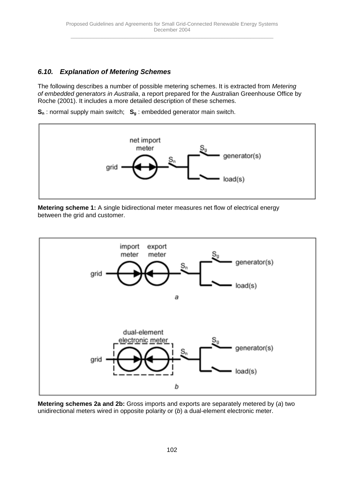# *6.10. Explanation of Metering Schemes*

The following describes a number of possible metering schemes. It is extracted from *Metering of embedded generators in Australia*, a report prepared for the Australian Greenhouse Office by Roche (2001). It includes a more detailed description of these schemes.

**S<sub>n</sub>**: normal supply main switch; **S<sub>g</sub>**: embedded generator main switch.



**Metering scheme 1:** A single bidirectional meter measures net flow of electrical energy between the grid and customer.



**Metering schemes 2a and 2b:** Gross imports and exports are separately metered by (*a*) two unidirectional meters wired in opposite polarity or (*b*) a dual-element electronic meter.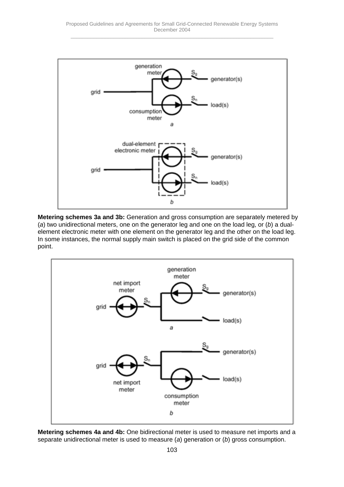

**Metering schemes 3a and 3b:** Generation and gross consumption are separately metered by (*a*) two unidirectional meters, one on the generator leg and one on the load leg, or (*b*) a dualelement electronic meter with one element on the generator leg and the other on the load leg. In some instances, the normal supply main switch is placed on the grid side of the common point.



**Metering schemes 4a and 4b:** One bidirectional meter is used to measure net imports and a separate unidirectional meter is used to measure (*a*) generation or (*b*) gross consumption.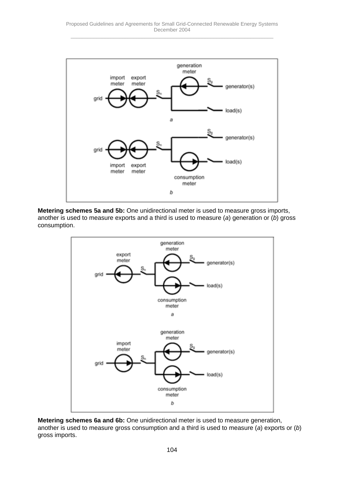

**Metering schemes 5a and 5b:** One unidirectional meter is used to measure gross imports, another is used to measure exports and a third is used to measure (*a*) generation or (*b*) gross consumption.



**Metering schemes 6a and 6b:** One unidirectional meter is used to measure generation, another is used to measure gross consumption and a third is used to measure (*a*) exports or (*b*) gross imports.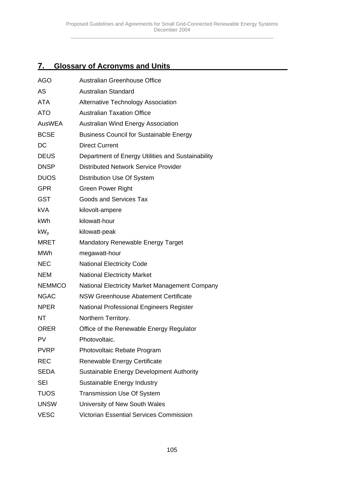# **7. Glossary of Acronyms and Units**

| <b>AGO</b>    | <b>Australian Greenhouse Office</b>               |
|---------------|---------------------------------------------------|
| <b>AS</b>     | <b>Australian Standard</b>                        |
| <b>ATA</b>    | <b>Alternative Technology Association</b>         |
| <b>ATO</b>    | <b>Australian Taxation Office</b>                 |
| <b>AusWEA</b> | <b>Australian Wind Energy Association</b>         |
| <b>BCSE</b>   | <b>Business Council for Sustainable Energy</b>    |
| DC            | <b>Direct Current</b>                             |
| <b>DEUS</b>   | Department of Energy Utilities and Sustainability |
| <b>DNSP</b>   | <b>Distributed Network Service Provider</b>       |
| <b>DUOS</b>   | Distribution Use Of System                        |
| <b>GPR</b>    | <b>Green Power Right</b>                          |
| <b>GST</b>    | <b>Goods and Services Tax</b>                     |
| <b>kVA</b>    | kilovolt-ampere                                   |
| <b>kWh</b>    | kilowatt-hour                                     |
| $kW_p$        | kilowatt-peak                                     |
| <b>MRET</b>   | <b>Mandatory Renewable Energy Target</b>          |
| <b>MWh</b>    | megawatt-hour                                     |
| <b>NEC</b>    | <b>National Electricity Code</b>                  |
| <b>NEM</b>    | <b>National Electricity Market</b>                |
| <b>NEMMCO</b> | National Electricity Market Management Company    |
| <b>NGAC</b>   | <b>NSW Greenhouse Abatement Certificate</b>       |
| <b>NPER</b>   | National Professional Engineers Register          |
| NT            | Northern Territory.                               |
| <b>ORER</b>   | Office of the Renewable Energy Regulator          |
| PV            | Photovoltaic.                                     |
| <b>PVRP</b>   | Photovoltaic Rebate Program                       |
| <b>REC</b>    | Renewable Energy Certificate                      |
| <b>SEDA</b>   | Sustainable Energy Development Authority          |
| <b>SEI</b>    | Sustainable Energy Industry                       |
| <b>TUOS</b>   | <b>Transmission Use Of System</b>                 |
| <b>UNSW</b>   | University of New South Wales                     |
| <b>VESC</b>   | <b>Victorian Essential Services Commission</b>    |